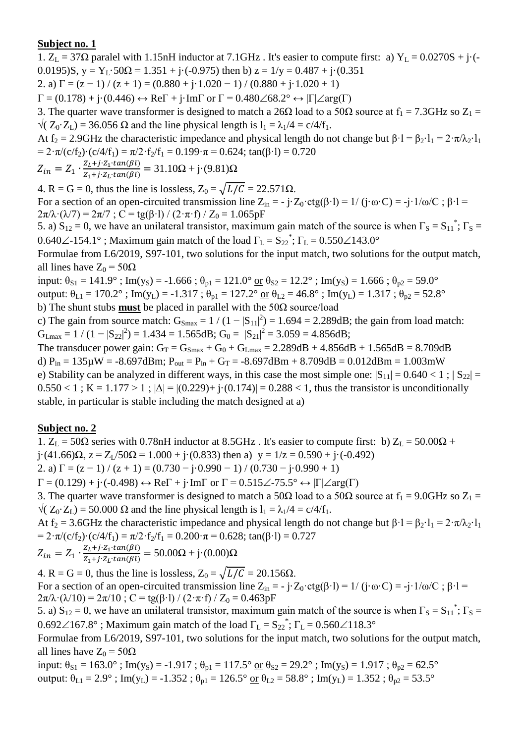1.  $Z_L = 37\Omega$  paralel with 1.15nH inductor at 7.1GHz. It's easier to compute first: a)  $Y_L = 0.0270S + j\cdot(-1)$ 0.0195)S,  $y = Y_L \cdot 50\Omega = 1.351 + i(-0.975)$  then b)  $z = 1/y = 0.487 + i(0.351)$ 

2. a)  $\Gamma = (z - 1) / (z + 1) = (0.880 + i \cdot 1.020 - 1) / (0.880 + i \cdot 1.020 + 1)$ 

 $\Gamma = (0.178) + \mathbf{j} \cdot (0.446) \leftrightarrow \text{Re}\Gamma + \mathbf{j} \cdot \text{Im}\Gamma$  or  $\Gamma = 0.480 \angle 68.2^{\circ} \leftrightarrow |\Gamma| \angle \text{arg}(\Gamma)$ 

3. The quarter wave transformer is designed to match a 26 $\Omega$  load to a 50 $\Omega$  source at  $f_1 = 7.3 \text{GHz}$  so  $Z_1 =$  $\sqrt{(Z_0 \cdot Z_1)} = 36.056 \Omega$  and the line physical length is  $l_1 = \lambda_1/4 = c/4/f_1$ .

At f<sub>2</sub> = 2.9GHz the characteristic impedance and physical length do not change but  $\beta \cdot 1 = \beta_2 \cdot 1_1 = 2 \cdot \pi / \lambda_2 \cdot 1_1$ =  $2 \cdot \pi / (c/f_2) \cdot (c/4/f_1) = \pi / 2 \cdot f_2 / f_1 = 0.199 \cdot \pi = 0.624$ ; tan( $\beta \cdot l$ ) = 0.720

$$
Z_{in} = Z_1 \cdot \frac{Z_L + j \cdot Z_1 \cdot tan(\beta l)}{Z_1 + j \cdot Z_L \cdot tan(\beta l)} = 31.10\Omega + j \cdot (9.81)\Omega
$$

4. R = G = 0, thus the line is lossless,  $Z_0 = \sqrt{L/C} = 22.571 \Omega$ .

For a section of an open-circuited transmission line  $Z_{in} = -j \cdot Z_0 \cdot ctg(\beta \cdot l) = 1/(j \cdot \omega \cdot C) = -j \cdot 1/\omega/C$ ;  $\beta \cdot l =$  $2\pi/\lambda \cdot (\lambda/7) = 2\pi/7$ ; C = tg( $\beta$ ·l) / (2· $\pi$ ·f) / Z<sub>0</sub> = 1.065pF

5. a)  $S_{12} = 0$ , we have an unilateral transistor, maximum gain match of the source is when  $\Gamma_S = S_{11}^*$ ;  $\Gamma_S =$ 0.640 $\angle$ -154.1°; Maximum gain match of the load  $\Gamma_L = S_{22}^*$ ;  $\Gamma_L = 0.550 \angle 143.0^\circ$ 

Formulae from L6/2019, S97-101, two solutions for the input match, two solutions for the output match, all lines have  $Z_0 = 50\Omega$ 

input:  $\theta_{S1} = 141.9^\circ$ ; Im(y<sub>S</sub>) = -1.666;  $\theta_{p1} = 121.0^\circ$  or  $\theta_{S2} = 12.2^\circ$ ; Im(y<sub>S</sub>) = 1.666;  $\theta_{p2} = 59.0^\circ$ output:  $\theta_{L1} = 170.2^\circ$ ; Im(y<sub>L</sub>) = -1.317;  $\theta_{p1} = 127.2^\circ$  or  $\theta_{L2} = 46.8^\circ$ ; Im(y<sub>L</sub>) = 1.317;  $\theta_{p2} = 52.8^\circ$ 

b) The shunt stubs **must** be placed in parallel with the 50Ω source/load

c) The gain from source match:  $G_{\text{Smax}} = 1/(1-|S_{11}|^2) = 1.694 = 2.289dB$ ; the gain from load match:  $G_{Lmax} = 1 / (1 - |S_{22}|^2) = 1.434 = 1.565 dB; G_0 = |S_{21}|^2 = 3.059 = 4.856 dB;$ 

The transducer power gain:  $G_T = G_{Smax} + G_0 + G_{Lmax} = 2.289 dB + 4.856 dB + 1.565 dB = 8.709 dB$ d)  $P_{in} = 135 \mu W = -8.697 dBm$ ;  $P_{out} = P_{in} + G_T = -8.697 dBm + 8.709 dB = 0.012 dBm = 1.003 mW$ e) Stability can be analyzed in different ways, in this case the most simple one:  $|S_{11}| = 0.640 < 1$ ;  $|S_{22}| =$  $0.550 < 1$ ; K = 1.177 > 1;  $|\Delta| = |(0.229) + i(0.174)| = 0.288 < 1$ , thus the transistor is unconditionally stable, in particular is stable including the match designed at a)

### **Subject no. 2**

1.  $Z_L$  = 50 $\Omega$  series with 0.78nH inductor at 8.5GHz. It's easier to compute first: b)  $Z_L$  = 50.00 $\Omega$  +  $j(41.66)\Omega$ ,  $z = Z_1/50\Omega = 1.000 + j(0.833)$  then a)  $y = 1/z = 0.590 + j(-0.492)$ 2. a)  $\Gamma = (z - 1) / (z + 1) = (0.730 - i \cdot 0.990 - 1) / (0.730 - i \cdot 0.990 + 1)$ 

 $\Gamma = (0.129) + \mathrm{i} \cdot (-0.498) \leftrightarrow \mathrm{Re} \Gamma + \mathrm{i} \cdot \mathrm{Im} \Gamma$  or  $\Gamma = 0.515 \angle -75.5^{\circ} \leftrightarrow |\Gamma| \angle \mathrm{arg}(\Gamma)$ 

3. The quarter wave transformer is designed to match a 50 $\Omega$  load to a 50 $\Omega$  source at  $f_1 = 9.0 \text{GHz}$  so  $Z_1 =$  $\sqrt{(Z_0 \cdot Z_1)} = 50.000 \Omega$  and the line physical length is  $l_1 = \lambda_1/4 = c/4/f_1$ .

At f<sub>2</sub> = 3.6GHz the characteristic impedance and physical length do not change but  $\beta \cdot l = \beta_2 \cdot l_1 = 2 \cdot \pi / \lambda_2 \cdot l_1$ =  $2 \cdot \pi/(c/f_2) \cdot (c/4/f_1) = \pi/2 \cdot f_2/f_1 = 0.200 \cdot \pi = 0.628$ ; tan( $\beta \cdot l$ ) = 0.727

 $Z_{in} = Z_1 \cdot \frac{Z}{Z}$  $\frac{Z_L + j \cdot Z_1 \cdot tan(\beta t)}{Z_1 + j \cdot Z_L \cdot tan(\beta t)} = 50.00\Omega + j \cdot (0.00)\Omega$ 

4. R = G = 0, thus the line is lossless,  $Z_0 = \sqrt{L/C} = 20.156\Omega$ . For a section of an open-circuited transmission line  $Z_{in} = -j \cdot Z_0 \cdot \text{ctg}(\beta \cdot l) = 1/(j \cdot \omega \cdot C) = -j \cdot 1/\omega/C$ ;  $\beta \cdot l =$  $2\pi/\lambda \cdot (\lambda/10) = 2\pi/10$ ; C = tg( $\beta$ ·l) / (2·π·f) / Z<sub>0</sub> = 0.463pF

5. a)  $S_{12} = 0$ , we have an unilateral transistor, maximum gain match of the source is when  $\Gamma_S = S_{11}^*$ ;  $\Gamma_S =$ 0.692 $\angle$ 167.8°; Maximum gain match of the load  $\Gamma_L = S_{22}^*$ ;  $\Gamma_L = 0.560 \angle 118.3^\circ$ 

Formulae from L6/2019, S97-101, two solutions for the input match, two solutions for the output match, all lines have  $Z_0 = 50\Omega$ 

input:  $\theta_{S1} = 163.0^\circ$ ; Im(y<sub>S</sub>) = -1.917;  $\theta_{p1} = 117.5^\circ$  or  $\theta_{S2} = 29.2^\circ$ ; Im(y<sub>S</sub>) = 1.917;  $\theta_{p2} = 62.5^\circ$ output:  $\theta_{L1} = 2.9^\circ$ ; Im(y<sub>L</sub>) = -1.352;  $\theta_{p1} = 126.5^\circ$  or  $\theta_{L2} = 58.8^\circ$ ; Im(y<sub>L</sub>) = 1.352;  $\theta_{p2} = 53.5^\circ$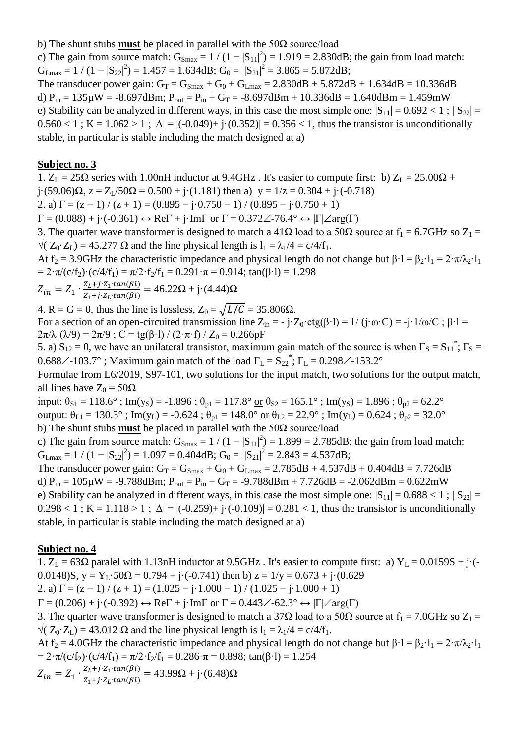b) The shunt stubs **must** be placed in parallel with the 50Ω source/load

c) The gain from source match:  $G_{\text{Smax}} = 1/(1-|S_{11}|^2) = 1.919 = 2.830dB$ ; the gain from load match:  $G_{\text{Lmax}} = 1 / (1 - |S_{22}|^2) = 1.457 = 1.634 \text{dB}; G_0 = |S_{21}|^2 = 3.865 = 5.872 \text{dB};$ 

The transducer power gain:  $G_T = G_{Smax} + G_0 + G_{Lmax} = 2.830dB + 5.872dB + 1.634dB = 10.336dB$ d)  $P_{in} = 135 \mu W = -8.697 dBm$ ;  $P_{out} = P_{in} + G_T = -8.697 dBm + 10.336 dB = 1.640 dBm = 1.459 mW$ e) Stability can be analyzed in different ways, in this case the most simple one:  $|S_{11}| = 0.692 < 1$ ;  $|S_{22}| =$  $0.560 < 1$ ; K = 1.062 > 1;  $|\Delta| = |(-0.049) + (-0.352)| = 0.356 < 1$ , thus the transistor is unconditionally stable, in particular is stable including the match designed at a)

#### **Subject no. 3**

1.  $Z_L = 25\Omega$  series with 1.00nH inductor at 9.4GHz . It's easier to compute first: b)  $Z_L = 25.00\Omega$  + j·(59.06) $\Omega$ ,  $z = Z_1/50\Omega = 0.500 + j\cdot(1.181)$  then a)  $y = 1/z = 0.304 + j\cdot(-0.718)$ 2. a)  $\Gamma = (z - 1) / (z + 1) = (0.895 - j \cdot 0.750 - 1) / (0.895 - j \cdot 0.750 + 1)$ 

 $\Gamma = (0.088) + \mathbf{j} \cdot (-0.361) \leftrightarrow \text{Re}\Gamma + \mathbf{j} \cdot \text{Im}\Gamma$  or  $\Gamma = 0.372\angle -76.4^{\circ} \leftrightarrow |\Gamma| \angle \text{arg}(\Gamma)$ 

3. The quarter wave transformer is designed to match a 41 $\Omega$  load to a 50 $\Omega$  source at  $f_1 = 6.7 \text{GHz}$  so  $Z_1 =$  $\sqrt{(Z_0 \cdot Z_1)} = 45.277 \Omega$  and the line physical length is  $l_1 = \lambda_1/4 = c/4/f_1$ .

At f<sub>2</sub> = 3.9GHz the characteristic impedance and physical length do not change but  $\beta \cdot l = \beta_2 \cdot l_1 = 2 \cdot \pi / \lambda_2 \cdot l_1$ =  $2 \cdot \pi/(c/f_2) \cdot (c/4/f_1) = \pi/2 \cdot f_2/f_1 = 0.291 \cdot \pi = 0.914$ ; tan( $\beta \cdot l$ ) = 1.298

$$
Z_{in} = Z_1 \cdot \frac{Z_L + j \cdot Z_1 \cdot tan(\beta l)}{Z_1 + j \cdot Z_L \cdot tan(\beta l)} = 46.22 \Omega + j \cdot (4.44) \Omega
$$

4. R = G = 0, thus the line is lossless,  $Z_0 = \sqrt{L/C} = 35.806\Omega$ .

For a section of an open-circuited transmission line  $Z_{in} = -j \cdot Z_0 \cdot \text{ctg}(\beta \cdot l) = 1/(j \cdot \omega \cdot C) = -j \cdot 1/\omega/C$ ;  $\beta \cdot l =$  $2\pi/\lambda \cdot (\lambda/9) = 2\pi/9$ ; C = tg( $\beta$ ·l) / (2· $\pi$ ·f) / Z<sub>0</sub> = 0.266pF

5. a)  $S_{12} = 0$ , we have an unilateral transistor, maximum gain match of the source is when  $\Gamma_s = S_{11}^*$ ;  $\Gamma_s =$ 0.688 $\angle$ -103.7°; Maximum gain match of the load  $\Gamma_L = S_{22}^*$ ;  $\Gamma_L = 0.298 \angle$ -153.2°

Formulae from L6/2019, S97-101, two solutions for the input match, two solutions for the output match, all lines have  $Z_0 = 50\Omega$ 

input:  $\theta_{S1} = 118.6^\circ$ ; Im(y<sub>S</sub>) = -1.896;  $\theta_{p1} = 117.8^\circ$  or  $\theta_{S2} = 165.1^\circ$ ; Im(y<sub>S</sub>) = 1.896;  $\theta_{p2} = 62.2^\circ$ output:  $\theta_{L1} = 130.3^\circ$ ; Im(y<sub>L</sub>) = -0.624;  $\theta_{p1} = 148.0^\circ$  or  $\theta_{L2} = 22.9^\circ$ ; Im(y<sub>L</sub>) = 0.624;  $\theta_{p2} = 32.0^\circ$ b) The shunt stubs **must** be placed in parallel with the 50Ω source/load

c) The gain from source match:  $G_{\text{Smax}} = 1/(1-|S_{11}|^2) = 1.899 = 2.785dB$ ; the gain from load match:  $G_{Lmax} = 1 / (1 - |S_{22}|^2) = 1.097 = 0.404 dB$ ;  $G_0 = |S_{21}|^2 = 2.843 = 4.537 dB$ ;

The transducer power gain:  $G_T = G_{Smax} + G_0 + G_{Lmax} = 2.785 dB + 4.537 dB + 0.404 dB = 7.726 dB$ d)  $P_{in} = 105 \mu W = -9.788$ dBm;  $P_{out} = P_{in} + G_T = -9.788$ dBm + 7.726dB = -2.062dBm = 0.622mW e) Stability can be analyzed in different ways, in this case the most simple one:  $|S_{11}| = 0.688 < 1$ ;  $|S_{22}| =$  $0.298 < 1$ ; K = 1.118 > 1;  $|\Delta| = |(-0.259) + (-0.109)| = 0.281 < 1$ , thus the transistor is unconditionally stable, in particular is stable including the match designed at a)

### **Subject no. 4**

1.  $Z_L = 63\Omega$  paralel with 1.13nH inductor at 9.5GHz. It's easier to compute first: a)  $Y_L = 0.0159S + j\cdot(-1.0159S)$ 0.0148)S,  $y = Y_L \cdot 50\Omega = 0.794 + i \cdot (-0.741)$  then b)  $z = 1/y = 0.673 + i \cdot (0.629)$ 2. a)  $\Gamma = (z - 1) / (z + 1) = (1.025 - i \cdot 1.000 - 1) / (1.025 - i \cdot 1.000 + 1)$  $\Gamma = (0.206) + \mathbf{j} \cdot (-0.392) \leftrightarrow \text{Re}\Gamma + \mathbf{j} \cdot \text{Im}\Gamma$  or  $\Gamma = 0.443 \angle -62.3^{\circ} \leftrightarrow |\Gamma| \angle \text{arg}(\Gamma)$ 3. The quarter wave transformer is designed to match a 37 $\Omega$  load to a 50 $\Omega$  source at  $f_1 = 7.0 \text{GHz}$  so  $Z_1 =$  $\sqrt{(Z_0 \cdot Z_L)} = 43.012 \Omega$  and the line physical length is  $l_1 = \lambda_1/4 = c/4/f_1$ . At f<sub>2</sub> = 4.0GHz the characteristic impedance and physical length do not change but  $\beta \cdot l = \beta_2 \cdot l_1 = 2 \cdot \pi / \lambda_2 \cdot l_1$ =  $2 \cdot \pi/(c/f_2) \cdot (c/4/f_1) = \pi/2 \cdot f_2/f_1 = 0.286 \cdot \pi = 0.898$ ; tan( $\beta \cdot l$ ) = 1.254  $Z_{in} = Z_1 \cdot \frac{Z}{Z}$  $\frac{Z_L + j \cdot Z_1 \cdot tan(\beta t)}{Z_1 + j \cdot Z_L \cdot tan(\beta t)} = 43.99 \Omega + j \cdot (6.48) \Omega$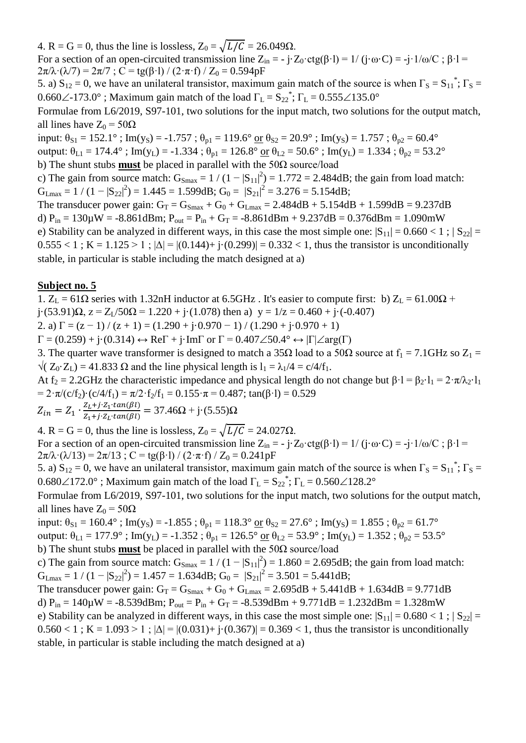4. R = G = 0, thus the line is lossless,  $Z_0 = \sqrt{L/C} = 26.049\Omega$ .

For a section of an open-circuited transmission line  $Z_{in} = -j \cdot Z_0 \cdot \text{ctg}(\beta \cdot l) = 1/(j \cdot \omega \cdot C) = -j \cdot 1/\omega/C$ ;  $\beta \cdot l =$  $2\pi/\lambda \cdot (\lambda/7) = 2\pi/7$ ; C = tg( $\beta$ ·l) / (2· $\pi$ ·f) / Z<sub>0</sub> = 0.594pF

5. a)  $S_{12} = 0$ , we have an unilateral transistor, maximum gain match of the source is when  $\Gamma_S = S_{11}^*$ ;  $\Gamma_S =$ 0.660 $\angle$ -173.0°; Maximum gain match of the load  $\Gamma_L = S_{22}^*$ ;  $\Gamma_L = 0.555 \angle 135.0^\circ$ 

Formulae from L6/2019, S97-101, two solutions for the input match, two solutions for the output match, all lines have  $Z_0 = 50\Omega$ 

input:  $\theta_{S1} = 152.1^\circ$ ; Im(y<sub>S</sub>) = -1.757;  $\theta_{p1} = 119.6^\circ$  or  $\theta_{S2} = 20.9^\circ$ ; Im(y<sub>S</sub>) = 1.757;  $\theta_{p2} = 60.4^\circ$ output:  $\theta_{L1} = 174.4^\circ$ ; Im(y<sub>L</sub>) = -1.334;  $\theta_{p1} = 126.8^\circ$  or  $\theta_{L2} = 50.6^\circ$ ; Im(y<sub>L</sub>) = 1.334;  $\theta_{p2} = 53.2^\circ$ 

b) The shunt stubs **must** be placed in parallel with the 50Ω source/load

c) The gain from source match:  $G_{\text{Smax}} = 1/(1-|S_{11}|^2) = 1.772 = 2.484dB$ ; the gain from load match:  $G_{Lmax} = 1 / (1 - |S_{22}|^2) = 1.445 = 1.599dB$ ;  $G_0 = |S_{21}|^2 = 3.276 = 5.154dB$ ;

The transducer power gain:  $G_T = G_{Smax} + G_0 + G_{Lmax} = 2.484 dB + 5.154 dB + 1.599 dB = 9.237 dB$ d)  $P_{in} = 130 \mu W = -8.861$ dBm;  $P_{out} = P_{in} + G_T = -8.861$ dBm + 9.237dB = 0.376dBm = 1.090mW

e) Stability can be analyzed in different ways, in this case the most simple one:  $|S_{11}| = 0.660 < 1$ ;  $|S_{22}| =$  $0.555 < 1$ ; K = 1.125 > 1;  $|\Delta| = |(0.144) + i(0.299)| = 0.332 < 1$ , thus the transistor is unconditionally stable, in particular is stable including the match designed at a)

### **Subject no. 5**

1.  $Z_L = 61\Omega$  series with 1.32nH inductor at 6.5GHz. It's easier to compute first: b)  $Z_L = 61.00\Omega$  +  $j \cdot (53.91)\Omega$ ,  $z = Z_1/50\Omega = 1.220 + j \cdot (1.078)$  then a)  $y = 1/z = 0.460 + j \cdot (-0.407)$ 

2. a)  $\Gamma = (z - 1) / (z + 1) = (1.290 + i.0.970 - 1) / (1.290 + i.0.970 + 1)$ 

 $\Gamma = (0.259) + j(0.314) \leftrightarrow \text{Re}\Gamma + j\text{Im}\Gamma$  or  $\Gamma = 0.407\angle 50.4^{\circ} \leftrightarrow |\Gamma|\angle \text{arg}(\Gamma)$ 

3. The quarter wave transformer is designed to match a 35 $\Omega$  load to a 50 $\Omega$  source at  $f_1 = 7.1 \text{GHz}$  so  $Z_1 =$  $\sqrt{(Z_0 \cdot Z_1)} = 41.833 \Omega$  and the line physical length is  $l_1 = \lambda_1/4 = c/4/f_1$ .

At f<sub>2</sub> = 2.2GHz the characteristic impedance and physical length do not change but  $\beta \cdot l = \beta_2 \cdot l_1 = 2 \cdot \pi / \lambda_2 \cdot l_1$ =  $2 \cdot \pi/(c/f_2) \cdot (c/4/f_1) = \pi/2 \cdot f_2/f_1 = 0.155 \cdot \pi = 0.487$ ; tan( $\beta \cdot l$ ) = 0.529

$$
Z_{in} = Z_1 \cdot \frac{Z_L + j \cdot Z_1 \cdot tan(\beta l)}{Z_1 + j \cdot Z_L \cdot tan(\beta l)} = 37.46 \Omega + j \cdot (5.55) \Omega
$$

4. R = G = 0, thus the line is lossless,  $Z_0 = \sqrt{L/C} = 24.027 \Omega$ . For a section of an open-circuited transmission line  $Z_{in} = -i \cdot Z_0 \cdot \text{ctg}(\beta \cdot l) = 1/(i \cdot \omega \cdot C) = -i \cdot 1/\omega/C$ ;  $\beta \cdot l =$  $2\pi/\lambda \cdot (\lambda/13) = 2\pi/13$ ; C = tg( $\beta$ ·l) / (2·π·f) / Z<sub>0</sub> = 0.241pF

5. a)  $S_{12} = 0$ , we have an unilateral transistor, maximum gain match of the source is when  $\Gamma_s = S_{11}^*$ ;  $\Gamma_s =$  $0.680\angle 172.0^{\circ}$ ; Maximum gain match of the load  $\Gamma_{\text{L}} = S_{22}^*$ ;  $\Gamma_{\text{L}} = 0.560\angle 128.2^{\circ}$ 

Formulae from L6/2019, S97-101, two solutions for the input match, two solutions for the output match, all lines have  $Z_0 = 50Ω$ 

input:  $\theta_{S1} = 160.4^\circ$ ; Im(y<sub>S</sub>) = -1.855;  $\theta_{p1} = 118.3^\circ$  or  $\theta_{S2} = 27.6^\circ$ ; Im(y<sub>S</sub>) = 1.855;  $\theta_{p2} = 61.7^\circ$ 

output:  $\theta_{L1} = 177.9^\circ$ ; Im(y<sub>L</sub>) = -1.352;  $\theta_{p1} = 126.5^\circ$  or  $\theta_{L2} = 53.9^\circ$ ; Im(y<sub>L</sub>) = 1.352;  $\theta_{p2} = 53.5^\circ$ 

b) The shunt stubs **must** be placed in parallel with the 50Ω source/load

c) The gain from source match:  $G_{\text{Smax}} = 1/(1-|S_{11}|^2) = 1.860 = 2.695dB$ ; the gain from load match:  $G_{\text{Lmax}} = 1 / (1 - |S_{22}|^2) = 1.457 = 1.634 dB$ ;  $G_0 = |S_{21}|^2 = 3.501 = 5.441 dB$ ;

The transducer power gain:  $G_T = G_{Smax} + G_0 + G_{Lmax} = 2.695dB + 5.441dB + 1.634dB = 9.771dB$ d)  $P_{in} = 140 \mu W = -8.539$ dBm;  $P_{out} = P_{in} + G_T = -8.539$ dBm + 9.771dB = 1.232dBm = 1.328mW

e) Stability can be analyzed in different ways, in this case the most simple one:  $|S_{11}| = 0.680 < 1$ ;  $|S_{22}| =$  $0.560 < 1$ ; K = 1.093 > 1;  $|\Delta| = |(0.031) + i(0.367)| = 0.369 < 1$ , thus the transistor is unconditionally stable, in particular is stable including the match designed at a)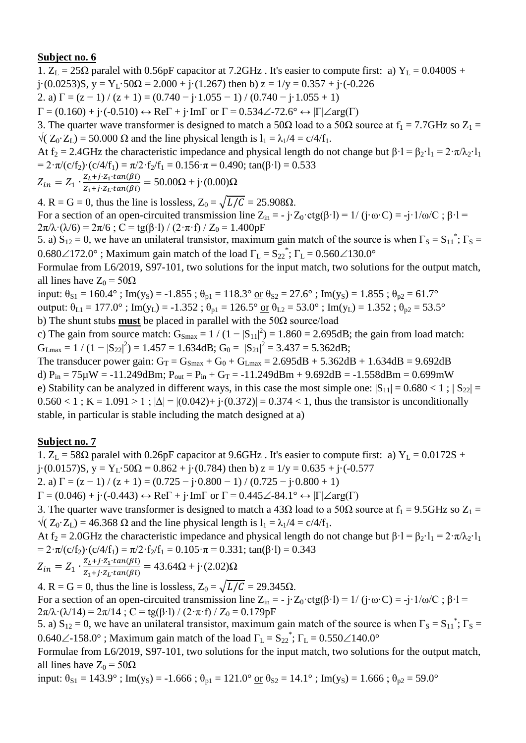1.  $Z_L = 25\Omega$  paralel with 0.56pF capacitor at 7.2GHz. It's easier to compute first: a)  $Y_L = 0.0400S +$ j·(0.0253)S, y = Y<sub>L</sub>·50 $\Omega$  = 2.000 + j·(1.267) then b) z = 1/y = 0.357 + j·(-0.226) 2. a)  $\Gamma = (z - 1) / (z + 1) = (0.740 - j \cdot 1.055 - 1) / (0.740 - j \cdot 1.055 + 1)$  $\Gamma = (0.160) + \mathbf{j} \cdot (-0.510) \leftrightarrow \text{Re}\Gamma + \mathbf{j} \cdot \text{Im}\Gamma$  or  $\Gamma = 0.534 \angle -72.6^{\circ} \leftrightarrow |\Gamma| \angle \text{arg}(\Gamma)$ 3. The quarter wave transformer is designed to match a 50 $\Omega$  load to a 50 $\Omega$  source at  $f_1 = 7.7$ GHz so  $Z_1 =$  $\sqrt{(Z_0 \cdot Z_1)} = 50.000 \Omega$  and the line physical length is  $l_1 = \lambda_1/4 = c/4/f_1$ . At f<sub>2</sub> = 2.4GHz the characteristic impedance and physical length do not change but  $\beta \cdot l = \beta_2 \cdot l_1 = 2 \cdot \pi / \lambda_2 \cdot l_1$ =  $2 \cdot \pi/(c/f_2) \cdot (c/4/f_1) = \pi/2 \cdot f_2/f_1 = 0.156 \cdot \pi = 0.490$ ; tan( $\beta \cdot l$ ) = 0.533

 $Z_{in} = Z_1 \cdot \frac{Z}{Z}$  $\frac{Z_L + j \cdot Z_1 \cdot tan(\beta t)}{Z_1 + j \cdot Z_L \cdot tan(\beta t)} = 50.00\Omega + j \cdot (0.00)\Omega$ 

4. R = G = 0, thus the line is lossless,  $Z_0 = \sqrt{L/C} = 25.908\Omega$ .

For a section of an open-circuited transmission line  $Z_{in} = -j \cdot Z_0 \cdot ctg(\beta \cdot l) = 1/(j \cdot \omega \cdot C) = -j \cdot 1/\omega/C$ ;  $\beta \cdot l =$  $2\pi/\lambda \cdot (\lambda/6) = 2\pi/6$ ; C = tg( $\beta$ ·l) / (2· $\pi$ ·f) / Z<sub>0</sub> = 1.400pF

5. a)  $S_{12} = 0$ , we have an unilateral transistor, maximum gain match of the source is when  $\Gamma_S = S_{11}^*$ ;  $\Gamma_S =$  $0.680\angle 172.0^{\circ}$  ; Maximum gain match of the load  $\Gamma_{\text{L}} = S_{22}^*$ ;  $\Gamma_{\text{L}} = 0.560\angle 130.0^{\circ}$ 

Formulae from L6/2019, S97-101, two solutions for the input match, two solutions for the output match, all lines have  $Z_0 = 50\Omega$ 

input:  $\theta_{S1} = 160.4^\circ$ ; Im(y<sub>S</sub>) = -1.855;  $\theta_{p1} = 118.3^\circ$  or  $\theta_{S2} = 27.6^\circ$ ; Im(y<sub>S</sub>) = 1.855;  $\theta_{p2} = 61.7^\circ$ output:  $\theta_{L1} = 177.0^{\circ}$ ; Im(y<sub>L</sub>) = -1.352;  $\theta_{p1} = 126.5^{\circ}$  or  $\theta_{L2} = 53.0^{\circ}$ ; Im(y<sub>L</sub>) = 1.352;  $\theta_{p2} = 53.5^{\circ}$ b) The shunt stubs **must** be placed in parallel with the 50Ω source/load

c) The gain from source match:  $G_{\text{Smax}} = 1/(1-|S_{11}|^2) = 1.860 = 2.695dB$ ; the gain from load match:  $G_{Lmax} = 1 / (1 - |S_{22}|^2) = 1.457 = 1.634 dB$ ;  $G_0 = |S_{21}|^2 = 3.437 = 5.362 dB$ ;

The transducer power gain:  $G_T = G_{Smax} + G_0 + G_{Lmax} = 2.695dB + 5.362dB + 1.634dB = 9.692dB$ d)  $P_{in} = 75 \mu W = -11.249$ dBm;  $P_{out} = P_{in} + G_T = -11.249$ dBm + 9.692dB = -1.558dBm = 0.699mW e) Stability can be analyzed in different ways, in this case the most simple one:  $|S_{11}| = 0.680 < 1$ ;  $|S_{22}| =$  $0.560 < 1$ ; K = 1.091 > 1;  $|\Delta| = |(0.042) + i(0.372)| = 0.374 < 1$ , thus the transistor is unconditionally stable, in particular is stable including the match designed at a)

# **Subject no. 7**

1.  $Z_L$  = 58 $\Omega$  paralel with 0.26pF capacitor at 9.6GHz. It's easier to compute first: a) Y<sub>L</sub> = 0.0172S + j·(0.0157)S, y = Y<sub>L</sub>·50 $\Omega$  = 0.862 + j·(0.784) then b) z = 1/y = 0.635 + j·(-0.577

2. a)  $\Gamma = (z - 1) / (z + 1) = (0.725 - i \cdot 0.800 - 1) / (0.725 - i \cdot 0.800 + 1)$ 

 $\Gamma = (0.046) + \mathbf{j} \cdot (-0.443) \leftrightarrow \text{Re}\Gamma + \mathbf{j} \cdot \text{Im}\Gamma$  or  $\Gamma = 0.445 \angle -84.1^{\circ} \leftrightarrow |\Gamma| \angle \text{arg}(\Gamma)$ 3. The quarter wave transformer is designed to match a 43 $\Omega$  load to a 50 $\Omega$  source at  $f_1 = 9.5 \text{GHz}$  so  $Z_1 =$ 

 $\sqrt{(Z_0 \cdot Z_1)} = 46.368 \Omega$  and the line physical length is  $l_1 = \lambda_1/4 = c/4/f_1$ . At f<sub>2</sub> = 2.0GHz the characteristic impedance and physical length do not change but  $\beta \cdot 1 = \beta_2 \cdot 1_1 = 2 \cdot \pi / \lambda_2 \cdot 1_1$ =  $2 \cdot \pi/(c/f_2) \cdot (c/4/f_1) = \pi/2 \cdot f_2/f_1 = 0.105 \cdot \pi = 0.331$ ; tan( $\beta \cdot l$ ) = 0.343

$$
Z_{in} = Z_1 \cdot \frac{Z_L + j \cdot Z_1 \cdot tan(\beta l)}{Z_1 + j \cdot Z_L \cdot tan(\beta l)} = 43.64 \Omega + j \cdot (2.02) \Omega
$$

4. R = G = 0, thus the line is lossless,  $Z_0 = \sqrt{L/C} = 29.345\Omega$ . For a section of an open-circuited transmission line  $Z_{in} = -j \cdot Z_0 \cdot \text{ctg}(\beta \cdot l) = 1/(j \cdot \omega \cdot C) = -j \cdot 1/\omega/C$ ;  $\beta \cdot l =$  $2\pi/\lambda \cdot (\lambda/14) = 2\pi/14$ ; C = tg( $\beta$ ·l) / (2·π·f) / Z<sub>0</sub> = 0.179pF

5. a)  $S_{12} = 0$ , we have an unilateral transistor, maximum gain match of the source is when  $\Gamma_S = S_{11}^*$ ;  $\Gamma_S =$ 0.640 $\angle$ -158.0°; Maximum gain match of the load  $\Gamma_L = S_{22}^*$ ;  $\Gamma_L = 0.550 \angle 140.0^\circ$ 

Formulae from L6/2019, S97-101, two solutions for the input match, two solutions for the output match, all lines have  $Z_0 = 50Ω$ 

input:  $\theta_{S1} = 143.9^\circ$ ; Im(y<sub>S</sub>) = -1.666;  $\theta_{p1} = 121.0^\circ$  or  $\theta_{S2} = 14.1^\circ$ ; Im(y<sub>S</sub>) = 1.666;  $\theta_{p2} = 59.0^\circ$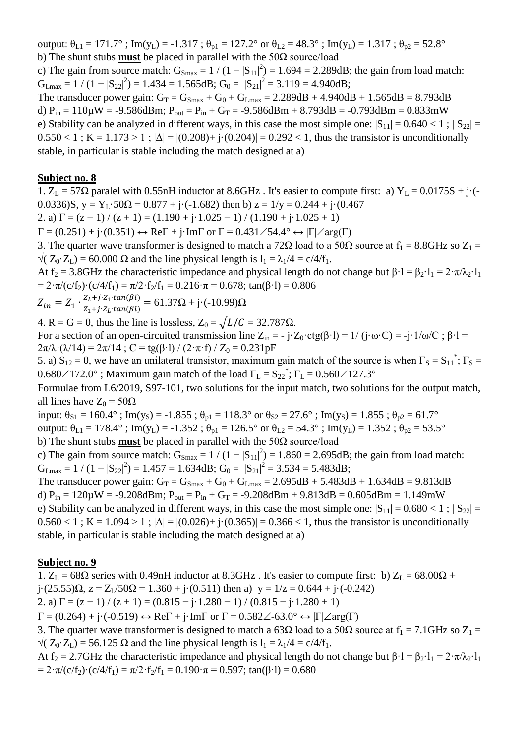output:  $\theta_{L1} = 171.7^\circ$ ; Im(y<sub>L</sub>) = -1.317;  $\theta_{p1} = 127.2^\circ$  or  $\theta_{L2} = 48.3^\circ$ ; Im(y<sub>L</sub>) = 1.317;  $\theta_{p2} = 52.8^\circ$ b) The shunt stubs **must** be placed in parallel with the 50Ω source/load

c) The gain from source match:  $G_{\text{Smax}} = 1/(1-|S_{11}|^2) = 1.694 = 2.289dB$ ; the gain from load match:  $G_{Lmax} = 1 / (1 - |S_{22}|^2) = 1.434 = 1.565 dB$ ;  $G_0 = |S_{21}|^2 = 3.119 = 4.940 dB$ ;

The transducer power gain:  $G_T = G_{Smax} + G_0 + G_{Lmax} = 2.289 dB + 4.940 dB + 1.565 dB = 8.793 dB$ d)  $P_{in} = 110 \mu W = -9.586$ dBm;  $P_{out} = P_{in} + G_T = -9.586$ dBm + 8.793dB = -0.793dBm = 0.833mW e) Stability can be analyzed in different ways, in this case the most simple one:  $|S_{11}| = 0.640 < 1$ ;  $|S_{22}| =$  $0.550 < 1$ ; K = 1.173 > 1;  $|\Delta| = |(0.208) + i(0.204)| = 0.292 < 1$ , thus the transistor is unconditionally stable, in particular is stable including the match designed at a)

#### **Subject no. 8**

1.  $Z_L$  = 57 $\Omega$  paralel with 0.55nH inductor at 8.6GHz. It's easier to compute first: a)  $Y_L$  = 0.0175S + j·(-0.0336)S,  $y = Y_L \cdot 50\Omega = 0.877 + j \cdot (-1.682)$  then b)  $z = 1/y = 0.244 + j \cdot (0.467)$ 

2. a)  $\Gamma = (z - 1) / (z + 1) = (1.190 + j \cdot 1.025 - 1) / (1.190 + j \cdot 1.025 + 1)$ 

 $\Gamma = (0.251) + \mathbf{j} \cdot (0.351) \leftrightarrow \text{Re}\Gamma + \mathbf{j} \cdot \text{Im}\Gamma$  or  $\Gamma = 0.431 \angle 54.4^{\circ} \leftrightarrow |\Gamma| \angle \text{arg}(\Gamma)$ 

3. The quarter wave transformer is designed to match a 72 $\Omega$  load to a 50 $\Omega$  source at  $f_1 = 8.8\text{GHz}$  so  $Z_1 =$  $\sqrt{(Z_0 \cdot Z_1)} = 60.000 \Omega$  and the line physical length is  $l_1 = \lambda_1/4 = c/4/f_1$ .

At f<sub>2</sub> = 3.8GHz the characteristic impedance and physical length do not change but  $\beta \cdot 1 = \beta_2 \cdot 1_1 = 2 \cdot \pi / \lambda_2 \cdot 1_1$ =  $2 \cdot \pi/(c/f_2) \cdot (c/4/f_1) = \pi/2 \cdot f_2/f_1 = 0.216 \cdot \pi = 0.678$ ; tan( $\beta \cdot l$ ) = 0.806

$$
Z_{in} = Z_1 \cdot \frac{Z_L + j \cdot Z_1 \cdot \tan(\beta l)}{Z_1 + j \cdot Z_L \cdot \tan(\beta l)} = 61.37 \Omega + j \cdot (-10.99) \Omega
$$

4. R = G = 0, thus the line is lossless,  $Z_0 = \sqrt{L/C} = 32.787 \Omega$ .

For a section of an open-circuited transmission line  $Z_{in} = -j \cdot Z_0 \cdot ctg(\beta \cdot l) = 1/(j \cdot \omega \cdot C) = -j \cdot 1/\omega/C$ ;  $\beta \cdot l =$  $2\pi/\lambda \cdot (\lambda/14) = 2\pi/14$ ; C = tg( $\beta$ ·l) / (2·π·f) / Z<sub>0</sub> = 0.231pF

5. a)  $S_{12} = 0$ , we have an unilateral transistor, maximum gain match of the source is when  $\Gamma_s = S_{11}^*$ ;  $\Gamma_s =$  $0.680\angle 172.0^{\circ}$  ; Maximum gain match of the load  $\Gamma_{\rm L} = S_{22}^*$ ;  $\Gamma_{\rm L} = 0.560\angle 127.3^{\circ}$ 

Formulae from L6/2019, S97-101, two solutions for the input match, two solutions for the output match, all lines have  $Z_0 = 50\Omega$ 

input:  $\theta_{S1} = 160.4^\circ$ ; Im(y<sub>S</sub>) = -1.855;  $\theta_{p1} = 118.3^\circ$  or  $\theta_{S2} = 27.6^\circ$ ; Im(y<sub>S</sub>) = 1.855;  $\theta_{p2} = 61.7^\circ$ 

output:  $\theta_{L1} = 178.4^\circ$ ; Im(y<sub>L</sub>) = -1.352;  $\theta_{p1} = 126.5^\circ$  or  $\theta_{L2} = 54.3^\circ$ ; Im(y<sub>L</sub>) = 1.352;  $\theta_{p2} = 53.5^\circ$ 

b) The shunt stubs **must** be placed in parallel with the 50Ω source/load

c) The gain from source match:  $G_{\text{Smax}} = 1/(1-|S_{11}|^2) = 1.860 = 2.695dB$ ; the gain from load match:  $G_{Lmax} = 1 / (1 - |S_{22}|^2) = 1.457 = 1.634 dB$ ;  $G_0 = |S_{21}|^2 = 3.534 = 5.483 dB$ ;

The transducer power gain:  $G_T = G_{Smax} + G_0 + G_{Lmax} = 2.695dB + 5.483dB + 1.634dB = 9.813dB$ d)  $P_{in} = 120 \mu W = -9.208$ dBm;  $P_{out} = P_{in} + G_T = -9.208$ dBm + 9.813dB = 0.605dBm = 1.149mW e) Stability can be analyzed in different ways, in this case the most simple one:  $|S_{11}| = 0.680 < 1$ ;  $|S_{22}| =$  $0.560 < 1$ ; K = 1.094 > 1;  $|\Delta| = |(0.026) + (-1.365)| = 0.366 < 1$ , thus the transistor is unconditionally stable, in particular is stable including the match designed at a)

### **Subject no. 9**

1.  $Z_L = 68\Omega$  series with 0.49nH inductor at 8.3GHz. It's easier to compute first: b)  $Z_L = 68.00\Omega +$  $j \cdot (25.55)\Omega$ ,  $z = Z_1/50\Omega = 1.360 + j \cdot (0.511)$  then a)  $y = 1/z = 0.644 + j \cdot (-0.242)$ 

2. a)  $\Gamma = (z - 1) / (z + 1) = (0.815 - i \cdot 1.280 - 1) / (0.815 - i \cdot 1.280 + 1)$ 

 $\Gamma = (0.264) + i \cdot (-0.519) \leftrightarrow \text{Re}\Gamma + i \cdot \text{Im}\Gamma$  or  $\Gamma = 0.582\angle -63.0^{\circ} \leftrightarrow |\Gamma| \angle \text{arg}(\Gamma)$ 

3. The quarter wave transformer is designed to match a 63 $\Omega$  load to a 50 $\Omega$  source at  $f_1 = 7.1$ GHz so  $Z_1 =$  $\sqrt{(Z_0 \cdot Z_1)} = 56.125 \Omega$  and the line physical length is  $l_1 = \lambda_1/4 = c/4/f_1$ .

At f<sub>2</sub> = 2.7GHz the characteristic impedance and physical length do not change but  $\beta \cdot l = \beta_2 \cdot l_1 = 2 \cdot \pi / \lambda_2 \cdot l_1$ =  $2 \cdot \pi/(c/f_2) \cdot (c/4/f_1) = \pi/2 \cdot f_2/f_1 = 0.190 \cdot \pi = 0.597$ ; tan( $\beta \cdot l$ ) = 0.680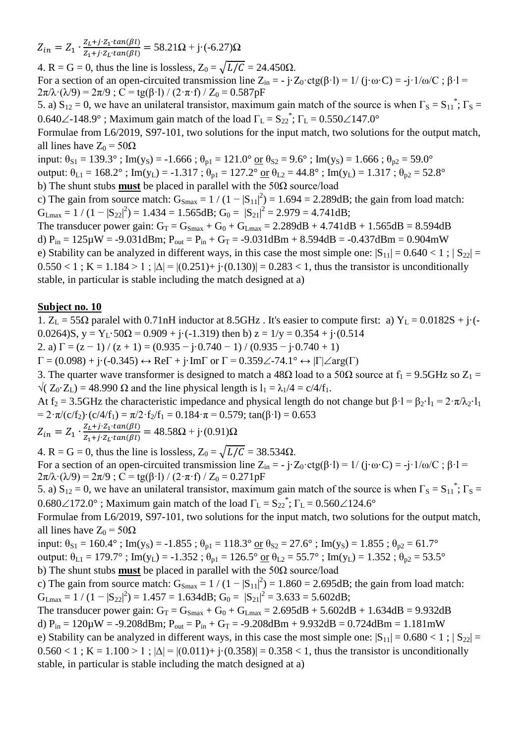$Z_{in} = Z_1 \cdot \frac{Z}{Z}$  $\frac{Z_L + j \cdot Z_1 \cdot tan(\beta t)}{Z_1 + j \cdot Z_L \cdot tan(\beta t)} = 58.21\Omega + j \cdot (-6.27)\Omega$ 

4. R = G = 0, thus the line is lossless,  $Z_0 = \sqrt{L/C} = 24.450\Omega$ . For a section of an open-circuited transmission line  $Z_{in} = -j \cdot Z_0 \cdot ctg(\beta \cdot l) = 1/(j \cdot \omega \cdot C) = -j \cdot 1/\omega/C$ ;  $\beta \cdot l =$  $2\pi/\lambda \cdot (\lambda/9) = 2\pi/9$ ; C = tg( $\beta$ ·l) / (2· $\pi$ ·f) / Z<sub>0</sub> = 0.587pF

5. a)  $S_{12} = 0$ , we have an unilateral transistor, maximum gain match of the source is when  $\Gamma_S = S_{11}^*$ ;  $\Gamma_S =$ 0.640 $\angle$ -148.9°; Maximum gain match of the load  $\Gamma_L = S_{22}^*$ ;  $\Gamma_L = 0.550 \angle 147.0^\circ$ 

Formulae from L6/2019, S97-101, two solutions for the input match, two solutions for the output match, all lines have  $Z_0 = 50\Omega$ 

input:  $\theta_{S1} = 139.3^\circ$ ; Im(y<sub>S</sub>) = -1.666;  $\theta_{p1} = 121.0^\circ$  or  $\theta_{S2} = 9.6^\circ$ ; Im(y<sub>S</sub>) = 1.666;  $\theta_{p2} = 59.0^\circ$ output:  $\theta_{L1} = 168.2^\circ$ ; Im(y<sub>L</sub>) = -1.317;  $\theta_{p1} = 127.2^\circ$  or  $\theta_{L2} = 44.8^\circ$ ; Im(y<sub>L</sub>) = 1.317;  $\theta_{p2} = 52.8^\circ$ 

b) The shunt stubs **must** be placed in parallel with the 50Ω source/load

c) The gain from source match:  $G_{\text{Smax}} = 1/(1-|S_{11}|^2) = 1.694 = 2.289dB$ ; the gain from load match:  $G_{\text{Lmax}} = 1 / (1 - |S_{22}|^2) = 1.434 = 1.565 dB; G_0 = |S_{21}|^2 = 2.979 = 4.741 dB;$ 

The transducer power gain:  $G_T = G_{Smax} + G_0 + G_{Lmax} = 2.289dB + 4.741dB + 1.565dB = 8.594dB$ d)  $P_{in} = 125 \mu W = -9.031$ dBm;  $P_{out} = P_{in} + G_T = -9.031$ dBm + 8.594dB = -0.437dBm = 0.904mW e) Stability can be analyzed in different ways, in this case the most simple one:  $|S_{11}| = 0.640 < 1$ ;  $|S_{22}| =$  $0.550 < 1$ ; K = 1.184 > 1;  $|\Delta| = |(0.251) + i(0.130)| = 0.283 < 1$ , thus the transistor is unconditionally stable, in particular is stable including the match designed at a)

## **Subject no. 10**

1.  $Z_L = 55\Omega$  paralel with 0.71nH inductor at 8.5GHz. It's easier to compute first: a)  $Y_L = 0.0182S + j\cdot$ . 0.0264)S,  $y = Y_L \cdot 50\Omega = 0.909 + i \cdot (-1.319)$  then b)  $z = 1/y = 0.354 + i \cdot (0.514)$ 

2. a)  $\Gamma = (z - 1) / (z + 1) = (0.935 - j \cdot 0.740 - 1) / (0.935 - j \cdot 0.740 + 1)$ 

 $\Gamma = (0.098) + \mathbf{j} \cdot (-0.345) \leftrightarrow \text{Re}\Gamma + \mathbf{j} \cdot \text{Im}\Gamma$  or  $\Gamma = 0.359 \angle -74.1^{\circ} \leftrightarrow |\Gamma| \angle \text{arg}(\Gamma)$ 

3. The quarter wave transformer is designed to match a 48 $\Omega$  load to a 50 $\Omega$  source at  $f_1 = 9.5 \text{GHz}$  so  $Z_1 =$  $\sqrt{(Z_0 \cdot Z_1)} = 48.990 \Omega$  and the line physical length is  $l_1 = \lambda_1/4 = c/4/f_1$ .

At f<sub>2</sub> = 3.5GHz the characteristic impedance and physical length do not change but  $\beta$ ·l =  $\beta$ <sub>2</sub>·l<sub>1</sub> =  $2 \cdot \pi / \lambda$ <sup>2</sup>·l<sub>1</sub> =  $2 \cdot \pi/(c/f_2) \cdot (c/4/f_1) = \pi/2 \cdot f_2/f_1 = 0.184 \cdot \pi = 0.579$ ; tan( $\beta \cdot l$ ) = 0.653

 $Z_{in} = Z_1 \cdot \frac{Z}{Z}$  $\frac{Z_L + j \cdot Z_1 \cdot tan(\beta t)}{Z_1 + j \cdot Z_L \cdot tan(\beta t)} = 48.58\Omega + j \cdot (0.91)\Omega$ 

4. R = G = 0, thus the line is lossless,  $Z_0 = \sqrt{L/C} = 38.534 \Omega$ . For a section of an open-circuited transmission line  $Z_{in} = -j \cdot Z_0 \cdot \text{ctg}(\beta \cdot l) = 1/(j \cdot \omega \cdot C) = -j \cdot 1/\omega/C$ ;  $\beta \cdot l =$  $2\pi/\lambda \cdot (\lambda/9) = 2\pi/9$ ; C = tg( $\beta$ ·l) / (2· $\pi$ ·f) / Z<sub>0</sub> = 0.271pF

5. a)  $S_{12} = 0$ , we have an unilateral transistor, maximum gain match of the source is when  $\Gamma_S = S_{11}^*$ ;  $\Gamma_S =$  $0.680\angle 172.0^{\circ}$  ; Maximum gain match of the load  $\Gamma_{\rm L} = S_{22}^*$ ;  $\Gamma_{\rm L} = 0.560\angle 124.6^{\circ}$ 

Formulae from L6/2019, S97-101, two solutions for the input match, two solutions for the output match, all lines have  $Z_0 = 50Ω$ 

input:  $\theta_{S1} = 160.4^\circ$ ; Im(y<sub>S</sub>) = -1.855;  $\theta_{p1} = 118.3^\circ$  or  $\theta_{S2} = 27.6^\circ$ ; Im(y<sub>S</sub>) = 1.855;  $\theta_{p2} = 61.7^\circ$ output:  $\theta_{L1} = 179.7^\circ$ ; Im(y<sub>L</sub>) = -1.352;  $\theta_{p1} = 126.5^\circ$  or  $\theta_{L2} = 55.7^\circ$ ; Im(y<sub>L</sub>) = 1.352;  $\theta_{p2} = 53.5^\circ$ b) The shunt stubs **must** be placed in parallel with the 50Ω source/load

c) The gain from source match:  $G_{Smax} = 1/(1-|S_{11}|^2) = 1.860 = 2.695dB$ ; the gain from load match:  $G_{\text{Lmax}} = 1 / (1 - |S_{22}|^2) = 1.457 = 1.634 \text{dB}; G_0 = |S_{21}|^2 = 3.633 = 5.602 \text{dB};$ 

The transducer power gain:  $G_T = G_{Smax} + G_0 + G_{Lmax} = 2.695dB + 5.602dB + 1.634dB = 9.932dB$ d)  $P_{in} = 120 \mu W = -9.208$ dBm;  $P_{out} = P_{in} + G_T = -9.208$ dBm + 9.932dB = 0.724dBm = 1.181mW e) Stability can be analyzed in different ways, in this case the most simple one:  $|S_{11}| = 0.680 < 1$ ;  $|S_{22}| =$  $0.560 < 1$ ; K = 1.100 > 1;  $|\Delta| = |(0.011) + i(0.358)| = 0.358 < 1$ , thus the transistor is unconditionally stable, in particular is stable including the match designed at a)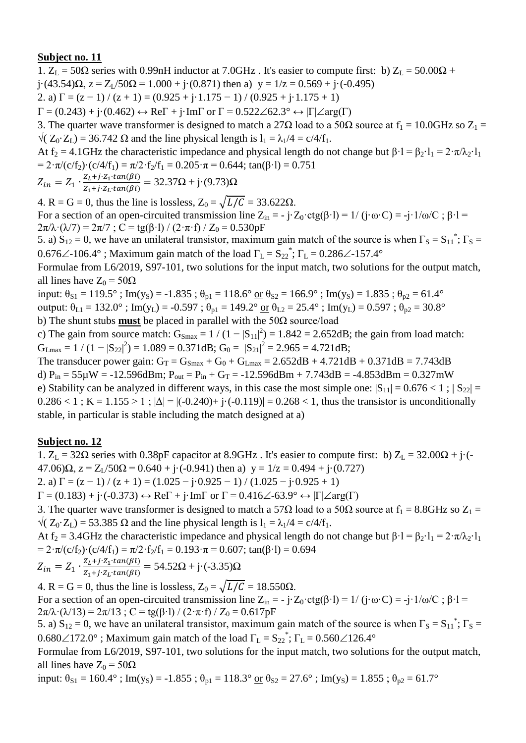1.  $Z_L = 50\Omega$  series with 0.99nH inductor at 7.0GHz. It's easier to compute first: b)  $Z_L = 50.00\Omega$  +  $j(43.54)\Omega$ ,  $z = Z_1/50\Omega = 1.000 + j(0.871)$  then a)  $y = 1/z = 0.569 + j(-0.495)$ 2. a)  $\Gamma = (z - 1) / (z + 1) = (0.925 + j \cdot 1.175 - 1) / (0.925 + j \cdot 1.175 + 1)$  $\Gamma = (0.243) + \mathfrak{j} \cdot (0.462) \leftrightarrow \text{Re}\Gamma + \mathfrak{j} \cdot \text{Im}\Gamma$  or  $\Gamma = 0.522 \angle 62.3^{\circ} \leftrightarrow |\Gamma| \angle \text{arg}(\Gamma)$ 3. The quarter wave transformer is designed to match a 27 $\Omega$  load to a 50 $\Omega$  source at  $f_1 = 10.0 \text{GHz}$  so  $Z_1 =$  $\sqrt{(Z_0 \cdot Z_1)} = 36.742 \Omega$  and the line physical length is  $l_1 = \lambda_1/4 = c/4/f_1$ .

At f<sub>2</sub> = 4.1GHz the characteristic impedance and physical length do not change but  $\beta \cdot l = \beta_2 \cdot l_1 = 2 \cdot \pi / \lambda_2 \cdot l_1$ =  $2 \cdot \pi/(c/f_2) \cdot (c/4/f_1) = \pi/2 \cdot f_2/f_1 = 0.205 \cdot \pi = 0.644$ ; tan( $\beta \cdot l$ ) = 0.751

$$
Z_{in} = Z_1 \cdot \frac{Z_L + j \cdot Z_1 \cdot tan(\beta l)}{Z_1 + j \cdot Z_L \cdot tan(\beta l)} = 32.37 \Omega + j \cdot (9.73) \Omega
$$

4. R = G = 0, thus the line is lossless,  $Z_0 = \sqrt{L/C} = 33.622\Omega$ .

For a section of an open-circuited transmission line  $Z_{in} = -j \cdot Z_0 \cdot ctg(\beta \cdot l) = 1/(j \cdot \omega \cdot C) = -j \cdot 1/\omega/C$ ;  $\beta \cdot l =$  $2\pi/\lambda \cdot (\lambda/7) = 2\pi/7$ ; C = tg( $\beta$ ·l) / (2· $\pi$ ·f) / Z<sub>0</sub> = 0.530pF

5. a)  $S_{12} = 0$ , we have an unilateral transistor, maximum gain match of the source is when  $\Gamma_S = S_{11}^*$ ;  $\Gamma_S =$ 0.676 $\angle$ -106.4°; Maximum gain match of the load  $\Gamma_L = S_{22}^*$ ;  $\Gamma_L = 0.286 \angle$ -157.4°

Formulae from L6/2019, S97-101, two solutions for the input match, two solutions for the output match, all lines have  $Z_0 = 50\Omega$ 

input:  $\theta_{S1} = 119.5^\circ$ ; Im(y<sub>S</sub>) = -1.835;  $\theta_{p1} = 118.6^\circ$  or  $\theta_{S2} = 166.9^\circ$ ; Im(y<sub>S</sub>) = 1.835;  $\theta_{p2} = 61.4^\circ$ output:  $\theta_{L1} = 132.0^\circ$ ; Im(y<sub>L</sub>) = -0.597;  $\theta_{p1} = 149.2^\circ$  or  $\theta_{L2} = 25.4^\circ$ ; Im(y<sub>L</sub>) = 0.597;  $\theta_{p2} = 30.8^\circ$ b) The shunt stubs **must** be placed in parallel with the 50Ω source/load

c) The gain from source match:  $G_{\text{Smax}} = 1/(1-|S_{11}|^2) = 1.842 = 2.652dB$ ; the gain from load match:  $G_{\text{Lmax}} = 1 / (1 - |S_{22}|^2) = 1.089 = 0.371 \text{dB}; G_0 = |S_{21}|^2 = 2.965 = 4.721 \text{dB};$ 

The transducer power gain:  $G_T = G_{Smax} + G_0 + G_{Lmax} = 2.652dB + 4.721dB + 0.371dB = 7.743dB$ d)  $P_{in} = 55\mu W = -12.596dBm$ ;  $P_{out} = P_{in} + G_T = -12.596dBm + 7.743dB = -4.853dBm = 0.327mW$ e) Stability can be analyzed in different ways, in this case the most simple one:  $|S_{11}| = 0.676 < 1$ ;  $|S_{22}| =$  $0.286 < 1$ ; K = 1.155 > 1;  $|\Delta| = |(-0.240) + (-0.119)| = 0.268 < 1$ , thus the transistor is unconditionally stable, in particular is stable including the match designed at a)

### **Subject no. 12**

1.  $Z_L = 32\Omega$  series with 0.38pF capacitor at 8.9GHz. It's easier to compute first: b)  $Z_L = 32.00\Omega + i(-1.000)$  $47.06$ ) $\Omega$ ,  $z = Z_1/50\Omega = 0.640 + i(-0.941)$  then a)  $y = 1/z = 0.494 + i(0.727)$ 

2. a)  $\Gamma = (z - 1) / (z + 1) = (1.025 - i \cdot 0.925 - 1) / (1.025 - i \cdot 0.925 + 1)$ 

 $\Gamma = (0.183) + \mathfrak{j} \cdot (-0.373) \leftrightarrow \text{Re}\Gamma + \mathfrak{j} \cdot \text{Im}\Gamma$  or  $\Gamma = 0.416\angle -63.9^{\circ} \leftrightarrow |\Gamma| \angle \text{arg}(\Gamma)$ 

3. The quarter wave transformer is designed to match a 57 $\Omega$  load to a 50 $\Omega$  source at  $f_1 = 8.8\text{GHz}$  so  $Z_1 =$  $\sqrt{(Z_0 \cdot Z_1)} = 53.385 \Omega$  and the line physical length is  $l_1 = \lambda_1/4 = c/4/f_1$ .

At f<sub>2</sub> = 3.4GHz the characteristic impedance and physical length do not change but  $\beta \cdot 1 = \beta_2 \cdot 1_1 = 2 \cdot \pi / \lambda_2 \cdot 1_1$ =  $2 \cdot \pi/(c/f_2) \cdot (c/4/f_1) = \pi/2 \cdot f_2/f_1 = 0.193 \cdot \pi = 0.607$ ; tan( $\beta \cdot l$ ) = 0.694

$$
Z_{in} = Z_1 \cdot \frac{Z_L + j \cdot Z_1 \cdot tan(\beta l)}{Z_1 + j \cdot Z_L \cdot tan(\beta l)} = 54.52 \Omega + j \cdot (-3.35) \Omega
$$

4. R = G = 0, thus the line is lossless,  $Z_0 = \sqrt{L/C} = 18.550\Omega$ . For a section of an open-circuited transmission line  $Z_{in} = -j \cdot Z_0 \cdot \text{ctg}(\beta \cdot l) = 1/(j \cdot \omega \cdot C) = -j \cdot 1/\omega/C$ ;  $\beta \cdot l =$  $2\pi/\lambda \cdot (\lambda/13) = 2\pi/13$ ; C = tg( $\beta$ ·l) / (2·π·f) / Z<sub>0</sub> = 0.617pF

5. a)  $S_{12} = 0$ , we have an unilateral transistor, maximum gain match of the source is when  $\Gamma_S = S_{11}^*$ ;  $\Gamma_S =$  $0.680\angle 172.0^{\circ}$ ; Maximum gain match of the load  $\Gamma_{\rm L} = S_{22}^*$ ;  $\Gamma_{\rm L} = 0.560\angle 126.4^{\circ}$ 

Formulae from L6/2019, S97-101, two solutions for the input match, two solutions for the output match, all lines have  $Z_0 = 50\Omega$ 

input:  $\theta_{S1} = 160.4^\circ$ ; Im(y<sub>S</sub>) = -1.855;  $\theta_{p1} = 118.3^\circ$  or  $\theta_{S2} = 27.6^\circ$ ; Im(y<sub>S</sub>) = 1.855;  $\theta_{p2} = 61.7^\circ$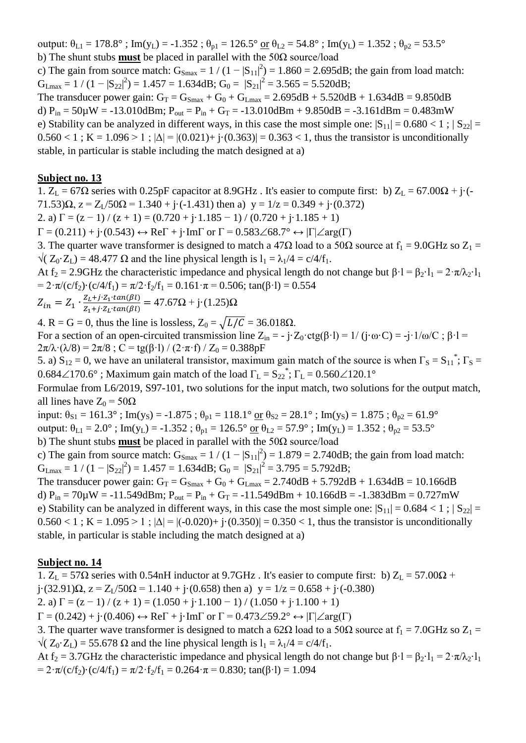output:  $\theta_{L1} = 178.8^\circ$ ; Im(y<sub>L</sub>) = -1.352;  $\theta_{p1} = 126.5^\circ$  or  $\theta_{L2} = 54.8^\circ$ ; Im(y<sub>L</sub>) = 1.352;  $\theta_{p2} = 53.5^\circ$ b) The shunt stubs **must** be placed in parallel with the 50Ω source/load

c) The gain from source match:  $G_{\text{Smax}} = 1/(1-|S_{11}|^2) = 1.860 = 2.695dB$ ; the gain from load match:  $G_{\text{Lmax}} = 1 / (1 - |S_{22}|^2) = 1.457 = 1.634 \text{dB}; G_0 = |S_{21}|^2 = 3.565 = 5.520 \text{dB};$ 

The transducer power gain:  $G_T = G_{Smax} + G_0 + G_{Lmax} = 2.695dB + 5.520dB + 1.634dB = 9.850dB$ d)  $P_{in} = 50\mu$ W = -13.010dBm;  $P_{out} = P_{in} + G_T = -13.010$ dBm + 9.850dB = -3.161dBm = 0.483mW e) Stability can be analyzed in different ways, in this case the most simple one:  $|S_{11}| = 0.680 < 1$ ;  $|S_{22}| =$  $0.560 < 1$ ; K = 1.096 > 1;  $|\Delta| = |(0.021) + i(0.363)| = 0.363 < 1$ , thus the transistor is unconditionally stable, in particular is stable including the match designed at a)

#### **Subject no. 13**

1. Z<sub>L</sub> = 67Ω series with 0.25pF capacitor at 8.9GHz. It's easier to compute first: b) Z<sub>L</sub> = 67.00Ω + j·(- $71.53$ ) $\Omega$ ,  $z = Z_1/50\Omega = 1.340 + i(-1.431)$  then a)  $y = 1/z = 0.349 + i(0.372)$ 2. a)  $\Gamma = (z - 1) / (z + 1) = (0.720 + j \cdot 1.185 - 1) / (0.720 + j \cdot 1.185 + 1)$ 

 $\Gamma = (0.211) + i(0.543) \leftrightarrow \text{Re}\Gamma + i\cdot\text{Im}\Gamma$  or  $\Gamma = 0.583\angle 68.7^{\circ} \leftrightarrow |\Gamma| \angle \text{arg}(\Gamma)$ 

3. The quarter wave transformer is designed to match a 47 $\Omega$  load to a 50 $\Omega$  source at  $f_1 = 9.0 \text{GHz}$  so  $Z_1 =$  $\sqrt{(Z_0 \cdot Z_1)} = 48.477 \Omega$  and the line physical length is  $l_1 = \lambda_1/4 = c/4/f_1$ .

At f<sub>2</sub> = 2.9GHz the characteristic impedance and physical length do not change but  $\beta \cdot 1 = \beta_2 \cdot 1_1 = 2 \cdot \pi / \lambda_2 \cdot 1_1$ =  $2 \cdot \pi/(c/f_2) \cdot (c/4/f_1) = \pi/2 \cdot f_2/f_1 = 0.161 \cdot \pi = 0.506$ ; tan( $\beta \cdot l$ ) = 0.554

$$
Z_{in} = Z_1 \cdot \frac{Z_L + j \cdot Z_1 \cdot \tan(\beta l)}{Z_1 + j \cdot Z_L \cdot \tan(\beta l)} = 47.67 \Omega + j \cdot (1.25) \Omega
$$

4. R = G = 0, thus the line is lossless,  $Z_0 = \sqrt{L/C} = 36.018\Omega$ .

For a section of an open-circuited transmission line  $Z_{in} = -j \cdot Z_0 \cdot ctg(\beta \cdot l) = 1/(j \cdot \omega \cdot C) = -j \cdot 1/\omega/C$ ;  $\beta \cdot l =$  $2\pi/\lambda \cdot (\lambda/8) = 2\pi/8$ ; C = tg( $\beta$ ·l) / (2· $\pi$ ·f) / Z<sub>0</sub> = 0.388pF

5. a)  $S_{12} = 0$ , we have an unilateral transistor, maximum gain match of the source is when  $\Gamma_s = S_{11}^*$ ;  $\Gamma_s =$  $0.684\angle 170.6^\circ$  ; Maximum gain match of the load  $\Gamma_L = S_{22}^*$ ;  $\Gamma_L = 0.560\angle 120.1^\circ$ 

Formulae from L6/2019, S97-101, two solutions for the input match, two solutions for the output match, all lines have  $Z_0 = 50\Omega$ 

input:  $\theta_{S1} = 161.3^\circ$ ; Im(y<sub>S</sub>) = -1.875;  $\theta_{p1} = 118.1^\circ$  or  $\theta_{S2} = 28.1^\circ$ ; Im(y<sub>S</sub>) = 1.875;  $\theta_{p2} = 61.9^\circ$ 

output:  $\theta_{L1} = 2.0^\circ$ ; Im(y<sub>L</sub>) = -1.352;  $\theta_{p1} = 126.5^\circ$  or  $\theta_{L2} = 57.9^\circ$ ; Im(y<sub>L</sub>) = 1.352;  $\theta_{p2} = 53.5^\circ$ 

b) The shunt stubs **must** be placed in parallel with the 50Ω source/load

c) The gain from source match:  $G_{\text{Smax}} = 1/(1-|S_{11}|^2) = 1.879 = 2.740dB$ ; the gain from load match:  $G_{\text{Lmax}} = 1 / (1 - |S_{22}|^2) = 1.457 = 1.634 \text{dB}; G_0 = |S_{21}|^2 = 3.795 = 5.792 \text{dB};$ 

The transducer power gain:  $G_T = G_{Smax} + G_0 + G_{Lmax} = 2.740 dB + 5.792 dB + 1.634 dB = 10.166 dB$ d)  $P_{in} = 70\mu$ W = -11.549dBm;  $P_{out} = P_{in} + G_T = -11.549d$ Bm + 10.166dB = -1.383dBm = 0.727mW e) Stability can be analyzed in different ways, in this case the most simple one:  $|S_{11}| = 0.684 < 1$ ;  $|S_{22}| =$  $0.560 < 1$ ; K = 1.095 > 1;  $|\Delta| = |(-0.020) + (-0.350)| = 0.350 < 1$ , thus the transistor is unconditionally stable, in particular is stable including the match designed at a)

### **Subject no. 14**

1.  $Z_L = 57\Omega$  series with 0.54nH inductor at 9.7GHz. It's easier to compute first: b)  $Z_L = 57.00\Omega$  + j·(32.91) $\Omega$ ,  $z = Z_1/50\Omega = 1.140 + j\cdot(0.658)$  then a)  $y = 1/z = 0.658 + j\cdot(-0.380)$ 

2. a)  $\Gamma = (z - 1) / (z + 1) = (1.050 + i \cdot 1.100 - 1) / (1.050 + i \cdot 1.100 + 1)$ 

 $\Gamma = (0.242) + i \cdot (0.406) \leftrightarrow \text{Re} \Gamma + i \cdot \text{Im} \Gamma$  or  $\Gamma = 0.473 \angle 59.2^{\circ} \leftrightarrow |\Gamma| \angle \text{arg}(\Gamma)$ 

3. The quarter wave transformer is designed to match a 62 $\Omega$  load to a 50 $\Omega$  source at  $f_1 = 7.0 \text{GHz}$  so  $Z_1 =$  $\sqrt{(Z_0 \cdot Z_1)} = 55.678 \Omega$  and the line physical length is  $l_1 = \lambda_1/4 = c/4/f_1$ .

At f<sub>2</sub> = 3.7GHz the characteristic impedance and physical length do not change but  $\beta \cdot 1 = \beta_2 \cdot 1_1 = 2 \cdot \pi / \lambda_2 \cdot 1_1$ =  $2 \cdot \pi/(c/f_2) \cdot (c/4/f_1) = \pi/2 \cdot f_2/f_1 = 0.264 \cdot \pi = 0.830$ ; tan( $\beta \cdot l$ ) = 1.094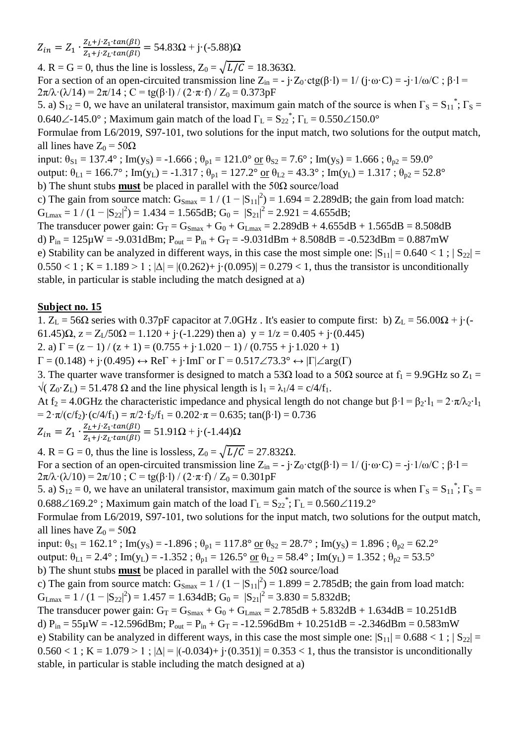$Z_{in} = Z_1 \cdot \frac{Z}{Z}$  $\frac{Z_L + j \cdot Z_1 \cdot (an(\beta t))}{Z_1 + j \cdot Z_L \cdot (an(\beta t))} = 54.83\Omega + j \cdot (-5.88)\Omega$ 

4. R = G = 0, thus the line is lossless,  $Z_0 = \sqrt{L/C} = 18.363\Omega$ . For a section of an open-circuited transmission line  $Z_{in} = -j \cdot Z_0 \cdot ctg(\beta \cdot l) = 1/(j \cdot \omega \cdot C) = -j \cdot 1/\omega/C$ ;  $\beta \cdot l =$  $2\pi/\lambda \cdot (\lambda/14) = 2\pi/14$ ; C = tg( $\beta$ ·l) / (2·π·f) / Z<sub>0</sub> = 0.373pF

5. a)  $S_{12} = 0$ , we have an unilateral transistor, maximum gain match of the source is when  $\Gamma_S = S_{11}^*$ ;  $\Gamma_S =$ 0.640 $\angle$ -145.0°; Maximum gain match of the load  $\Gamma_L = S_{22}^*$ ;  $\Gamma_L = 0.550 \angle 150.0^\circ$ 

Formulae from L6/2019, S97-101, two solutions for the input match, two solutions for the output match, all lines have  $Z_0 = 50\Omega$ 

input:  $\theta_{S1} = 137.4^\circ$ ; Im(y<sub>S</sub>) = -1.666;  $\theta_{p1} = 121.0^\circ$  or  $\theta_{S2} = 7.6^\circ$ ; Im(y<sub>S</sub>) = 1.666;  $\theta_{p2} = 59.0^\circ$ output:  $\theta_{L1} = 166.7^\circ$ ; Im(y<sub>L</sub>) = -1.317;  $\theta_{p1} = 127.2^\circ$  or  $\theta_{L2} = 43.3^\circ$ ; Im(y<sub>L</sub>) = 1.317;  $\theta_{p2} = 52.8^\circ$ 

b) The shunt stubs **must** be placed in parallel with the 50Ω source/load

c) The gain from source match:  $G_{\text{Smax}} = 1/(1-|S_{11}|^2) = 1.694 = 2.289dB$ ; the gain from load match:  $G_{Lmax} = 1 / (1 - |S_{22}|^2) = 1.434 = 1.565 dB; G_0 = |S_{21}|^2 = 2.921 = 4.655 dB;$ 

The transducer power gain:  $G_T = G_{Smax} + G_0 + G_{Lmax} = 2.289dB + 4.655dB + 1.565dB = 8.508dB$ d)  $P_{in} = 125 \mu W = -9.031$ dBm;  $P_{out} = P_{in} + G_T = -9.031$ dBm + 8.508dB = -0.523dBm = 0.887mW e) Stability can be analyzed in different ways, in this case the most simple one:  $|S_{11}| = 0.640 < 1$ ;  $|S_{22}| =$  $0.550 < 1$ ; K = 1.189 > 1;  $|\Delta| = |(0.262) + i(0.095)| = 0.279 < 1$ , thus the transistor is unconditionally stable, in particular is stable including the match designed at a)

### **Subject no. 15**

1.  $Z_L = 56\Omega$  series with 0.37pF capacitor at 7.0GHz. It's easier to compute first: b)  $Z_L = 56.00\Omega + i(-1.000)$ 61.45) $\Omega$ ,  $z = Z_1/50\Omega = 1.120 + i(-1.229)$  then a)  $y = 1/z = 0.405 + i(0.445)$ 

2. a)  $\Gamma = (z - 1) / (z + 1) = (0.755 + i \cdot 1.020 - 1) / (0.755 + i \cdot 1.020 + 1)$ 

 $\Gamma = (0.148) + \mathfrak{j} \cdot (0.495) \leftrightarrow \text{Re}\Gamma + \mathfrak{j} \cdot \text{Im}\Gamma$  or  $\Gamma = 0.517 \angle 73.3^{\circ} \leftrightarrow |\Gamma| \angle \text{arg}(\Gamma)$ 

3. The quarter wave transformer is designed to match a 53 $\Omega$  load to a 50 $\Omega$  source at  $f_1 = 9.9\text{GHz}$  so  $Z_1 =$  $\sqrt{(Z_0 \cdot Z_1)} = 51.478 \Omega$  and the line physical length is  $l_1 = \lambda_1/4 = c/4/f_1$ .

At f<sub>2</sub> = 4.0GHz the characteristic impedance and physical length do not change but  $\beta$ ·l =  $\beta$ <sub>2</sub>·l<sub>1</sub> =  $2 \cdot \pi / \lambda$ <sup>2</sup>·l<sub>1</sub> =  $2 \cdot \pi/(c/f_2) \cdot (c/4/f_1) = \pi/2 \cdot f_2/f_1 = 0.202 \cdot \pi = 0.635$ ; tan( $\beta \cdot l$ ) = 0.736

 $Z_{in} = Z_1 \cdot \frac{Z}{Z}$  $\frac{Z_L + j \cdot Z_1 \cdot tan(\beta t)}{Z_1 + j \cdot Z_L \cdot tan(\beta t)} = 51.91\Omega + j \cdot (-1.44)\Omega$ 

4. R = G = 0, thus the line is lossless,  $Z_0 = \sqrt{L/C} = 27.832\Omega$ . For a section of an open-circuited transmission line  $Z_{in} = -j \cdot Z_0 \cdot \text{ctg}(\beta \cdot l) = 1/(j \cdot \omega \cdot C) = -j \cdot 1/\omega/C$ ;  $\beta \cdot l =$  $2\pi/\lambda \cdot (\lambda/10) = 2\pi/10$ ; C = tg( $\beta$ ·l) / (2·π·f) / Z<sub>0</sub> = 0.301pF

5. a)  $S_{12} = 0$ , we have an unilateral transistor, maximum gain match of the source is when  $\Gamma_S = S_{11}^*$ ;  $\Gamma_S =$ 0.688 $\angle$ 169.2°; Maximum gain match of the load  $\Gamma_L = S_{22}^*$ ;  $\Gamma_L = 0.560\angle$ 119.2°

Formulae from L6/2019, S97-101, two solutions for the input match, two solutions for the output match, all lines have  $Z_0 = 50\Omega$ 

input:  $\theta_{S1} = 162.1^\circ$ ; Im(y<sub>S</sub>) = -1.896;  $\theta_{p1} = 117.8^\circ$  or  $\theta_{S2} = 28.7^\circ$ ; Im(y<sub>S</sub>) = 1.896;  $\theta_{p2} = 62.2^\circ$ output:  $\theta_{L1} = 2.4^\circ$ ; Im(y<sub>L</sub>) = -1.352;  $\theta_{p1} = 126.5^\circ$  or  $\theta_{L2} = 58.4^\circ$ ; Im(y<sub>L</sub>) = 1.352;  $\theta_{p2} = 53.5^\circ$ 

b) The shunt stubs **must** be placed in parallel with the 50Ω source/load

c) The gain from source match:  $G_{\text{Smax}} = 1/(1-|S_{11}|^2) = 1.899 = 2.785dB$ ; the gain from load match:  $G_{Lmax} = 1 / (1 - |S_{22}|^2) = 1.457 = 1.634 dB$ ;  $G_0 = |S_{21}|^2 = 3.830 = 5.832 dB$ ;

The transducer power gain:  $G_T = G_{Smax} + G_0 + G_{Lmax} = 2.785dB + 5.832dB + 1.634dB = 10.251dB$ d)  $P_{in} = 55\mu W = -12.596dBm$ ;  $P_{out} = P_{in} + G_T = -12.596dBm + 10.251dB = -2.346dBm = 0.583mW$ e) Stability can be analyzed in different ways, in this case the most simple one:  $|S_{11}| = 0.688 < 1$ ;  $|S_{22}| =$  $0.560 < 1$ ; K = 1.079 > 1;  $|\Delta| = |(-0.034) + (-0.351)| = 0.353 < 1$ , thus the transistor is unconditionally stable, in particular is stable including the match designed at a)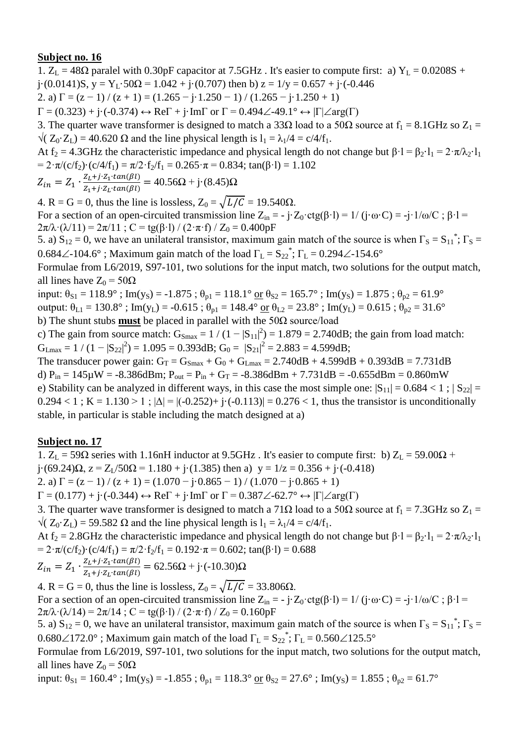1.  $Z_L = 48\Omega$  paralel with 0.30pF capacitor at 7.5GHz. It's easier to compute first: a)  $Y_L = 0.0208S +$ j·(0.0141)S, y = Y<sub>L</sub>·50 $\Omega$  = 1.042 + j·(0.707) then b) z = 1/y = 0.657 + j·(-0.446 2. a)  $\Gamma = (z - 1) / (z + 1) = (1.265 - j \cdot 1.250 - 1) / (1.265 - j \cdot 1.250 + 1)$  $\Gamma = (0.323) + i \cdot (-0.374) \leftrightarrow \text{Re}\Gamma + i \cdot \text{Im}\Gamma$  or  $\Gamma = 0.494 \angle -49.1^{\circ} \leftrightarrow |\Gamma| \angle \text{arg}(\Gamma)$ 3. The quarter wave transformer is designed to match a 33 $\Omega$  load to a 50 $\Omega$  source at  $f_1 = 8.1 \text{GHz}$  so  $Z_1 =$  $\sqrt{(Z_0 \cdot Z_1)} = 40.620 \Omega$  and the line physical length is  $l_1 = \lambda_1/4 = c/4/f_1$ . At f<sub>2</sub> = 4.3GHz the characteristic impedance and physical length do not change but  $\beta \cdot l = \beta_2 \cdot l_1 = 2 \cdot \pi / \lambda_2 \cdot l_1$ =  $2 \cdot \pi/(c/f_2) \cdot (c/4/f_1) = \pi/2 \cdot f_2/f_1 = 0.265 \cdot \pi = 0.834$ ; tan( $\beta \cdot l$ ) = 1.102  $Z_i + i Z_i \cdot tan(R)$ 

$$
Z_{in} = Z_1 \cdot \frac{Z_L + j \cdot Z_1 \cdot tan(\beta t)}{Z_1 + j \cdot Z_L \cdot tan(\beta t)} = 40.56\Omega + j \cdot (8.45)\Omega
$$

4. R = G = 0, thus the line is lossless,  $Z_0 = \sqrt{L/C} = 19.540\Omega$ . For a section of an open-circuited transmission line  $Z_{in} = -j \cdot Z_0 \cdot ctg(\beta \cdot l) = 1/(j \cdot \omega \cdot C) = -j \cdot 1/\omega/C$ ;  $\beta \cdot l =$  $2\pi/\lambda \cdot (\lambda/11) = 2\pi/11$ ; C = tg( $\beta$ ·l) / (2·π·f) / Z<sub>0</sub> = 0.400pF

5. a)  $S_{12} = 0$ , we have an unilateral transistor, maximum gain match of the source is when  $\Gamma_S = S_{11}^*$ ;  $\Gamma_S =$ 0.684 $\angle$ -104.6°; Maximum gain match of the load  $\Gamma_L = S_{22}^*$ ;  $\Gamma_L = 0.294 \angle$ -154.6°

Formulae from L6/2019, S97-101, two solutions for the input match, two solutions for the output match, all lines have  $Z_0 = 50\Omega$ 

input:  $\theta_{S1} = 118.9^\circ$ ; Im(y<sub>S</sub>) = -1.875;  $\theta_{p1} = 118.1^\circ$  or  $\theta_{S2} = 165.7^\circ$ ; Im(y<sub>S</sub>) = 1.875;  $\theta_{p2} = 61.9^\circ$ output:  $\theta_{L1} = 130.8^\circ$ ; Im(y<sub>L</sub>) = -0.615;  $\theta_{p1} = 148.4^\circ$  or  $\theta_{L2} = 23.8^\circ$ ; Im(y<sub>L</sub>) = 0.615;  $\theta_{p2} = 31.6^\circ$ b) The shunt stubs **must** be placed in parallel with the 50Ω source/load

c) The gain from source match:  $G_{\text{Smax}} = 1/(1-|S_{11}|^2) = 1.879 = 2.740dB$ ; the gain from load match:  $G_{Lmax} = 1 / (1 - |S_{22}|^2) = 1.095 = 0.393dB$ ;  $G_0 = |S_{21}|^2 = 2.883 = 4.599dB$ ;

The transducer power gain:  $G_T = G_{Smax} + G_0 + G_{Lmax} = 2.740dB + 4.599dB + 0.393dB = 7.731dB$ d)  $P_{in} = 145 \mu W = -8.386$ dBm;  $P_{out} = P_{in} + G_T = -8.386$ dBm + 7.731dB = -0.655dBm = 0.860mW e) Stability can be analyzed in different ways, in this case the most simple one:  $|S_{11}| = 0.684 < 1$ ;  $|S_{22}| =$  $0.294 < 1$ ; K = 1.130 > 1;  $|\Delta| = |(-0.252) + (-0.113)| = 0.276 < 1$ , thus the transistor is unconditionally stable, in particular is stable including the match designed at a)

### **Subject no. 17**

1.  $Z_L$  = 59Ω series with 1.16nH inductor at 9.5GHz. It's easier to compute first: b)  $Z_L$  = 59.00Ω +  $j(69.24)\Omega$ ,  $z = Z_1/50\Omega = 1.180 + j(1.385)$  then a)  $y = 1/z = 0.356 + j(0.418)$ 

2. a)  $\Gamma = (z - 1) / (z + 1) = (1.070 - i \cdot 0.865 - 1) / (1.070 - i \cdot 0.865 + 1)$ 

 $\Gamma = (0.177) + \mathbf{j} \cdot (-0.344) \leftrightarrow \text{Re}\Gamma + \mathbf{j} \cdot \text{Im}\Gamma$  or  $\Gamma = 0.387 \angle 62.7^{\circ} \leftrightarrow |\Gamma| \angle \text{arg}(\Gamma)$ 

3. The quarter wave transformer is designed to match a 71 $\Omega$  load to a 50 $\Omega$  source at  $f_1 = 7.3 \text{GHz}$  so  $Z_1 =$  $\sqrt{(Z_0 \cdot Z_1)} = 59.582 \Omega$  and the line physical length is  $l_1 = \lambda_1/4 = c/4/f_1$ .

At f<sub>2</sub> = 2.8GHz the characteristic impedance and physical length do not change but  $\beta \cdot 1 = \beta_2 \cdot 1_1 = 2 \cdot \pi / \lambda_2 \cdot 1_1$ =  $2 \cdot \pi/(c/f_2) \cdot (c/4/f_1) = \pi/2 \cdot f_2/f_1 = 0.192 \cdot \pi = 0.602$ ; tan( $\beta \cdot l$ ) = 0.688

$$
Z_{in} = Z_1 \cdot \frac{Z_L + j \cdot Z_1 \cdot tan(\beta l)}{Z_1 + j \cdot Z_L \cdot tan(\beta l)} = 62.56\Omega + j \cdot (-10.30)\Omega
$$

4. R = G = 0, thus the line is lossless,  $Z_0 = \sqrt{L/C} = 33.806\Omega$ . For a section of an open-circuited transmission line  $Z_{in} = -j \cdot Z_0 \cdot \text{ctg}(\beta \cdot l) = 1/(j \cdot \omega \cdot C) = -j \cdot 1/\omega/C$ ;  $\beta \cdot l =$  $2\pi/\lambda \cdot (\lambda/14) = 2\pi/14$ ; C = tg( $\beta$ ·l) / (2·π·f) / Z<sub>0</sub> = 0.160pF

5. a)  $S_{12} = 0$ , we have an unilateral transistor, maximum gain match of the source is when  $\Gamma_S = S_{11}^*$ ;  $\Gamma_S =$  $0.680\angle 172.0^{\circ}$ ; Maximum gain match of the load  $\Gamma_{\rm L} = S_{22}^*$ ;  $\Gamma_{\rm L} = 0.560\angle 125.5^{\circ}$ 

Formulae from L6/2019, S97-101, two solutions for the input match, two solutions for the output match, all lines have  $Z_0 = 50\Omega$ 

input:  $\theta_{S1} = 160.4^\circ$ ; Im(y<sub>S</sub>) = -1.855;  $\theta_{p1} = 118.3^\circ$  or  $\theta_{S2} = 27.6^\circ$ ; Im(y<sub>S</sub>) = 1.855;  $\theta_{p2} = 61.7^\circ$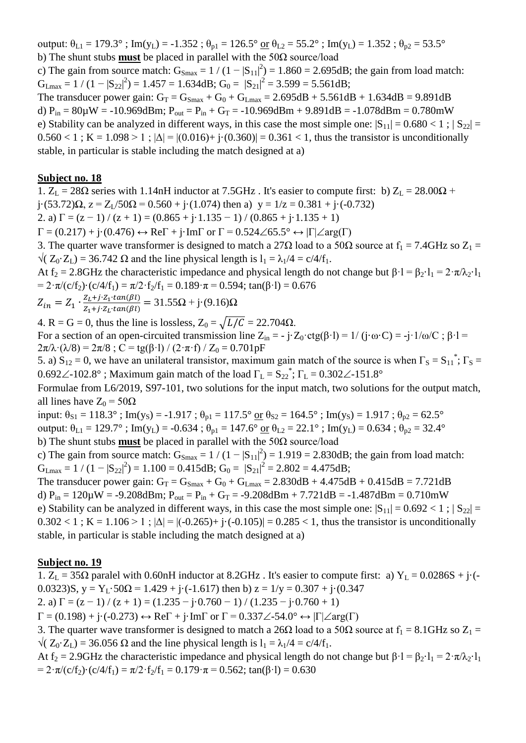output:  $\theta_{L1} = 179.3^\circ$ ; Im(y<sub>L</sub>) = -1.352;  $\theta_{p1} = 126.5^\circ$  or  $\theta_{L2} = 55.2^\circ$ ; Im(y<sub>L</sub>) = 1.352;  $\theta_{p2} = 53.5^\circ$ b) The shunt stubs **must** be placed in parallel with the 50Ω source/load

c) The gain from source match:  $G_{\text{Smax}} = 1/(1-|S_{11}|^2) = 1.860 = 2.695dB$ ; the gain from load match:  $G_{\text{Lmax}} = 1 / (1 - |S_{22}|^2) = 1.457 = 1.634 \text{dB}; G_0 = |S_{21}|^2 = 3.599 = 5.561 \text{dB};$ 

The transducer power gain:  $G_T = G_{Smax} + G_0 + G_{Lmax} = 2.695dB + 5.561dB + 1.634dB = 9.891dB$ d)  $P_{in} = 80\mu$ W = -10.969dBm;  $P_{out} = P_{in} + G_T = -10.969d$ Bm + 9.891dB = -1.078dBm = 0.780mW e) Stability can be analyzed in different ways, in this case the most simple one:  $|S_{11}| = 0.680 < 1$ ;  $|S_{22}| =$  $0.560 < 1$ ; K = 1.098 > 1;  $|\Delta| = |(0.016) + i(0.360)| = 0.361 < 1$ , thus the transistor is unconditionally stable, in particular is stable including the match designed at a)

#### **Subject no. 18**

1.  $Z_L = 28\Omega$  series with 1.14nH inductor at 7.5GHz. It's easier to compute first: b)  $Z_L = 28.00\Omega$  + j·(53.72) $\Omega$ ,  $z = Z_L/50\Omega = 0.560 + j\cdot(1.074)$  then a)  $y = 1/z = 0.381 + j\cdot(-0.732)$ 2. a)  $\Gamma = (z - 1) / (z + 1) = (0.865 + j \cdot 1.135 - 1) / (0.865 + j \cdot 1.135 + 1)$  $\Gamma = (0.217) + \mathbf{j} \cdot (0.476) \leftrightarrow \text{Re}\Gamma + \mathbf{j} \cdot \text{Im}\Gamma$  or  $\Gamma = 0.524 \angle 65.5^{\circ} \leftrightarrow |\Gamma| \angle \text{arg}(\Gamma)$ 3. The quarter wave transformer is designed to match a 27 $\Omega$  load to a 50 $\Omega$  source at  $f_1 = 7.4 \text{GHz}$  so  $Z_1 =$  $\sqrt{(Z_0 \cdot Z_1)} = 36.742 \Omega$  and the line physical length is  $l_1 = \lambda_1/4 = c/4/f_1$ . At f<sub>2</sub> = 2.8GHz the characteristic impedance and physical length do not change but  $\beta \cdot 1 = \beta_2 \cdot 1_1 = 2 \cdot \pi / \lambda_2 \cdot 1_1$ =  $2 \cdot \pi/(c/f_2) \cdot (c/4/f_1) = \pi/2 \cdot f_2/f_1 = 0.189 \cdot \pi = 0.594$ ; tan( $\beta \cdot 1$ ) = 0.676  $Z_{in} = Z_1 \cdot \frac{Z}{Z}$  $\frac{Z_L + j \cdot Z_1 \cdot tan(\beta t)}{Z_1 + j \cdot Z_L \cdot tan(\beta t)} = 31.55\Omega + j \cdot (9.16)\Omega$ 4. R = G = 0, thus the line is lossless,  $Z_0 = \sqrt{L/C} = 22.704\Omega$ . For a section of an open-circuited transmission line  $Z_{in} = -j \cdot Z_0 \cdot ctg(\beta \cdot l) = 1/(j \cdot \omega \cdot C) = -j \cdot 1/\omega/C$ ;  $\beta \cdot l =$  $2\pi/\lambda \cdot (\lambda/8) = 2\pi/8$ ; C = tg( $\beta$ ·l) / (2· $\pi$ ·f) / Z<sub>0</sub> = 0.701pF 5. a)  $S_{12} = 0$ , we have an unilateral transistor, maximum gain match of the source is when  $\Gamma_s = S_{11}^*$ ;  $\Gamma_s =$ 0.692 $\angle$ -102.8°; Maximum gain match of the load  $\Gamma_L = S_{22}^*$ ;  $\Gamma_L = 0.302 \angle$ -151.8° Formulae from L6/2019, S97-101, two solutions for the input match, two solutions for the output match, all lines have  $Z_0 = 50Ω$ input:  $\theta_{S1} = 118.3^\circ$ ; Im(y<sub>S</sub>) = -1.917;  $\theta_{p1} = 117.5^\circ$  or  $\theta_{S2} = 164.5^\circ$ ; Im(y<sub>S</sub>) = 1.917;  $\theta_{p2} = 62.5^\circ$ output:  $\theta_{L1} = 129.7^\circ$ ; Im(y<sub>L</sub>) = -0.634;  $\theta_{p1} = 147.6^\circ$  or  $\theta_{L2} = 22.1^\circ$ ; Im(y<sub>L</sub>) = 0.634;  $\theta_{p2} = 32.4^\circ$ b) The shunt stubs **must** be placed in parallel with the 50Ω source/load c) The gain from source match:  $G_{\text{Smax}} = 1/(1-|S_{11}|^2) = 1.919 = 2.830dB$ ; the gain from load match:  $G_{Lmax} = 1 / (1 - |S_{22}|^2) = 1.100 = 0.415 dB$ ;  $G_0 = |S_{21}|^2 = 2.802 = 4.475 dB$ ; The transducer power gain:  $G_T = G_{Smax} + G_0 + G_{Lmax} = 2.830dB + 4.475dB + 0.415dB = 7.721dB$ d)  $P_{in} = 120 \mu W = -9.208$ dBm;  $P_{out} = P_{in} + G_T = -9.208$ dBm + 7.721dB = -1.487dBm = 0.710mW e) Stability can be analyzed in different ways, in this case the most simple one:  $|S_{11}| = 0.692 < 1$ ;  $|S_{22}| =$ 

 $0.302 < 1$ ; K = 1.106 > 1;  $|\Delta| = |(-0.265) + (-0.105)| = 0.285 < 1$ , thus the transistor is unconditionally stable, in particular is stable including the match designed at a)

### **Subject no. 19**

1.  $Z_L = 35\Omega$  paralel with 0.60nH inductor at 8.2GHz. It's easier to compute first: a)  $Y_L = 0.0286S + j\cdot(-1)$ 0.0323)S,  $y = Y_L \cdot 50\Omega = 1.429 + i \cdot (-1.617)$  then b)  $z = 1/y = 0.307 + i \cdot (0.347)$ 

2. a)  $\Gamma = (z - 1) / (z + 1) = (1.235 - i \cdot 0.760 - 1) / (1.235 - i \cdot 0.760 + 1)$ 

 $\Gamma = (0.198) + i \cdot (-0.273) \leftrightarrow \text{Re} \Gamma + i \cdot \text{Im} \Gamma$  or  $\Gamma = 0.337 \angle 54.0^{\circ} \leftrightarrow |\Gamma| \angle \text{arg}(\Gamma)$ 

3. The quarter wave transformer is designed to match a 26 $\Omega$  load to a 50 $\Omega$  source at  $f_1 = 8.1 \text{GHz}$  so  $Z_1 =$  $\sqrt{(Z_0 \cdot Z_1)} = 36.056 \Omega$  and the line physical length is  $l_1 = \lambda_1/4 = c/4/f_1$ .

At f<sub>2</sub> = 2.9GHz the characteristic impedance and physical length do not change but  $\beta \cdot 1 = \beta_2 \cdot 1_1 = 2 \cdot \pi / \lambda_2 \cdot 1_1$ =  $2 \cdot \pi/(c/f_2) \cdot (c/4/f_1) = \pi/2 \cdot f_2/f_1 = 0.179 \cdot \pi = 0.562$ ; tan( $\beta \cdot l$ ) = 0.630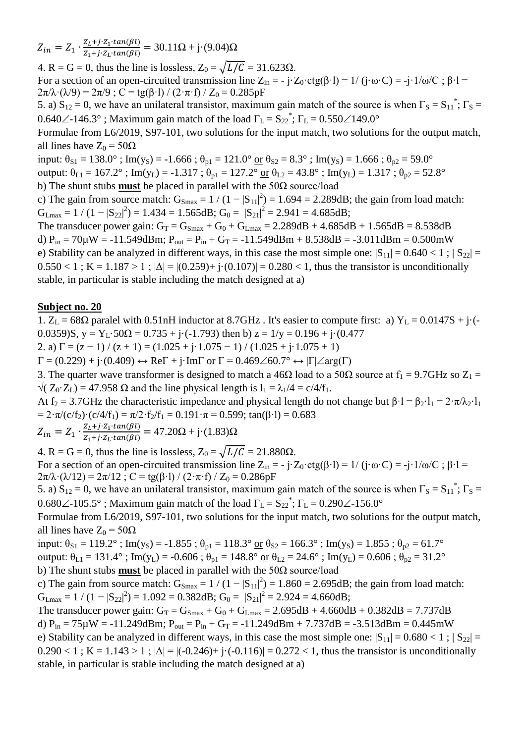$Z_{in} = Z_1 \cdot \frac{Z}{Z}$  $\frac{Z_L + j \cdot Z_1 \cdot tan(\beta t)}{Z_1 + j \cdot Z_L \cdot tan(\beta t)} = 30.11 \Omega + j \cdot (9.04) \Omega$ 

4. R = G = 0, thus the line is lossless,  $Z_0 = \sqrt{L/C} = 31.623\Omega$ . For a section of an open-circuited transmission line  $Z_{in} = -j \cdot Z_0 \cdot ctg(\beta \cdot l) = 1/(j \cdot \omega \cdot C) = -j \cdot 1/\omega/C$ ;  $\beta \cdot l =$  $2\pi/\lambda \cdot (\lambda/9) = 2\pi/9$ ; C = tg( $\beta$ ·l) / (2· $\pi$ ·f) / Z<sub>0</sub> = 0.285pF

5. a)  $S_{12} = 0$ , we have an unilateral transistor, maximum gain match of the source is when  $\Gamma_S = S_{11}^*$ ;  $\Gamma_S =$ 0.640 $\angle$ -146.3°; Maximum gain match of the load  $\Gamma_L = S_{22}^*$ ;  $\Gamma_L = 0.550 \angle 149.0^\circ$ 

Formulae from L6/2019, S97-101, two solutions for the input match, two solutions for the output match, all lines have  $Z_0 = 50\Omega$ 

input:  $\theta_{S1} = 138.0^\circ$ ; Im(y<sub>S</sub>) = -1.666;  $\theta_{p1} = 121.0^\circ$  or  $\theta_{S2} = 8.3^\circ$ ; Im(y<sub>S</sub>) = 1.666;  $\theta_{p2} = 59.0^\circ$ output:  $\theta_{L1} = 167.2^\circ$ ; Im(y<sub>L</sub>) = -1.317;  $\theta_{p1} = 127.2^\circ$  or  $\theta_{L2} = 43.8^\circ$ ; Im(y<sub>L</sub>) = 1.317;  $\theta_{p2} = 52.8^\circ$ 

b) The shunt stubs **must** be placed in parallel with the 50Ω source/load

c) The gain from source match:  $G_{Smax} = 1/(1-|S_{11}|^2) = 1.694 = 2.289dB$ ; the gain from load match:  $G_{Lmax} = 1 / (1 - |S_{22}|^2) = 1.434 = 1.565 dB; G_0 = |S_{21}|^2 = 2.941 = 4.685 dB;$ 

The transducer power gain:  $G_T = G_{Smax} + G_0 + G_{Lmax} = 2.289dB + 4.685dB + 1.565dB = 8.538dB$ d)  $P_{in} = 70\mu W = -11.549dBm$ ;  $P_{out} = P_{in} + G_T = -11.549dBm + 8.538dB = -3.011dBm = 0.500mW$ e) Stability can be analyzed in different ways, in this case the most simple one:  $|S_{11}| = 0.640 < 1$ ;  $|S_{22}| =$  $0.550 < 1$ ; K = 1.187 > 1;  $|\Delta| = |(0.259) + |(0.107)| = 0.280 < 1$ , thus the transistor is unconditionally stable, in particular is stable including the match designed at a)

### **Subject no. 20**

1.  $Z_L = 68\Omega$  paralel with 0.51nH inductor at 8.7GHz. It's easier to compute first: a)  $Y_L = 0.0147S + j\cdot(-1.0147S)$ 0.0359)S,  $y = Y_L \cdot 50\Omega = 0.735 + i \cdot (-1.793)$  then b)  $z = 1/y = 0.196 + i \cdot (0.477)$ 

2. a)  $\Gamma = (z - 1) / (z + 1) = (1.025 + i \cdot 1.075 - 1) / (1.025 + i \cdot 1.075 + 1)$ 

 $\Gamma = (0.229) + \mathfrak{j} \cdot (0.409) \leftrightarrow \text{Re}\Gamma + \mathfrak{j} \cdot \text{Im}\Gamma$  or  $\Gamma = 0.469\angle 60.7^{\circ} \leftrightarrow |\Gamma| \angle \text{arg}(\Gamma)$ 

3. The quarter wave transformer is designed to match a 46 $\Omega$  load to a 50 $\Omega$  source at  $f_1 = 9.7$ GHz so  $Z_1 =$  $\sqrt{(Z_0 \cdot Z_1)} = 47.958 \Omega$  and the line physical length is  $1_1 = \lambda_1/4 = c/4/f_1$ .

At f<sub>2</sub> = 3.7GHz the characteristic impedance and physical length do not change but  $\beta$ ·l =  $\beta$ <sub>2</sub>·l<sub>1</sub> =  $2 \cdot \pi / \lambda$ <sup>2</sup>·l<sub>1</sub> =  $2 \cdot \pi/(c/f_2) \cdot (c/4/f_1) = \pi/2 \cdot f_2/f_1 = 0.191 \cdot \pi = 0.599$ ; tan( $\beta \cdot l$ ) = 0.683

 $Z_{in} = Z_1 \cdot \frac{Z}{Z}$  $\frac{Z_L + j \cdot Z_1 \cdot tan(\beta t)}{Z_1 + j \cdot Z_L \cdot tan(\beta t)} = 47.20\Omega + j \cdot (1.83)\Omega$ 

4. R = G = 0, thus the line is lossless,  $Z_0 = \sqrt{L/C} = 21.880\Omega$ . For a section of an open-circuited transmission line  $Z_{in} = -j \cdot Z_0 \cdot \text{ctg}(\beta \cdot l) = 1/(j \cdot \omega \cdot C) = -j \cdot 1/\omega/C$ ;  $\beta \cdot l =$ 

 $2\pi/\lambda \cdot (\lambda/12) = 2\pi/12$ ; C = tg( $\beta$ ·l) / (2·π·f) / Z<sub>0</sub> = 0.286pF

5. a)  $S_{12} = 0$ , we have an unilateral transistor, maximum gain match of the source is when  $\Gamma_S = S_{11}^*$ ;  $\Gamma_S =$ 0.680 $\angle$ -105.5°; Maximum gain match of the load  $\Gamma_L = S_{22}^*$ ;  $\Gamma_L = 0.290 \angle$ -156.0°

Formulae from L6/2019, S97-101, two solutions for the input match, two solutions for the output match, all lines have  $Z_0 = 50\Omega$ 

input:  $\theta_{S1} = 119.2^\circ$ ; Im(y<sub>S</sub>) = -1.855;  $\theta_{p1} = 118.3^\circ$  or  $\theta_{S2} = 166.3^\circ$ ; Im(y<sub>S</sub>) = 1.855;  $\theta_{p2} = 61.7^\circ$ output:  $\theta_{L1} = 131.4^\circ$ ; Im(y<sub>L</sub>) = -0.606;  $\theta_{p1} = 148.8^\circ$  or  $\theta_{L2} = 24.6^\circ$ ; Im(y<sub>L</sub>) = 0.606;  $\theta_{p2} = 31.2^\circ$ b) The shunt stubs **must** be placed in parallel with the 50Ω source/load

c) The gain from source match:  $G_{Smax} = 1/(1-|S_{11}|^2) = 1.860 = 2.695dB$ ; the gain from load match:  $G_{\text{Lmax}} = 1 / (1 - |S_{22}|^2) = 1.092 = 0.382 \text{dB}; G_0 = |S_{21}|^2 = 2.924 = 4.660 \text{dB};$ 

The transducer power gain:  $G_T = G_{Smax} + G_0 + G_{Lmax} = 2.695dB + 4.660dB + 0.382dB = 7.737dB$ d)  $P_{in} = 75 \mu W = -11.249$ dBm;  $P_{out} = P_{in} + G_T = -11.249$ dBm + 7.737dB = -3.513dBm = 0.445mW e) Stability can be analyzed in different ways, in this case the most simple one:  $|S_{11}| = 0.680 < 1$ ;  $|S_{22}| =$  $0.290 < 1$ ; K = 1.143 > 1;  $|\Delta| = |(-0.246) + (-0.116)| = 0.272 < 1$ , thus the transistor is unconditionally stable, in particular is stable including the match designed at a)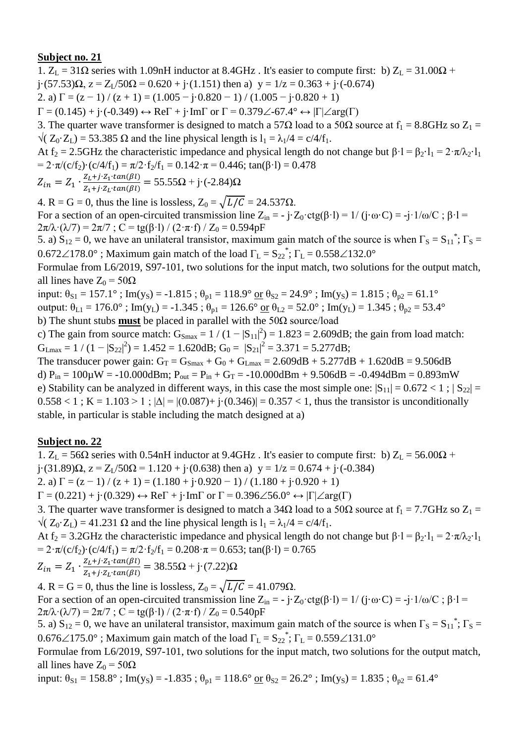1.  $Z_L = 31\Omega$  series with 1.09nH inductor at 8.4GHz. It's easier to compute first: b)  $Z_L = 31.00\Omega$  +

 $j \cdot (57.53)\Omega$ ,  $z = Z_1/50\Omega = 0.620 + j \cdot (1.151)$  then a)  $y = 1/z = 0.363 + j \cdot (-0.674)$ 

2. a)  $\Gamma = (z - 1) / (z + 1) = (1.005 - i \cdot 0.820 - 1) / (1.005 - i \cdot 0.820 + 1)$ 

 $\Gamma = (0.145) + \mathrm{i} \cdot (-0.349) \leftrightarrow \mathrm{Re} \Gamma + \mathrm{i} \cdot \mathrm{Im} \Gamma$  or  $\Gamma = 0.379 \angle -67.4^{\circ} \leftrightarrow |\Gamma| \angle \mathrm{arg}(\Gamma)$ 

3. The quarter wave transformer is designed to match a 57 $\Omega$  load to a 50 $\Omega$  source at  $f_1 = 8.8\text{GHz}$  so  $Z_1 =$  $\sqrt{(Z_0 \cdot Z_1)} = 53.385 \Omega$  and the line physical length is  $l_1 = \lambda_1/4 = c/4/f_1$ .

At f<sub>2</sub> = 2.5GHz the characteristic impedance and physical length do not change but  $\beta \cdot l = \beta_2 \cdot l_1 = 2 \cdot \pi / \lambda_2 \cdot l_1$ =  $2 \cdot \pi/(c/f_2) \cdot (c/4/f_1) = \pi/2 \cdot f_2/f_1 = 0.142 \cdot \pi = 0.446$ ; tan( $\beta \cdot l$ ) = 0.478

$$
Z_{in} = Z_1 \cdot \frac{Z_L + j \cdot Z_1 \cdot tan(\beta l)}{Z_1 + j \cdot Z_L \cdot tan(\beta l)} = 55.55 \Omega + j \cdot (-2.84) \Omega
$$

4. R = G = 0, thus the line is lossless,  $Z_0 = \sqrt{L/C} = 24.537 \Omega$ .

For a section of an open-circuited transmission line  $Z_{in} = -j \cdot Z_0 \cdot ctg(\beta \cdot l) = 1/(j \cdot \omega \cdot C) = -j \cdot 1/\omega/C$ ;  $\beta \cdot l =$  $2\pi/\lambda \cdot (\lambda/7) = 2\pi/7$ ; C = tg( $\beta$ ·l) / (2· $\pi$ ·f) / Z<sub>0</sub> = 0.594pF

5. a)  $S_{12} = 0$ , we have an unilateral transistor, maximum gain match of the source is when  $\Gamma_S = S_{11}^*$ ;  $\Gamma_S =$  $0.672\angle 178.0^{\circ}$  ; Maximum gain match of the load  $\Gamma_{\rm L} = S_{22}^*$ ;  $\Gamma_{\rm L} = 0.558\angle 132.0^{\circ}$ 

Formulae from L6/2019, S97-101, two solutions for the input match, two solutions for the output match, all lines have  $Z_0 = 50\Omega$ 

input:  $\theta_{S1} = 157.1^\circ$ ; Im(y<sub>S</sub>) = -1.815;  $\theta_{p1} = 118.9^\circ$  or  $\theta_{S2} = 24.9^\circ$ ; Im(y<sub>S</sub>) = 1.815;  $\theta_{p2} = 61.1^\circ$ output:  $\theta_{L1} = 176.0^{\circ}$ ; Im(y<sub>L</sub>) = -1.345;  $\theta_{p1} = 126.6^{\circ}$  or  $\theta_{L2} = 52.0^{\circ}$ ; Im(y<sub>L</sub>) = 1.345;  $\theta_{p2} = 53.4^{\circ}$ b) The shunt stubs **must** be placed in parallel with the 50Ω source/load

c) The gain from source match:  $G_{\text{Smax}} = 1/(1-|S_{11}|^2) = 1.823 = 2.609dB$ ; the gain from load match:  $G_{Lmax} = 1 / (1 - |S_{22}|^2) = 1.452 = 1.620dB; G_0 = |S_{21}|^2 = 3.371 = 5.277dB;$ 

The transducer power gain:  $G_T = G_{Smax} + G_0 + G_{Lmax} = 2.609dB + 5.277dB + 1.620dB = 9.506dB$ d)  $P_{in} = 100\mu$ W = -10.000dBm;  $P_{out} = P_{in} + G_T = -10.000d$ Bm + 9.506dB = -0.494dBm = 0.893mW e) Stability can be analyzed in different ways, in this case the most simple one:  $|S_{11}| = 0.672 < 1$ ;  $|S_{22}| =$  $0.558 < 1$ ; K = 1.103 > 1;  $|\Delta| = |(0.087) + i(0.346)| = 0.357 < 1$ , thus the transistor is unconditionally stable, in particular is stable including the match designed at a)

### **Subject no. 22**

1.  $Z_L$  = 56 $\Omega$  series with 0.54nH inductor at 9.4GHz. It's easier to compute first: b)  $Z_L$  = 56.00 $\Omega$  + j·(31.89) $\Omega$ ,  $z = Z_1/50\Omega = 1.120 + j(0.638)$  then a)  $y = 1/z = 0.674 + j(-0.384)$ 

2. a)  $\Gamma = (z - 1) / (z + 1) = (1.180 + i0.920 - 1) / (1.180 + i0.920 + 1)$ 

 $\Gamma = (0.221) + \mathbf{j} \cdot (0.329) \leftrightarrow \text{Re}\Gamma + \mathbf{j} \cdot \text{Im}\Gamma$  or  $\Gamma = 0.396\angle 56.0^{\circ} \leftrightarrow |\Gamma| \angle \text{arg}(\Gamma)$ 

3. The quarter wave transformer is designed to match a 34 $\Omega$  load to a 50 $\Omega$  source at  $f_1 = 7.7$ GHz so  $Z_1 =$  $\sqrt{(Z_0 \cdot Z_1)} = 41.231 \Omega$  and the line physical length is  $l_1 = \lambda_1/4 = c/4/f_1$ .

At f<sub>2</sub> = 3.2GHz the characteristic impedance and physical length do not change but  $\beta \cdot 1 = \beta_2 \cdot 1_1 = 2 \cdot \pi / \lambda_2 \cdot 1_1$ =  $2 \cdot \pi/(c/f_2) \cdot (c/4/f_1) = \pi/2 \cdot f_2/f_1 = 0.208 \cdot \pi = 0.653$ ; tan( $\beta \cdot l$ ) = 0.765

$$
Z_{in} = Z_1 \cdot \frac{Z_L + j \cdot Z_1 \cdot tan(\beta l)}{Z_1 + j \cdot Z_L \cdot tan(\beta l)} = 38.55 \Omega + j \cdot (7.22) \Omega
$$

4. R = G = 0, thus the line is lossless,  $Z_0 = \sqrt{L/C} = 41.079\Omega$ . For a section of an open-circuited transmission line  $Z_{in} = -j \cdot Z_0 \cdot \text{ctg}(\beta \cdot l) = 1/(j \cdot \omega \cdot C) = -j \cdot 1/\omega/C$ ;  $\beta \cdot l =$  $2\pi/\lambda \cdot (\lambda/7) = 2\pi/7$ ; C = tg( $\beta$ ·l) / (2· $\pi$ ·f) / Z<sub>0</sub> = 0.540pF

5. a)  $S_{12} = 0$ , we have an unilateral transistor, maximum gain match of the source is when  $\Gamma_S = S_{11}^*$ ;  $\Gamma_S =$ 0.676 $\angle$ 175.0°; Maximum gain match of the load  $\Gamma_{\text{L}} = S_{22}^*$ ;  $\Gamma_{\text{L}} = 0.559 \angle 131.0^{\circ}$ 

Formulae from L6/2019, S97-101, two solutions for the input match, two solutions for the output match, all lines have  $Z_0 = 50\Omega$ 

input:  $\theta_{S1} = 158.8^\circ$ ; Im(y<sub>S</sub>) = -1.835;  $\theta_{p1} = 118.6^\circ$  or  $\theta_{S2} = 26.2^\circ$ ; Im(y<sub>S</sub>) = 1.835;  $\theta_{p2} = 61.4^\circ$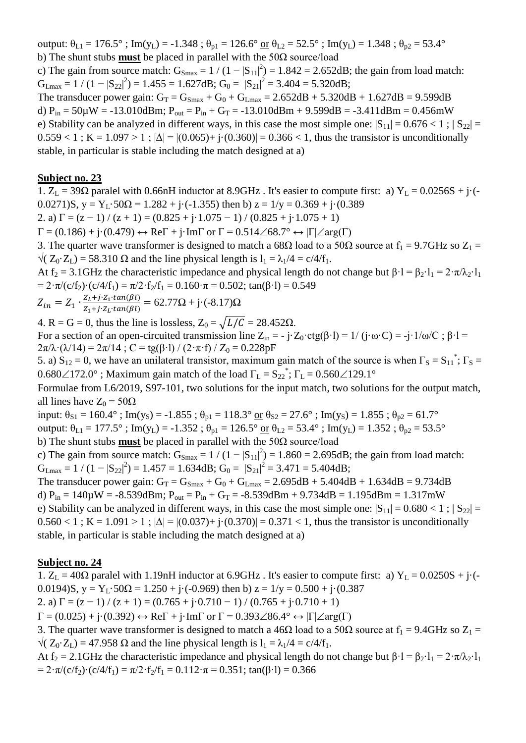output:  $\theta_{L1} = 176.5^\circ$ ; Im(y<sub>L</sub>) = -1.348;  $\theta_{p1} = 126.6^\circ$  or  $\theta_{L2} = 52.5^\circ$ ; Im(y<sub>L</sub>) = 1.348;  $\theta_{p2} = 53.4^\circ$ b) The shunt stubs **must** be placed in parallel with the 50Ω source/load

c) The gain from source match:  $G_{\text{Smax}} = 1/(1-|S_{11}|^2) = 1.842 = 2.652dB$ ; the gain from load match:  $G_{Lmax} = 1 / (1 - |S_{22}|^2) = 1.455 = 1.627dB$ ;  $G_0 = |S_{21}|^2 = 3.404 = 5.320dB$ ;

The transducer power gain:  $G_T = G_{Smax} + G_0 + G_{Lmax} = 2.652dB + 5.320dB + 1.627dB = 9.599dB$ d)  $P_{in} = 50\mu$ W = -13.010dBm;  $P_{out} = P_{in} + G_T = -13.010$ dBm + 9.599dB = -3.411dBm = 0.456mW e) Stability can be analyzed in different ways, in this case the most simple one:  $|S_{11}| = 0.676 < 1$ ;  $|S_{22}| =$  $0.559 < 1$ ; K = 1.097 > 1;  $|\Delta| = |(0.065) + i(0.360)| = 0.366 < 1$ , thus the transistor is unconditionally stable, in particular is stable including the match designed at a)

#### **Subject no. 23**

1.  $Z_L = 39\Omega$  paralel with 0.66nH inductor at 8.9GHz. It's easier to compute first: a)  $Y_L = 0.0256S + j\cdot(-1)$ 0.0271)S,  $y = Y_L \cdot 50\Omega = 1.282 + j \cdot (-1.355)$  then b)  $z = 1/y = 0.369 + j \cdot (0.389)$ 

2. a)  $\Gamma = (z - 1) / (z + 1) = (0.825 + j \cdot 1.075 - 1) / (0.825 + j \cdot 1.075 + 1)$ 

 $\Gamma = (0.186) + \mathfrak{j} \cdot (0.479) \leftrightarrow \text{Re}\Gamma + \mathfrak{j} \cdot \text{Im}\Gamma$  or  $\Gamma = 0.514 \angle 68.7^{\circ} \leftrightarrow |\Gamma| \angle \text{arg}(\Gamma)$ 

3. The quarter wave transformer is designed to match a 68 $\Omega$  load to a 50 $\Omega$  source at  $f_1 = 9.7$ GHz so  $Z_1 =$  $\sqrt{(Z_0 \cdot Z_1)} = 58.310 \Omega$  and the line physical length is  $l_1 = \lambda_1/4 = c/4/f_1$ .

At f<sub>2</sub> = 3.1GHz the characteristic impedance and physical length do not change but  $\beta \cdot 1 = \beta_2 \cdot 1_1 = 2 \cdot \pi / \lambda_2 \cdot 1_1$ =  $2 \cdot \pi/(c/f_2) \cdot (c/4/f_1) = \pi/2 \cdot f_2/f_1 = 0.160 \cdot \pi = 0.502$ ; tan( $\beta \cdot l$ ) = 0.549

$$
Z_{in} = Z_1 \cdot \frac{Z_L + j \cdot Z_1 \cdot tan(\beta l)}{Z_1 + j \cdot Z_L \cdot tan(\beta l)} = 62.77 \Omega + j \cdot (-8.17) \Omega
$$

4. R = G = 0, thus the line is lossless,  $Z_0 = \sqrt{L/C} = 28.452\Omega$ .

For a section of an open-circuited transmission line  $Z_{in} = -j \cdot Z_0 \cdot ctg(\beta \cdot l) = 1/(j \cdot \omega \cdot C) = -j \cdot 1/\omega/C$ ;  $\beta \cdot l =$  $2\pi/\lambda \cdot (\lambda/14) = 2\pi/14$ ; C = tg( $\beta$ ·l) / (2·π·f) / Z<sub>0</sub> = 0.228pF

5. a)  $S_{12} = 0$ , we have an unilateral transistor, maximum gain match of the source is when  $\Gamma_s = S_{11}^*$ ;  $\Gamma_s =$  $0.680\angle 172.0^{\circ}$  ; Maximum gain match of the load  $\Gamma_{\rm L} = S_{22}^*$ ;  $\Gamma_{\rm L} = 0.560\angle 129.1^{\circ}$ 

Formulae from L6/2019, S97-101, two solutions for the input match, two solutions for the output match, all lines have  $Z_0 = 50\Omega$ 

input:  $\theta_{S1} = 160.4^\circ$ ; Im(y<sub>S</sub>) = -1.855;  $\theta_{p1} = 118.3^\circ$  or  $\theta_{S2} = 27.6^\circ$ ; Im(y<sub>S</sub>) = 1.855;  $\theta_{p2} = 61.7^\circ$ 

output:  $\theta_{L1} = 177.5^\circ$ ; Im(y<sub>L</sub>) = -1.352;  $\theta_{p1} = 126.5^\circ$  or  $\theta_{L2} = 53.4^\circ$ ; Im(y<sub>L</sub>) = 1.352;  $\theta_{p2} = 53.5^\circ$ 

b) The shunt stubs **must** be placed in parallel with the 50Ω source/load

c) The gain from source match:  $G_{\text{Smax}} = 1/(1-|S_{11}|^2) = 1.860 = 2.695dB$ ; the gain from load match:  $G_{\text{Lmax}} = 1 / (1 - |S_{22}|^2) = 1.457 = 1.634 \text{dB}; G_0 = |S_{21}|^2 = 3.471 = 5.404 \text{dB};$ 

The transducer power gain:  $G_T = G_{Smax} + G_0 + G_{Lmax} = 2.695dB + 5.404dB + 1.634dB = 9.734dB$ d)  $P_{in} = 140 \mu W = -8.539$ dBm;  $P_{out} = P_{in} + G_T = -8.539$ dBm + 9.734dB = 1.195dBm = 1.317mW e) Stability can be analyzed in different ways, in this case the most simple one:  $|S_{11}| = 0.680 < 1$ ;  $|S_{22}| =$  $0.560 < 1$ ; K = 1.091 > 1;  $|\Delta| = |(0.037) + i(0.370)| = 0.371 < 1$ , thus the transistor is unconditionally

stable, in particular is stable including the match designed at a)

### **Subject no. 24**

1.  $Z_L = 40\Omega$  paralel with 1.19nH inductor at 6.9GHz. It's easier to compute first: a)  $Y_L = 0.0250S + j\cdot(-1)$ 0.0194)S,  $y = Y_L \cdot 50\Omega = 1.250 + i \cdot (-0.969)$  then b)  $z = 1/y = 0.500 + i \cdot (0.387)$ 

2. a)  $\Gamma = (z - 1) / (z + 1) = (0.765 + i \cdot 0.710 - 1) / (0.765 + i \cdot 0.710 + 1)$ 

 $\Gamma = (0.025) + i(0.392) \leftrightarrow \text{Re}\Gamma + i\cdot\text{Im}\Gamma$  or  $\Gamma = 0.393\angle 86.4^{\circ} \leftrightarrow |\Gamma| \angle \text{arg}(\Gamma)$ 

3. The quarter wave transformer is designed to match a 46 $\Omega$  load to a 50 $\Omega$  source at  $f_1 = 9.4 \text{GHz}$  so  $Z_1 =$  $\sqrt{(Z_0 \cdot Z_1)} = 47.958 \Omega$  and the line physical length is  $l_1 = \lambda_1/4 = c/4/f_1$ .

At f<sub>2</sub> = 2.1GHz the characteristic impedance and physical length do not change but  $\beta \cdot 1 = \beta_2 \cdot 1_1 = 2 \cdot \pi / \lambda_2 \cdot 1_1$ =  $2 \cdot \pi/(c/f_2) \cdot (c/4/f_1) = \pi/2 \cdot f_2/f_1 = 0.112 \cdot \pi = 0.351$ ; tan( $\beta \cdot l$ ) = 0.366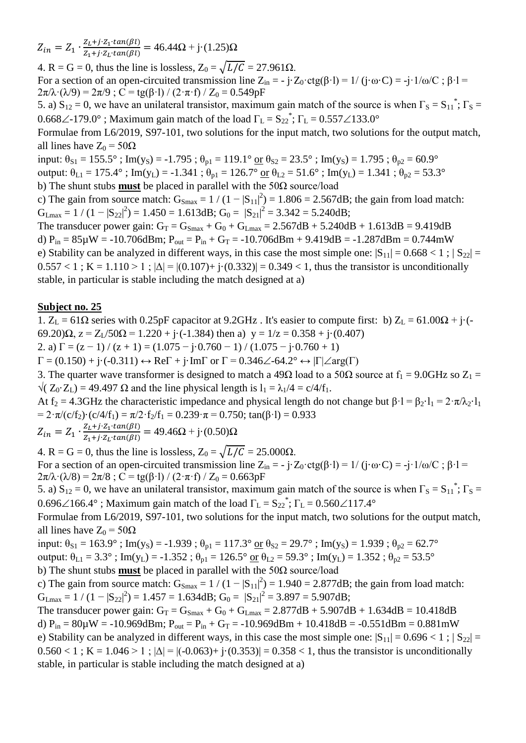$Z_{in} = Z_1 \cdot \frac{Z}{Z}$  $\frac{Z_L + j \cdot Z_1 \cdot tan(\beta t)}{Z_1 + j \cdot Z_L \cdot tan(\beta t)} = 46.44\Omega + j \cdot (1.25)\Omega$ 

4. R = G = 0, thus the line is lossless,  $Z_0 = \sqrt{L/C} = 27.961\Omega$ .

For a section of an open-circuited transmission line  $Z_{in} = -j \cdot Z_0 \cdot ctg(\beta \cdot l) = 1/(j \cdot \omega \cdot C) = -j \cdot 1/\omega/C$ ;  $\beta \cdot l =$  $2\pi/\lambda \cdot (\lambda/9) = 2\pi/9$ ; C = tg( $\beta$ ·l) / (2· $\pi$ ·f) / Z<sub>0</sub> = 0.549pF

5. a)  $S_{12} = 0$ , we have an unilateral transistor, maximum gain match of the source is when  $\Gamma_S = S_{11}^*$ ;  $\Gamma_S =$ 0.668 $\angle$ -179.0°; Maximum gain match of the load  $\Gamma_L = S_{22}^*$ ;  $\Gamma_L = 0.557 \angle 133.0^\circ$ 

Formulae from L6/2019, S97-101, two solutions for the input match, two solutions for the output match, all lines have  $Z_0 = 50\Omega$ 

input:  $\theta_{S1} = 155.5^\circ$ ; Im(y<sub>S</sub>) = -1.795;  $\theta_{p1} = 119.1^\circ$  or  $\theta_{S2} = 23.5^\circ$ ; Im(y<sub>S</sub>) = 1.795;  $\theta_{p2} = 60.9^\circ$ 

output:  $\theta_{L1} = 175.4^\circ$ ; Im(y<sub>L</sub>) = -1.341;  $\theta_{p1} = 126.7^\circ$  or  $\theta_{L2} = 51.6^\circ$ ; Im(y<sub>L</sub>) = 1.341;  $\theta_{p2} = 53.3^\circ$ 

b) The shunt stubs **must** be placed in parallel with the 50Ω source/load

c) The gain from source match:  $G_{\text{Smax}} = 1/(1-|S_{11}|^2) = 1.806 = 2.567dB$ ; the gain from load match:  $G_{\text{Lmax}} = 1 / (1 - |S_{22}|^2) = 1.450 = 1.613 \text{dB}; G_0 = |S_{21}|^2 = 3.342 = 5.240 \text{dB};$ 

The transducer power gain:  $G_T = G_{Smax} + G_0 + G_{Lmax} = 2.567dB + 5.240dB + 1.613dB = 9.419dB$ d)  $P_{in} = 85\mu W = -10.706$ dBm;  $P_{out} = P_{in} + G_T = -10.706$ dBm + 9.419dB = -1.287dBm = 0.744mW e) Stability can be analyzed in different ways, in this case the most simple one:  $|S_{11}| = 0.668 < 1$ ;  $|S_{22}| =$  $0.557 < 1$ ; K = 1.110 > 1;  $|\Delta| = |(0.107) + i(0.332)| = 0.349 < 1$ , thus the transistor is unconditionally stable, in particular is stable including the match designed at a)

## **Subject no. 25**

1. Z<sub>L</sub> = 61Ω series with 0.25pF capacitor at 9.2GHz. It's easier to compute first: b) Z<sub>L</sub> = 61.00Ω + j·(-69.20) $\Omega$ ,  $z = Z_1/50\Omega = 1.220 + i(-1.384)$  then a)  $y = 1/z = 0.358 + i(0.407)$ 

2. a)  $\Gamma = (z - 1) / (z + 1) = (1.075 - j \cdot 0.760 - 1) / (1.075 - j \cdot 0.760 + 1)$ 

 $\Gamma = (0.150) + j \cdot (-0.311) \leftrightarrow \text{Re}\Gamma + j \cdot \text{Im}\Gamma$  or  $\Gamma = 0.346\angle -64.2^{\circ} \leftrightarrow |\Gamma| \angle \text{arg}(\Gamma)$ 

3. The quarter wave transformer is designed to match a 49 $\Omega$  load to a 50 $\Omega$  source at  $f_1 = 9.0 \text{GHz}$  so  $Z_1 =$  $\sqrt{(Z_0 \cdot Z_1)} = 49.497 \Omega$  and the line physical length is  $l_1 = \lambda_1/4 = c/4/f_1$ .

At f<sub>2</sub> = 4.3GHz the characteristic impedance and physical length do not change but  $\beta$ ·l =  $\beta$ <sub>2</sub>·l<sub>1</sub> =  $2 \cdot \pi / \lambda$ <sup>2</sup>·l<sub>1</sub> =  $2 \cdot \pi/(c/f_2) \cdot (c/4/f_1) = \pi/2 \cdot f_2/f_1 = 0.239 \cdot \pi = 0.750$ ; tan( $\beta \cdot l$ ) = 0.933

 $Z_{in} = Z_1 \cdot \frac{Z}{Z}$  $\frac{Z_L + j \cdot Z_1 \cdot tan(\beta t)}{Z_1 + j \cdot Z_L \cdot tan(\beta t)} = 49.46\Omega + j \cdot (0.50)\Omega$ 

4. R = G = 0, thus the line is lossless,  $Z_0 = \sqrt{L/C} = 25.000\Omega$ . For a section of an open-circuited transmission line  $Z_{in} = -j \cdot Z_0 \cdot \text{ctg}(\beta \cdot l) = 1/(j \cdot \omega \cdot C) = -j \cdot 1/\omega/C$ ;  $\beta \cdot l =$  $2\pi/\lambda \cdot (\lambda/8) = 2\pi/8$ ; C = tg(β·l) / (2·π·f) / Z<sub>0</sub> = 0.663pF

5. a)  $S_{12} = 0$ , we have an unilateral transistor, maximum gain match of the source is when  $\Gamma_S = S_{11}^*$ ;  $\Gamma_S =$ 0.696 $\angle$ 166.4°; Maximum gain match of the load  $\Gamma_{\text{L}} = S_{22}^*$ ;  $\Gamma_{\text{L}} = 0.560\angle$ 117.4°

Formulae from L6/2019, S97-101, two solutions for the input match, two solutions for the output match, all lines have  $Z_0 = 50\Omega$ 

input:  $\theta_{S1} = 163.9^\circ$ ; Im(y<sub>S</sub>) = -1.939;  $\theta_{p1} = 117.3^\circ$  or  $\theta_{S2} = 29.7^\circ$ ; Im(y<sub>S</sub>) = 1.939;  $\theta_{p2} = 62.7^\circ$ output:  $\theta_{L1} = 3.3^\circ$ ; Im(y<sub>L</sub>) = -1.352;  $\theta_{p1} = 126.5^\circ$  or  $\theta_{L2} = 59.3^\circ$ ; Im(y<sub>L</sub>) = 1.352;  $\theta_{p2} = 53.5^\circ$ b) The shunt stubs **must** be placed in parallel with the 50Ω source/load

c) The gain from source match:  $G_{Smax} = 1/(1-|S_{11}|^2) = 1.940 = 2.877dB$ ; the gain from load match:  $G_{Lmax} = 1 / (1 - |S_{22}|^2) = 1.457 = 1.634 dB$ ;  $G_0 = |S_{21}|^2 = 3.897 = 5.907 dB$ ;

The transducer power gain:  $G_T = G_{Smax} + G_0 + G_{Lmax} = 2.877 dB + 5.907 dB + 1.634 dB = 10.418 dB$ d)  $P_{in} = 80\mu$ W = -10.969dBm;  $P_{out} = P_{in} + G_T = -10.969d$ Bm + 10.418dB = -0.551dBm = 0.881mW e) Stability can be analyzed in different ways, in this case the most simple one:  $|S_{11}| = 0.696 < 1$ ;  $|S_{22}| =$  $0.560 < 1$ ; K = 1.046 > 1;  $|\Delta| = |(-0.063) + (-0.353)| = 0.358 < 1$ , thus the transistor is unconditionally stable, in particular is stable including the match designed at a)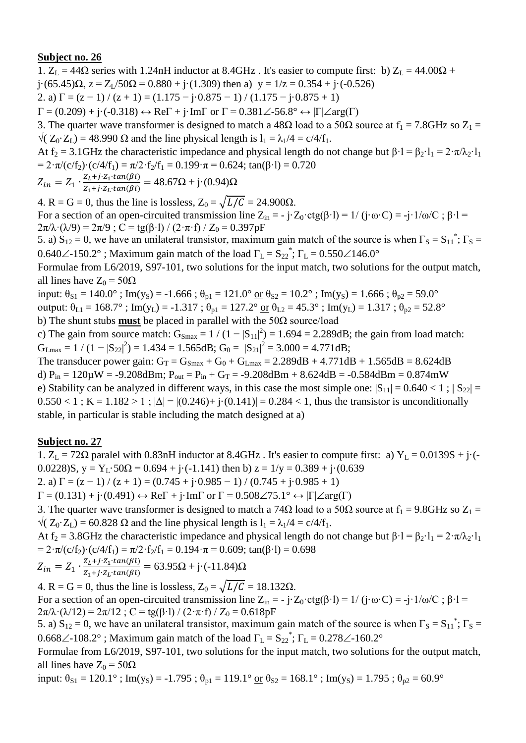1.  $Z_L = 44\Omega$  series with 1.24nH inductor at 8.4GHz. It's easier to compute first: b)  $Z_L = 44.00\Omega$  +  $j \cdot (65.45) \Omega$ ,  $z = Z_1/50 \Omega = 0.880 + j \cdot (1.309)$  then a)  $y = 1/z = 0.354 + j \cdot (-0.526)$ 2. a)  $\Gamma = (z - 1) / (z + 1) = (1.175 - j \cdot 0.875 - 1) / (1.175 - j \cdot 0.875 + 1)$  $\Gamma = (0.209) + \mathbf{j} \cdot (-0.318) \leftrightarrow \text{Re}\Gamma + \mathbf{j} \cdot \text{Im}\Gamma$  or  $\Gamma = 0.381 \angle 56.8^{\circ} \leftrightarrow |\Gamma| \angle \text{arg}(\Gamma)$ 3. The quarter wave transformer is designed to match a 48 $\Omega$  load to a 50 $\Omega$  source at  $f_1 = 7.8\text{GHz}$  so  $Z_1 =$  $\sqrt{(Z_0 \cdot Z_1)} = 48.990 \Omega$  and the line physical length is  $l_1 = \lambda_1/4 = c/4/f_1$ . At f<sub>2</sub> = 3.1GHz the characteristic impedance and physical length do not change but  $\beta \cdot l = \beta_2 \cdot l_1 = 2 \cdot \pi / \lambda_2 \cdot l_1$ =  $2 \cdot \pi/(c/f_2) \cdot (c/4/f_1) = \pi/2 \cdot f_2/f_1 = 0.199 \cdot \pi = 0.624$ ; tan( $\beta \cdot l$ ) = 0.720  $Z_{in} = Z_1 \cdot \frac{Z}{Z}$  $\frac{Z_L + j \cdot Z_1 \cdot tan(\beta t)}{Z_1 + j \cdot Z_L \cdot tan(\beta t)} = 48.67\Omega + j \cdot (0.94)\Omega$ 

4. R = G = 0, thus the line is lossless,  $Z_0 = \sqrt{L/C} = 24.900\Omega$ .

For a section of an open-circuited transmission line  $Z_{in} = -j \cdot Z_0 \cdot ctg(\beta \cdot l) = 1/(j \cdot \omega \cdot C) = -j \cdot 1/\omega/C$ ;  $\beta \cdot l =$  $2\pi/\lambda \cdot (\lambda/9) = 2\pi/9$ ; C = tg( $\beta$ ·l) / (2· $\pi$ ·f) / Z<sub>0</sub> = 0.397pF

5. a)  $S_{12} = 0$ , we have an unilateral transistor, maximum gain match of the source is when  $\Gamma_S = S_{11}^*$ ;  $\Gamma_S =$ 0.640 $\angle$ -150.2°; Maximum gain match of the load  $\Gamma_L = S_{22}^*$ ;  $\Gamma_L = 0.550 \angle 146.0^\circ$ 

Formulae from L6/2019, S97-101, two solutions for the input match, two solutions for the output match, all lines have  $Z_0 = 50\Omega$ 

input:  $\theta_{S1} = 140.0^\circ$ ; Im(y<sub>S</sub>) = -1.666;  $\theta_{p1} = 121.0^\circ$  or  $\theta_{S2} = 10.2^\circ$ ; Im(y<sub>S</sub>) = 1.666;  $\theta_{p2} = 59.0^\circ$ output:  $\theta_{L1} = 168.7^\circ$ ; Im(y<sub>L</sub>) = -1.317;  $\theta_{p1} = 127.2^\circ$  or  $\theta_{L2} = 45.3^\circ$ ; Im(y<sub>L</sub>) = 1.317;  $\theta_{p2} = 52.8^\circ$ b) The shunt stubs **must** be placed in parallel with the 50Ω source/load

c) The gain from source match:  $G_{\text{Smax}} = 1/(1-|S_{11}|^2) = 1.694 = 2.289dB$ ; the gain from load match:  $G_{\text{Lmax}} = 1 / (1 - |S_{22}|^2) = 1.434 = 1.565 dB; G_0 = |S_{21}|^2 = 3.000 = 4.771 dB;$ 

The transducer power gain:  $G_T = G_{Smax} + G_0 + G_{Lmax} = 2.289dB + 4.771dB + 1.565dB = 8.624dB$ d)  $P_{in} = 120 \mu W = -9.208$ dBm;  $P_{out} = P_{in} + G_T = -9.208$ dBm + 8.624dB = -0.584dBm = 0.874mW e) Stability can be analyzed in different ways, in this case the most simple one:  $|S_{11}| = 0.640 < 1$ ;  $|S_{22}| =$  $0.550 < 1$ ; K = 1.182 > 1;  $|\Delta| = |(0.246) + i(0.141)| = 0.284 < 1$ , thus the transistor is unconditionally stable, in particular is stable including the match designed at a)

### **Subject no. 27**

1.  $Z_L = 72\Omega$  paralel with 0.83nH inductor at 8.4GHz. It's easier to compute first: a)  $Y_L = 0.0139S + j\cdot(-1.0139S)$ 0.0228)S,  $y = Y_L \cdot 50\Omega = 0.694 + i \cdot (-1.141)$  then b)  $z = 1/y = 0.389 + i \cdot (0.639$ 

2. a)  $\Gamma = (z - 1) / (z + 1) = (0.745 + i \cdot 0.985 - 1) / (0.745 + i \cdot 0.985 + 1)$ 

 $\Gamma = (0.131) + \mathbf{j} \cdot (0.491) \leftrightarrow \text{Re}\Gamma + \mathbf{j} \cdot \text{Im}\Gamma$  or  $\Gamma = 0.508 \angle 75.1^{\circ} \leftrightarrow |\Gamma| \angle \text{arg}(\Gamma)$ 

3. The quarter wave transformer is designed to match a 74 $\Omega$  load to a 50 $\Omega$  source at  $f_1 = 9.8\text{GHz}$  so  $Z_1 =$  $\sqrt{(Z_0 \cdot Z_1)} = 60.828 \Omega$  and the line physical length is  $l_1 = \lambda_1/4 = c/4/f_1$ .

At f<sub>2</sub> = 3.8GHz the characteristic impedance and physical length do not change but  $\beta \cdot 1 = \beta_2 \cdot 1_1 = 2 \cdot \pi / \lambda_2 \cdot 1_1$ =  $2 \cdot \pi/(c/f_2) \cdot (c/4/f_1) = \pi/2 \cdot f_2/f_1 = 0.194 \cdot \pi = 0.609$ ; tan( $\beta \cdot l$ ) = 0.698

$$
Z_{in} = Z_1 \cdot \frac{Z_L + j \cdot Z_1 \cdot tan(\beta l)}{Z_1 + j \cdot Z_L \cdot tan(\beta l)} = 63.95\Omega + j \cdot (-11.84)\Omega
$$

4. R = G = 0, thus the line is lossless,  $Z_0 = \sqrt{L/C} = 18.132\Omega$ . For a section of an open-circuited transmission line  $Z_{in} = -j \cdot Z_0 \cdot \text{ctg}(\beta \cdot l) = 1/(j \cdot \omega \cdot C) = -j \cdot 1/\omega/C$ ;  $\beta \cdot l =$  $2\pi/\lambda \cdot (\lambda/12) = 2\pi/12$ ; C = tg( $\beta$ ·l) / (2·π·f) / Z<sub>0</sub> = 0.618pF

5. a)  $S_{12} = 0$ , we have an unilateral transistor, maximum gain match of the source is when  $\Gamma_S = S_{11}^*$ ;  $\Gamma_S =$ 0.668 $\angle$ -108.2°; Maximum gain match of the load  $\Gamma_L = S_{22}^*$ ;  $\Gamma_L = 0.278 \angle$ -160.2°

Formulae from L6/2019, S97-101, two solutions for the input match, two solutions for the output match, all lines have  $Z_0 = 50\Omega$ 

input:  $\theta_{S1} = 120.1^\circ$ ; Im(y<sub>S</sub>) = -1.795;  $\theta_{p1} = 119.1^\circ \text{ or } \theta_{S2} = 168.1^\circ$ ; Im(y<sub>S</sub>) = 1.795;  $\theta_{p2} = 60.9^\circ$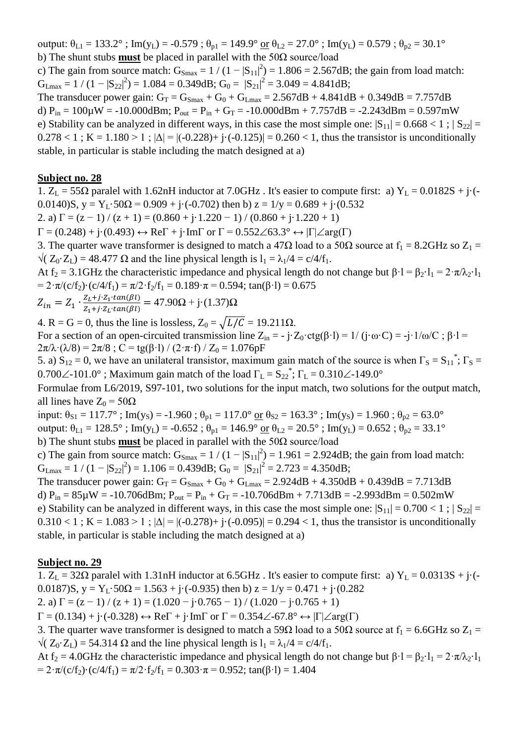output:  $\theta_{L1} = 133.2^\circ$ ; Im(y<sub>L</sub>) = -0.579;  $\theta_{p1} = 149.9^\circ$  or  $\theta_{L2} = 27.0^\circ$ ; Im(y<sub>L</sub>) = 0.579;  $\theta_{p2} = 30.1^\circ$ b) The shunt stubs **must** be placed in parallel with the 50Ω source/load

c) The gain from source match:  $G_{\text{Smax}} = 1/(1-|S_{11}|^2) = 1.806 = 2.567dB$ ; the gain from load match:  $G_{\text{Lmax}} = 1 / (1 - |S_{22}|^2) = 1.084 = 0.349$ dB;  $G_0 = |S_{21}|^2 = 3.049 = 4.841$ dB;

The transducer power gain:  $G_T = G_{Smax} + G_0 + G_{Lmax} = 2.567dB + 4.841dB + 0.349dB = 7.757dB$ d)  $P_{in} = 100\mu$ W = -10.000dBm;  $P_{out} = P_{in} + G_T = -10.000d$ Bm + 7.757dB = -2.243dBm = 0.597mW e) Stability can be analyzed in different ways, in this case the most simple one:  $|S_{11}| = 0.668 < 1$ ;  $|S_{22}| =$  $0.278 < 1$ ; K = 1.180 > 1;  $|\Delta| = |(-0.228) + (-0.125)| = 0.260 < 1$ , thus the transistor is unconditionally stable, in particular is stable including the match designed at a)

#### **Subject no. 28**

1.  $Z_L = 55\Omega$  paralel with 1.62nH inductor at 7.0GHz. It's easier to compute first: a)  $Y_L = 0.0182S + j\cdot(-1)$ 0.0140)S,  $y = Y_L \cdot 50\Omega = 0.909 + j \cdot (-0.702)$  then b)  $z = 1/y = 0.689 + j \cdot (0.532)$ 

2. a)  $\Gamma = (z - 1) / (z + 1) = (0.860 + j \cdot 1.220 - 1) / (0.860 + j \cdot 1.220 + 1)$ 

 $\Gamma = (0.248) + j \cdot (0.493) \leftrightarrow \text{Re}\Gamma + j \cdot \text{Im}\Gamma$  or  $\Gamma = 0.552 \angle 63.3^{\circ} \leftrightarrow |\Gamma| \angle \text{arg}(\Gamma)$ 

3. The quarter wave transformer is designed to match a 47 $\Omega$  load to a 50 $\Omega$  source at  $f_1 = 8.2\text{GHz}$  so  $Z_1 =$  $\sqrt{(Z_0 \cdot Z_1)} = 48.477 \Omega$  and the line physical length is  $l_1 = \lambda_1/4 = c/4/f_1$ .

At f<sub>2</sub> = 3.1GHz the characteristic impedance and physical length do not change but  $\beta \cdot 1 = \beta_2 \cdot 1_1 = 2 \cdot \pi / \lambda_2 \cdot 1_1$ =  $2 \cdot \pi/(c/f_2) \cdot (c/4/f_1) = \pi/2 \cdot f_2/f_1 = 0.189 \cdot \pi = 0.594$ ; tan( $\beta \cdot l$ ) = 0.675

$$
Z_{in} = Z_1 \cdot \frac{Z_L + j \cdot Z_1 \cdot \tan(\beta l)}{Z_1 + j \cdot Z_L \cdot \tan(\beta l)} = 47.90 \Omega + j \cdot (1.37) \Omega
$$

4. R = G = 0, thus the line is lossless,  $Z_0 = \sqrt{L/C} = 19.211 \Omega$ .

For a section of an open-circuited transmission line  $Z_{in} = -j \cdot Z_0 \cdot ctg(\beta \cdot l) = 1/(j \cdot \omega \cdot C) = -j \cdot 1/\omega/C$ ;  $\beta \cdot l =$  $2\pi/\lambda \cdot (\lambda/8) = 2\pi/8$ ; C = tg( $\beta$ ·l) / (2· $\pi$ ·f) / Z<sub>0</sub> = 1.076pF

5. a)  $S_{12} = 0$ , we have an unilateral transistor, maximum gain match of the source is when  $\Gamma_S = S_{11}^*$ ;  $\Gamma_S =$ 0.700 $\angle$ -101.0°; Maximum gain match of the load  $\Gamma_L = S_{22}^*$ ;  $\Gamma_L = 0.310 \angle$ -149.0°

Formulae from L6/2019, S97-101, two solutions for the input match, two solutions for the output match, all lines have  $Z_0 = 50\Omega$ 

input:  $\theta_{S1} = 117.7^\circ$ ; Im(y<sub>S</sub>) = -1.960;  $\theta_{p1} = 117.0^\circ$  or  $\theta_{S2} = 163.3^\circ$ ; Im(y<sub>S</sub>) = 1.960;  $\theta_{p2} = 63.0^\circ$ 

output:  $\theta_{L1} = 128.5^\circ$ ; Im(y<sub>L</sub>) = -0.652;  $\theta_{p1} = 146.9^\circ$  or  $\theta_{L2} = 20.5^\circ$ ; Im(y<sub>L</sub>) = 0.652;  $\theta_{p2} = 33.1^\circ$ 

b) The shunt stubs **must** be placed in parallel with the 50Ω source/load

c) The gain from source match:  $G_{\text{Smax}} = 1/(1-|S_{11}|^2) = 1.961 = 2.924dB$ ; the gain from load match:  $G_{Lmax} = 1 / (1 - |S_{22}|^2) = 1.106 = 0.439dB$ ;  $G_0 = |S_{21}|^2 = 2.723 = 4.350dB$ ;

The transducer power gain:  $G_T = G_{Smax} + G_0 + G_{Lmax} = 2.924 dB + 4.350 dB + 0.439 dB = 7.713 dB$ d)  $P_{in} = 85\mu W = -10.706$ dBm;  $P_{out} = P_{in} + G_T = -10.706$ dBm + 7.713dB = -2.993dBm = 0.502mW e) Stability can be analyzed in different ways, in this case the most simple one:  $|S_{11}| = 0.700 < 1$ ;  $|S_{22}| =$  $0.310 < 1$ ; K = 1.083 > 1;  $|\Delta| = |(-0.278) + (-0.095)| = 0.294 < 1$ , thus the transistor is unconditionally stable, in particular is stable including the match designed at a)

### **Subject no. 29**

1.  $Z_L = 32\Omega$  paralel with 1.31nH inductor at 6.5GHz. It's easier to compute first: a)  $Y_L = 0.0313S + j\cdot(-1.0313S)$ 0.0187)S,  $y = Y_L \cdot 50\Omega = 1.563 + i \cdot (-0.935)$  then b)  $z = 1/y = 0.471 + i \cdot (0.282)$ 

2. a)  $\Gamma = (z - 1) / (z + 1) = (1.020 - i \cdot 0.765 - 1) / (1.020 - i \cdot 0.765 + 1)$ 

 $\Gamma = (0.134) + i(-0.328) \leftrightarrow \text{Re}\Gamma + i\cdot\text{Im}\Gamma$  or  $\Gamma = 0.354\angle -67.8^{\circ} \leftrightarrow |\Gamma|\angle \text{arg}(\Gamma)$ 

3. The quarter wave transformer is designed to match a 59 $\Omega$  load to a 50 $\Omega$  source at  $f_1 = 6.6$ GHz so  $Z_1 =$  $\sqrt{(Z_0 \cdot Z_1)} = 54.314 \Omega$  and the line physical length is  $l_1 = \lambda_1/4 = c/4/f_1$ .

At f<sub>2</sub> = 4.0GHz the characteristic impedance and physical length do not change but  $\beta \cdot 1 = \beta_2 \cdot 1_1 = 2 \cdot \pi / \lambda_2 \cdot 1_1$ =  $2 \cdot \pi/(c/f_2) \cdot (c/4/f_1) = \pi/2 \cdot f_2/f_1 = 0.303 \cdot \pi = 0.952$ ; tan( $\beta \cdot l$ ) = 1.404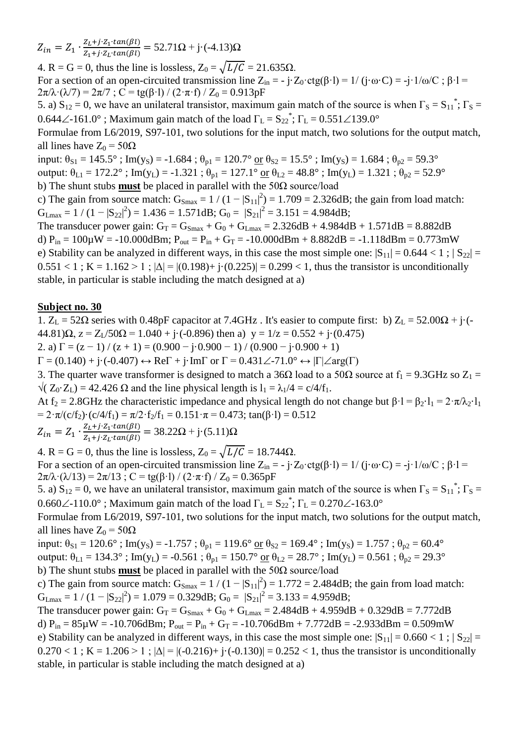$Z_{in} = Z_1 \cdot \frac{Z}{Z}$  $\frac{Z_L + j \cdot Z_1 \cdot tan(\beta t)}{Z_1 + j \cdot Z_L \cdot tan(\beta t)} = 52.71\Omega + j \cdot (-4.13)\Omega$ 

4. R = G = 0, thus the line is lossless,  $Z_0 = \sqrt{L/C} = 21.635\Omega$ . For a section of an open-circuited transmission line  $Z_{in} = -j \cdot Z_0 \cdot ctg(\beta \cdot l) = 1/(j \cdot \omega \cdot C) = -j \cdot 1/\omega/C$ ;  $\beta \cdot l =$  $2\pi/\lambda \cdot (\lambda/7) = 2\pi/7$ ; C = tg( $\beta$ ·l) / (2· $\pi$ ·f) / Z<sub>0</sub> = 0.913pF

5. a)  $S_{12} = 0$ , we have an unilateral transistor, maximum gain match of the source is when  $\Gamma_S = S_{11}^*$ ;  $\Gamma_S =$ 0.644∠-161.0°; Maximum gain match of the load  $\Gamma_{\text{L}} = S_{22}^*$ ;  $\Gamma_{\text{L}} = 0.551\angle 139.0^{\circ}$ 

Formulae from L6/2019, S97-101, two solutions for the input match, two solutions for the output match, all lines have  $Z_0 = 50\Omega$ 

input:  $\theta_{S1} = 145.5^\circ$ ; Im(y<sub>S</sub>) = -1.684;  $\theta_{p1} = 120.7^\circ$  or  $\theta_{S2} = 15.5^\circ$ ; Im(y<sub>S</sub>) = 1.684;  $\theta_{p2} = 59.3^\circ$ 

output:  $\theta_{L1} = 172.2^{\circ}$ ; Im(y<sub>L</sub>) = -1.321;  $\theta_{p1} = 127.1^{\circ}$  or  $\theta_{L2} = 48.8^{\circ}$ ; Im(y<sub>L</sub>) = 1.321;  $\theta_{p2} = 52.9^{\circ}$ 

b) The shunt stubs **must** be placed in parallel with the 50Ω source/load

c) The gain from source match:  $G_{\text{Smax}} = 1/(1-|S_{11}|^2) = 1.709 = 2.326dB$ ; the gain from load match:  $G_{\text{Lmax}} = 1 / (1 - |S_{22}|^2) = 1.436 = 1.571 \text{dB}; G_0 = |S_{21}|^2 = 3.151 = 4.984 \text{dB};$ 

The transducer power gain:  $G_T = G_{Smax} + G_0 + G_{Lmax} = 2.326dB + 4.984dB + 1.571dB = 8.882dB$ d)  $P_{in} = 100\mu W = -10.000dBm$ ;  $P_{out} = P_{in} + G_T = -10.000dBm + 8.882dB = -1.118dBm = 0.773mW$ e) Stability can be analyzed in different ways, in this case the most simple one:  $|S_{11}| = 0.644 < 1$ ;  $|S_{22}| =$  $0.551 < 1$ ; K = 1.162 > 1;  $|\Delta| = |(0.198) + |(0.225)| = 0.299 < 1$ , thus the transistor is unconditionally stable, in particular is stable including the match designed at a)

## **Subject no. 30**

1.  $Z_L$  = 52Ω series with 0.48pF capacitor at 7.4GHz. It's easier to compute first: b)  $Z_L$  = 52.00Ω + j·(- $(44.81)\Omega$ ,  $z = Z_1/50\Omega = 1.040 + i(-0.896)$  then a)  $y = 1/z = 0.552 + i(0.475)$ 

2. a)  $\Gamma = (z - 1) / (z + 1) = (0.900 - j \cdot 0.900 - 1) / (0.900 - j \cdot 0.900 + 1)$ 

 $\Gamma = (0.140) + \mathbf{j} \cdot (-0.407) \leftrightarrow \text{Re}\Gamma + \mathbf{j} \cdot \text{Im}\Gamma$  or  $\Gamma = 0.431 \angle -71.0^{\circ} \leftrightarrow |\Gamma| \angle \text{arg}(\Gamma)$ 

3. The quarter wave transformer is designed to match a 36 $\Omega$  load to a 50 $\Omega$  source at  $f_1 = 9.3 \text{GHz}$  so  $Z_1 =$  $\sqrt{(Z_0 \cdot Z_1)} = 42.426 \Omega$  and the line physical length is  $l_1 = \lambda_1/4 = c/4/f_1$ .

At f<sub>2</sub> = 2.8GHz the characteristic impedance and physical length do not change but  $\beta$ ·l =  $\beta$ <sub>2</sub>·l<sub>1</sub> =  $2 \cdot \pi / \lambda$ <sup>2</sup>·l<sub>1</sub> =  $2 \cdot \pi/(c/f_2) \cdot (c/4/f_1) = \pi/2 \cdot f_2/f_1 = 0.151 \cdot \pi = 0.473$ ; tan( $\beta \cdot l$ ) = 0.512

 $Z_{in} = Z_1 \cdot \frac{Z}{Z}$  $\frac{Z_L + j \cdot Z_1 \cdot tan(\beta t)}{Z_1 + j \cdot Z_L \cdot tan(\beta t)} = 38.22\Omega + j \cdot (5.11)\Omega$ 

4. R = G = 0, thus the line is lossless,  $Z_0 = \sqrt{L/C} = 18.744 \Omega$ . For a section of an open-circuited transmission line  $Z_{in} = -j \cdot Z_0 \cdot \text{ctg}(\beta \cdot l) = 1/(j \cdot \omega \cdot C) = -j \cdot 1/\omega/C$ ;  $\beta \cdot l =$  $2\pi/\lambda \cdot (\lambda/13) = 2\pi/13$ ; C = tg( $\beta$ ·l) / (2·π·f) / Z<sub>0</sub> = 0.365pF

5. a)  $S_{12} = 0$ , we have an unilateral transistor, maximum gain match of the source is when  $\Gamma_S = S_{11}^*$ ;  $\Gamma_S =$ 0.660 $\angle$ -110.0°; Maximum gain match of the load  $\Gamma_L = S_{22}^*$ ;  $\Gamma_L = 0.270 \angle$ -163.0°

Formulae from L6/2019, S97-101, two solutions for the input match, two solutions for the output match, all lines have  $Z_0 = 50\Omega$ 

input:  $\theta_{S1} = 120.6^\circ$ ; Im(y<sub>S</sub>) = -1.757;  $\theta_{p1} = 119.6^\circ$  or  $\theta_{S2} = 169.4^\circ$ ; Im(y<sub>S</sub>) = 1.757;  $\theta_{p2} = 60.4^\circ$ output:  $\theta_{L1} = 134.3^\circ$ ; Im(y<sub>L</sub>) = -0.561;  $\theta_{p1} = 150.7^\circ$  or  $\theta_{L2} = 28.7^\circ$ ; Im(y<sub>L</sub>) = 0.561;  $\theta_{p2} = 29.3^\circ$ b) The shunt stubs **must** be placed in parallel with the 50Ω source/load

c) The gain from source match:  $G_{\text{Smax}} = 1/(1-|S_{11}|^2) = 1.772 = 2.484dB$ ; the gain from load match:  $G_{Lmax} = 1 / (1 - |S_{22}|^2) = 1.079 = 0.329dB$ ;  $G_0 = |S_{21}|^2 = 3.133 = 4.959dB$ ;

The transducer power gain:  $G_T = G_{Smax} + G_0 + G_{Lmax} = 2.484 dB + 4.959 dB + 0.329 dB = 7.772 dB$ d)  $P_{in} = 85\mu W = -10.706$ dBm;  $P_{out} = P_{in} + G_T = -10.706$ dBm + 7.772dB = -2.933dBm = 0.509mW e) Stability can be analyzed in different ways, in this case the most simple one:  $|S_{11}| = 0.660 < 1$ ;  $|S_{22}| =$  $0.270 < 1$ ; K = 1.206 > 1;  $|\Delta| = |(-0.216) + (-0.130)| = 0.252 < 1$ , thus the transistor is unconditionally stable, in particular is stable including the match designed at a)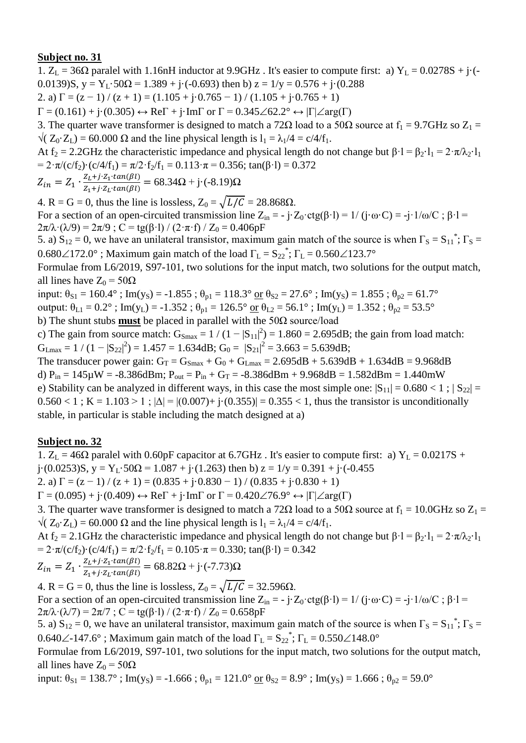1.  $Z_L = 36\Omega$  paralel with 1.16nH inductor at 9.9GHz. It's easier to compute first: a)  $Y_L = 0.0278S + j\cdot(-1)$ 0.0139)S,  $y = Y_L 50\Omega = 1.389 + i(-0.693)$  then b)  $z = 1/y = 0.576 + i(0.288)$ 2. a)  $\Gamma = (z - 1) / (z + 1) = (1.105 + j \cdot 0.765 - 1) / (1.105 + j \cdot 0.765 + 1)$ 

 $\Gamma = (0.161) + \mathbf{j} \cdot (0.305) \leftrightarrow \text{Re}\Gamma + \mathbf{j} \cdot \text{Im}\Gamma$  or  $\Gamma = 0.345 \angle 62.2^{\circ} \leftrightarrow |\Gamma| \angle \text{arg}(\Gamma)$ 

3. The quarter wave transformer is designed to match a 72 $\Omega$  load to a 50 $\Omega$  source at  $f_1 = 9.7$ GHz so  $Z_1 =$  $\sqrt{(Z_0 \cdot Z_1)} = 60.000 \Omega$  and the line physical length is  $l_1 = \lambda_1/4 = c/4/f_1$ .

At f<sub>2</sub> = 2.2GHz the characteristic impedance and physical length do not change but  $\beta \cdot l = \beta_2 \cdot l_1 = 2 \cdot \pi / \lambda_2 \cdot l_1$ =  $2 \cdot \pi/(c/f_2) \cdot (c/4/f_1) = \pi/2 \cdot f_2/f_1 = 0.113 \cdot \pi = 0.356$ ; tan( $\beta \cdot l$ ) = 0.372

$$
Z_{in} = Z_1 \cdot \frac{Z_L + j \cdot Z_1 \cdot tan(\beta l)}{Z_1 + j \cdot Z_L \cdot tan(\beta l)} = 68.34 \Omega + j \cdot (-8.19) \Omega
$$

4. R = G = 0, thus the line is lossless,  $Z_0 = \sqrt{L/C} = 28.868\Omega$ .

For a section of an open-circuited transmission line  $Z_{in} = -j \cdot Z_0 \cdot ctg(\beta \cdot l) = 1/(j \cdot \omega \cdot C) = -j \cdot 1/\omega/C$ ;  $\beta \cdot l =$  $2\pi/\lambda \cdot (\lambda/9) = 2\pi/9$ ; C = tg( $\beta$ ·l) / (2· $\pi$ ·f) / Z<sub>0</sub> = 0.406pF

5. a)  $S_{12} = 0$ , we have an unilateral transistor, maximum gain match of the source is when  $\Gamma_S = S_{11}^*$ ;  $\Gamma_S =$  $0.680\angle 172.0^{\circ}$  ; Maximum gain match of the load  $\Gamma_{\rm L} = S_{22}^*$ ;  $\Gamma_{\rm L} = 0.560\angle 123.7^{\circ}$ 

Formulae from L6/2019, S97-101, two solutions for the input match, two solutions for the output match, all lines have  $Z_0 = 50\Omega$ 

input:  $\theta_{S1} = 160.4^\circ$ ; Im(y<sub>S</sub>) = -1.855;  $\theta_{p1} = 118.3^\circ$  or  $\theta_{S2} = 27.6^\circ$ ; Im(y<sub>S</sub>) = 1.855;  $\theta_{p2} = 61.7^\circ$ output:  $\theta_{L1} = 0.2^\circ$ ; Im(y<sub>L</sub>) = -1.352;  $\theta_{p1} = 126.5^\circ$  or  $\theta_{L2} = 56.1^\circ$ ; Im(y<sub>L</sub>) = 1.352;  $\theta_{p2} = 53.5^\circ$ b) The shunt stubs **must** be placed in parallel with the 50Ω source/load

c) The gain from source match:  $G_{\text{Smax}} = 1/(1-|S_{11}|^2) = 1.860 = 2.695dB$ ; the gain from load match:  $G_{Lmax} = 1 / (1 - |S_{22}|^2) = 1.457 = 1.634 dB$ ;  $G_0 = |S_{21}|^2 = 3.663 = 5.639 dB$ ;

The transducer power gain:  $G_T = G_{Smax} + G_0 + G_{Lmax} = 2.695dB + 5.639dB + 1.634dB = 9.968dB$ d)  $P_{in} = 145 \mu W = -8.386$ dBm;  $P_{out} = P_{in} + G_T = -8.386$ dBm + 9.968dB = 1.582dBm = 1.440mW e) Stability can be analyzed in different ways, in this case the most simple one:  $|S_{11}| = 0.680 < 1$ ;  $|S_{22}| =$  $0.560 < 1$ ; K = 1.103 > 1;  $|\Delta| = |(0.007) + i(0.355)| = 0.355 < 1$ , thus the transistor is unconditionally stable, in particular is stable including the match designed at a)

# **Subject no. 32**

1.  $Z_L = 46\Omega$  paralel with 0.60pF capacitor at 6.7GHz. It's easier to compute first: a)  $Y_L = 0.0217S +$ j·(0.0253)S, y = Y<sub>L</sub>·50 $\Omega$  = 1.087 + j·(1.263) then b) z = 1/y = 0.391 + j·(-0.455) 2. a)  $\Gamma = (z - 1) / (z + 1) = (0.835 + i \cdot 0.830 - 1) / (0.835 + i \cdot 0.830 + 1)$ 

 $\Gamma = (0.095) + \mathfrak{j} \cdot (0.409) \leftrightarrow \text{Re}\Gamma + \mathfrak{j} \cdot \text{Im}\Gamma$  or  $\Gamma = 0.420 \angle 76.9^{\circ} \leftrightarrow |\Gamma| \angle \text{arg}(\Gamma)$ 

3. The quarter wave transformer is designed to match a 72 $\Omega$  load to a 50 $\Omega$  source at  $f_1 = 10.0 \text{GHz}$  so  $Z_1 =$  $\sqrt{(Z_0 \cdot Z_1)} = 60.000 \Omega$  and the line physical length is  $l_1 = \lambda_1/4 = c/4/f_1$ .

At f<sub>2</sub> = 2.1GHz the characteristic impedance and physical length do not change but  $\beta \cdot 1 = \beta_2 \cdot 1_1 = 2 \cdot \pi / \lambda_2 \cdot 1_1$ =  $2 \cdot \pi/(c/f_2) \cdot (c/4/f_1) = \pi/2 \cdot f_2/f_1 = 0.105 \cdot \pi = 0.330$ ; tan( $\beta \cdot l$ ) = 0.342

$$
Z_{in} = Z_1 \cdot \frac{Z_L + j \cdot Z_1 \cdot tan(\beta l)}{Z_1 + j \cdot Z_L \cdot tan(\beta l)} = 68.82 \Omega + j \cdot (-7.73) \Omega
$$

4. R = G = 0, thus the line is lossless,  $Z_0 = \sqrt{L/C} = 32.596\Omega$ . For a section of an open-circuited transmission line  $Z_{in} = -j \cdot Z_0 \cdot \text{ctg}(\beta \cdot l) = 1/(j \cdot \omega \cdot C) = -j \cdot 1/\omega/C$ ;  $\beta \cdot l =$  $2\pi/\lambda \cdot (\lambda/7) = 2\pi/7$ ; C = tg( $\beta$ ·l) / (2· $\pi$ ·f) / Z<sub>0</sub> = 0.658pF

5. a)  $S_{12} = 0$ , we have an unilateral transistor, maximum gain match of the source is when  $\Gamma_S = S_{11}^*$ ;  $\Gamma_S =$ 0.640 $\angle$ -147.6°; Maximum gain match of the load  $\Gamma_L = S_{22}^*$ ;  $\Gamma_L = 0.550 \angle 148.0^\circ$ 

Formulae from L6/2019, S97-101, two solutions for the input match, two solutions for the output match, all lines have  $Z_0 = 50\Omega$ 

input:  $\theta_{S1} = 138.7^\circ$ ; Im(y<sub>S</sub>) = -1.666;  $\theta_{p1} = 121.0^\circ$  or  $\theta_{S2} = 8.9^\circ$ ; Im(y<sub>S</sub>) = 1.666;  $\theta_{p2} = 59.0^\circ$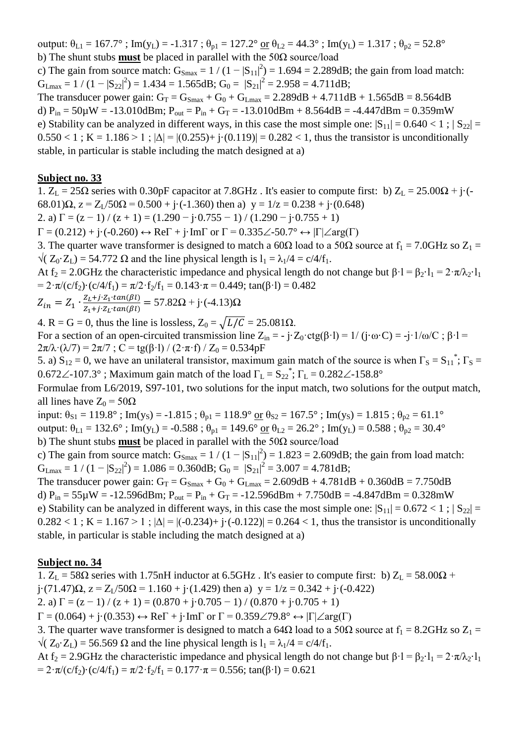output:  $\theta_{L1} = 167.7^\circ$ ; Im(y<sub>L</sub>) = -1.317;  $\theta_{p1} = 127.2^\circ$  or  $\theta_{L2} = 44.3^\circ$ ; Im(y<sub>L</sub>) = 1.317;  $\theta_{p2} = 52.8^\circ$ b) The shunt stubs **must** be placed in parallel with the 50Ω source/load

c) The gain from source match:  $G_{\text{Smax}} = 1/(1-|S_{11}|^2) = 1.694 = 2.289dB$ ; the gain from load match:  $G_{\text{Lmax}} = 1 / (1 - |S_{22}|^2) = 1.434 = 1.565 dB; G_0 = |S_{21}|^2 = 2.958 = 4.711 dB;$ 

The transducer power gain:  $G_T = G_{Smax} + G_0 + G_{Lmax} = 2.289dB + 4.711dB + 1.565dB = 8.564dB$ d)  $P_{in} = 50\mu$ W = -13.010dBm;  $P_{out} = P_{in} + G_T = -13.010$ dBm + 8.564dB = -4.447dBm = 0.359mW e) Stability can be analyzed in different ways, in this case the most simple one:  $|S_{11}| = 0.640 < 1$ ;  $|S_{22}| =$  $0.550 < 1$ ; K = 1.186 > 1;  $|\Delta| = |(0.255) + i(0.119)| = 0.282 < 1$ , thus the transistor is unconditionally stable, in particular is stable including the match designed at a)

#### **Subject no. 33**

1.  $Z_L = 25\Omega$  series with 0.30pF capacitor at 7.8GHz. It's easier to compute first: b)  $Z_L = 25.00\Omega + i(-1.000)$ 68.01) $\Omega$ ,  $z = Z_L/50\Omega = 0.500 + j \cdot (-1.360)$  then a)  $y = 1/z = 0.238 + j \cdot (0.648)$ 2. a)  $\Gamma = (z - 1) / (z + 1) = (1.290 - j \cdot 0.755 - 1) / (1.290 - j \cdot 0.755 + 1)$  $\Gamma = (0.212) + i \cdot (-0.260) \leftrightarrow \text{Re} \Gamma + i \cdot \text{Im} \Gamma$  or  $\Gamma = 0.335 \angle 50.7^{\circ} \leftrightarrow |\Gamma| \angle \text{arg}(\Gamma)$ 

3. The quarter wave transformer is designed to match a 60 $\Omega$  load to a 50 $\Omega$  source at  $f_1 = 7.0 \text{GHz}$  so  $Z_1 =$  $\sqrt{(Z_0 \cdot Z_1)} = 54.772 \Omega$  and the line physical length is  $l_1 = \lambda_1/4 = c/4/f_1$ .

At f<sub>2</sub> = 2.0GHz the characteristic impedance and physical length do not change but  $\beta \cdot 1 = \beta_2 \cdot 1_1 = 2 \cdot \pi / \lambda_2 \cdot 1_1$ =  $2 \cdot \pi/(c/f_2) \cdot (c/4/f_1) = \pi/2 \cdot f_2/f_1 = 0.143 \cdot \pi = 0.449$ ; tan( $\beta \cdot l$ ) = 0.482

$$
Z_{in} = Z_1 \cdot \frac{Z_L + j \cdot Z_1 \cdot tan(\beta l)}{Z_1 + j \cdot Z_L \cdot tan(\beta l)} = 57.82 \Omega + j \cdot (-4.13) \Omega
$$

4. R = G = 0, thus the line is lossless,  $Z_0 = \sqrt{L/C} = 25.081\Omega$ .

For a section of an open-circuited transmission line  $Z_{in} = -j \cdot Z_0 \cdot ctg(\beta \cdot l) = 1/(j \cdot \omega \cdot C) = -j \cdot 1/\omega/C$ ;  $\beta \cdot l =$  $2\pi/\lambda \cdot (\lambda/7) = 2\pi/7$ ; C = tg( $\beta$ ·l) / (2· $\pi$ ·f) / Z<sub>0</sub> = 0.534pF

5. a)  $S_{12} = 0$ , we have an unilateral transistor, maximum gain match of the source is when  $\Gamma_s = S_{11}^*$ ;  $\Gamma_s =$ 0.672 $\angle$ -107.3°; Maximum gain match of the load  $\Gamma_L = S_{22}^*$ ;  $\Gamma_L = 0.282 \angle$ -158.8°

Formulae from L6/2019, S97-101, two solutions for the input match, two solutions for the output match, all lines have  $Z_0 = 50\Omega$ 

input:  $\theta_{S1} = 119.8^\circ$ ; Im(y<sub>S</sub>) = -1.815;  $\theta_{p1} = 118.9^\circ$  or  $\theta_{S2} = 167.5^\circ$ ; Im(y<sub>S</sub>) = 1.815;  $\theta_{p2} = 61.1^\circ$ 

output:  $\theta_{L1} = 132.6^\circ$ ; Im(y<sub>L</sub>) = -0.588;  $\theta_{p1} = 149.6^\circ$  or  $\theta_{L2} = 26.2^\circ$ ; Im(y<sub>L</sub>) = 0.588;  $\theta_{p2} = 30.4^\circ$ 

b) The shunt stubs **must** be placed in parallel with the 50Ω source/load

c) The gain from source match:  $G_{\text{Smax}} = 1/(1-|S_{11}|^2) = 1.823 = 2.609dB$ ; the gain from load match:  $G_{\text{Lmax}} = 1 / (1 - |S_{22}|^2) = 1.086 = 0.360 \text{dB}; G_0 = |S_{21}|^2 = 3.007 = 4.781 \text{dB};$ 

The transducer power gain:  $G_T = G_{Smax} + G_0 + G_{Lmax} = 2.609dB + 4.781dB + 0.360dB = 7.750dB$ d)  $P_{in} = 55\mu W = -12.596dBm$ ;  $P_{out} = P_{in} + G_T = -12.596dBm + 7.750dB = -4.847dBm = 0.328mW$ e) Stability can be analyzed in different ways, in this case the most simple one:  $|S_{11}| = 0.672 < 1$ ;  $|S_{22}| =$  $0.282 < 1$ ; K = 1.167 > 1;  $|\Delta| = |(-0.234) + (-0.122)| = 0.264 < 1$ , thus the transistor is unconditionally stable, in particular is stable including the match designed at a)

### **Subject no. 34**

1.  $Z_L$  = 58 $\Omega$  series with 1.75nH inductor at 6.5GHz. It's easier to compute first: b)  $Z_L$  = 58.00 $\Omega$  +

 $j \cdot (71.47)\Omega$ ,  $z = Z_1/50\Omega = 1.160 + j \cdot (1.429)$  then a)  $y = 1/z = 0.342 + j \cdot (-0.422)$ 

2. a)  $\Gamma = (z - 1) / (z + 1) = (0.870 + i \cdot 0.705 - 1) / (0.870 + i \cdot 0.705 + 1)$ 

 $\Gamma = (0.064) + i(0.353) \leftrightarrow \text{Re}\Gamma + i\cdot\text{Im}\Gamma$  or  $\Gamma = 0.359\angle 79.8^{\circ} \leftrightarrow |\Gamma| \angle \text{arg}(\Gamma)$ 

3. The quarter wave transformer is designed to match a 64 $\Omega$  load to a 50 $\Omega$  source at  $f_1 = 8.2\text{GHz}$  so  $Z_1 =$  $\sqrt{(Z_0 \cdot Z_1)} = 56.569 \Omega$  and the line physical length is  $l_1 = \lambda_1/4 = c/4/f_1$ .

At f<sub>2</sub> = 2.9GHz the characteristic impedance and physical length do not change but  $\beta \cdot l = \beta_2 \cdot l_1 = 2 \cdot \pi / \lambda_2 \cdot l_1$ =  $2 \cdot \pi/(c/f_2) \cdot (c/4/f_1) = \pi/2 \cdot f_2/f_1 = 0.177 \cdot \pi = 0.556$ ; tan( $\beta \cdot l$ ) = 0.621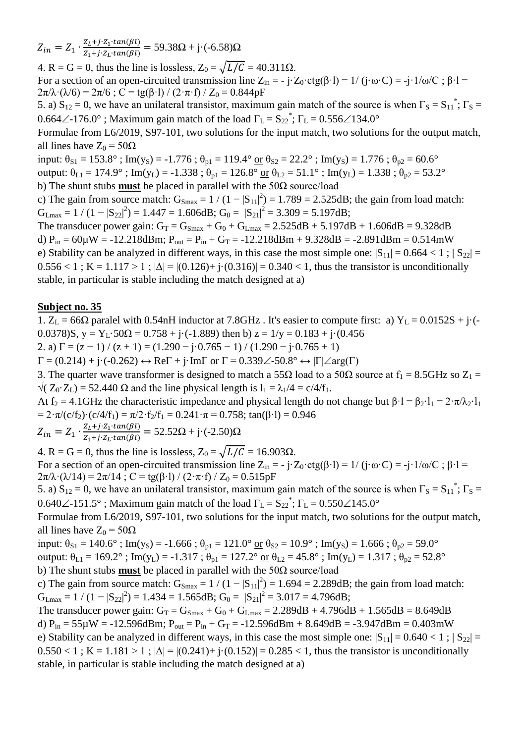$Z_{in} = Z_1 \cdot \frac{Z}{Z}$  $\frac{Z_L + j \cdot Z_1 \cdot (a \cdot h(p))}{Z_1 + j \cdot Z_L \cdot (a \cdot h(p))} = 59.38\Omega + j \cdot (-6.58)\Omega$ 

4. R = G = 0, thus the line is lossless,  $Z_0 = \sqrt{L/C} = 40.311 \Omega$ . For a section of an open-circuited transmission line  $Z_{in} = -j \cdot Z_0 \cdot ctg(\beta \cdot l) = 1/(j \cdot \omega \cdot C) = -j \cdot 1/\omega/C$ ;  $\beta \cdot l =$  $2\pi/\lambda \cdot (\lambda/6) = 2\pi/6$ ; C = tg( $\beta$ ·l) / (2· $\pi$ ·f) / Z<sub>0</sub> = 0.844pF

5. a)  $S_{12} = 0$ , we have an unilateral transistor, maximum gain match of the source is when  $\Gamma_S = S_{11}^*$ ;  $\Gamma_S =$ 0.664 $\angle$ -176.0°; Maximum gain match of the load  $\Gamma_L = S_{22}^*$ ;  $\Gamma_L = 0.556 \angle 134.0^\circ$ 

Formulae from L6/2019, S97-101, two solutions for the input match, two solutions for the output match, all lines have  $Z_0 = 50\Omega$ 

input:  $\theta_{S1} = 153.8^\circ$ ; Im(y<sub>S</sub>) = -1.776;  $\theta_{p1} = 119.4^\circ$  or  $\theta_{S2} = 22.2^\circ$ ; Im(y<sub>S</sub>) = 1.776;  $\theta_{p2} = 60.6^\circ$ 

output:  $\theta_{L1} = 174.9^\circ$ ; Im(y<sub>L</sub>) = -1.338;  $\theta_{p1} = 126.8^\circ$  or  $\theta_{L2} = 51.1^\circ$ ; Im(y<sub>L</sub>) = 1.338;  $\theta_{p2} = 53.2^\circ$ 

b) The shunt stubs **must** be placed in parallel with the 50Ω source/load

c) The gain from source match:  $G_{Smax} = 1/(1-|S_{11}|^2) = 1.789 = 2.525dB$ ; the gain from load match:  $G_{Lmax} = 1 / (1 - |S_{22}|^2) = 1.447 = 1.606 dB; G_0 = |S_{21}|^2 = 3.309 = 5.197 dB;$ 

The transducer power gain:  $G_T = G_{Smax} + G_0 + G_{Lmax} = 2.525dB + 5.197dB + 1.606dB = 9.328dB$ d)  $P_{in} = 60\mu$ W = -12.218dBm;  $P_{out} = P_{in} + G_T = -12.218$ dBm + 9.328dB = -2.891dBm = 0.514mW e) Stability can be analyzed in different ways, in this case the most simple one:  $|S_{11}| = 0.664 < 1$ ;  $|S_{22}| =$  $0.556 < 1$ ; K = 1.117 > 1;  $|\Delta| = |(0.126) + i(0.316)| = 0.340 < 1$ , thus the transistor is unconditionally stable, in particular is stable including the match designed at a)

## **Subject no. 35**

1.  $Z_L = 66\Omega$  paralel with 0.54nH inductor at 7.8GHz. It's easier to compute first: a)  $Y_L = 0.0152S + j\cdot(-1.0152S)$ 0.0378)S,  $y = Y_1 \cdot 50\Omega = 0.758 + i \cdot (-1.889)$  then b)  $z = 1/y = 0.183 + i \cdot (0.456$ 

2. a)  $\Gamma = (z - 1) / (z + 1) = (1.290 - j \cdot 0.765 - 1) / (1.290 - j \cdot 0.765 + 1)$ 

 $\Gamma = (0.214) + \mathbf{j} \cdot (-0.262) \leftrightarrow \text{Re}\Gamma + \mathbf{j} \cdot \text{Im}\Gamma$  or  $\Gamma = 0.339\angle 50.8^{\circ} \leftrightarrow |\Gamma| \angle \text{arg}(\Gamma)$ 

3. The quarter wave transformer is designed to match a 55 $\Omega$  load to a 50 $\Omega$  source at  $f_1 = 8.5\text{GHz}$  so  $Z_1 =$  $\sqrt{(Z_0 \cdot Z_1)} = 52.440 \Omega$  and the line physical length is  $1_1 = \lambda_1/4 = c/4/f_1$ .

At f<sub>2</sub> = 4.1GHz the characteristic impedance and physical length do not change but  $\beta$ ·l =  $\beta$ <sub>2</sub>·l<sub>1</sub> =  $2 \cdot \pi / \lambda$ <sup>2</sup>·l<sub>1</sub> =  $2 \cdot \pi/(c/f_2) \cdot (c/4/f_1) = \pi/2 \cdot f_2/f_1 = 0.241 \cdot \pi = 0.758$ ; tan( $\beta \cdot l$ ) = 0.946

$$
Z_{in} = Z_1 \cdot \frac{Z_L + j \cdot Z_1 \cdot tan(\beta l)}{Z_1 + j \cdot Z_L \cdot tan(\beta l)} = 52.52 \Omega + j \cdot (-2.50) \Omega
$$

4. R = G = 0, thus the line is lossless,  $Z_0 = \sqrt{L/C} = 16.903\Omega$ . For a section of an open-circuited transmission line  $Z_{in} = -j \cdot Z_0 \cdot \text{ctg}(\beta \cdot l) = 1/(j \cdot \omega \cdot C) = -j \cdot 1/\omega/C$ ;  $\beta \cdot l =$  $2\pi/\lambda \cdot (\lambda/14) = 2\pi/14$ ; C = tg( $\beta$ ·l) / (2·π·f) / Z<sub>0</sub> = 0.515pF

5. a)  $S_{12} = 0$ , we have an unilateral transistor, maximum gain match of the source is when  $\Gamma_S = S_{11}^*$ ;  $\Gamma_S =$ 0.640 $\angle$ -151.5°; Maximum gain match of the load  $\Gamma_L = S_{22}^*$ ;  $\Gamma_L = 0.550 \angle 145.0^\circ$ 

Formulae from L6/2019, S97-101, two solutions for the input match, two solutions for the output match, all lines have  $Z_0 = 50\Omega$ 

input:  $\theta_{S1} = 140.6^\circ$ ; Im(y<sub>S</sub>) = -1.666;  $\theta_{p1} = 121.0^\circ$  or  $\theta_{S2} = 10.9^\circ$ ; Im(y<sub>S</sub>) = 1.666;  $\theta_{p2} = 59.0^\circ$ output:  $\theta_{L1} = 169.2^\circ$ ; Im(y<sub>L</sub>) = -1.317;  $\theta_{p1} = 127.2^\circ$  or  $\theta_{L2} = 45.8^\circ$ ; Im(y<sub>L</sub>) = 1.317;  $\theta_{p2} = 52.8^\circ$ 

b) The shunt stubs **must** be placed in parallel with the 50Ω source/load

c) The gain from source match:  $G_{Smax} = 1/(1-|S_{11}|^2) = 1.694 = 2.289dB$ ; the gain from load match:  $G_{Lmax} = 1 / (1 - |S_{22}|^2) = 1.434 = 1.565 dB; G_0 = |S_{21}|^2 = 3.017 = 4.796 dB;$ 

The transducer power gain:  $G_T = G_{Smax} + G_0 + G_{Lmax} = 2.289 dB + 4.796 dB + 1.565 dB = 8.649 dB$ d)  $P_{in} = 55\mu W = -12.596$ dBm;  $P_{out} = P_{in} + G_T = -12.596$ dBm + 8.649dB = -3.947dBm = 0.403mW e) Stability can be analyzed in different ways, in this case the most simple one:  $|S_{11}| = 0.640 < 1$ ;  $|S_{22}| =$  $0.550 < 1$ ; K = 1.181 > 1;  $|\Delta| = |(0.241) + i(0.152)| = 0.285 < 1$ , thus the transistor is unconditionally stable, in particular is stable including the match designed at a)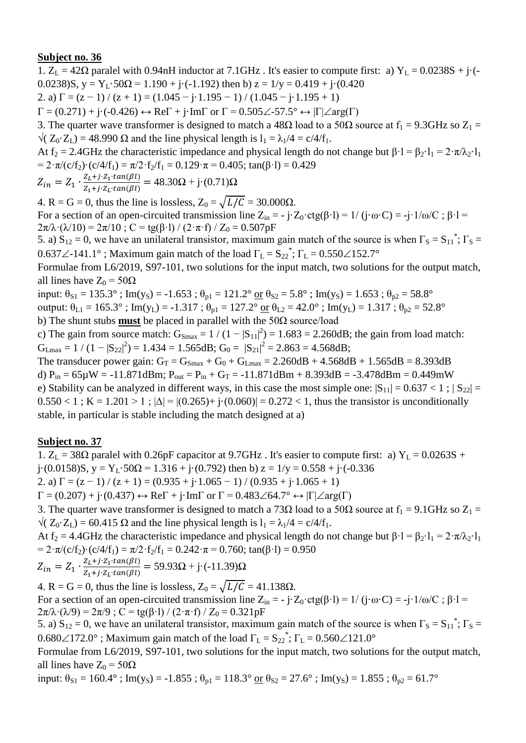1.  $Z_L = 42\Omega$  paralel with 0.94nH inductor at 7.1GHz. It's easier to compute first: a)  $Y_L = 0.0238S + j\cdot(-1)$ 0.0238)S,  $y = Y_L \cdot 50\Omega = 1.190 + i \cdot (-1.192)$  then b)  $z = 1/y = 0.419 + i \cdot (0.420)$ 2. a)  $\Gamma = (z - 1) / (z + 1) = (1.045 - j \cdot 1.195 - 1) / (1.045 - j \cdot 1.195 + 1)$ 

 $\Gamma = (0.271) + \mathrm{i} \cdot (-0.426) \leftrightarrow \mathrm{Re} \Gamma + \mathrm{i} \cdot \mathrm{Im} \Gamma$  or  $\Gamma = 0.505 \angle 57.5^{\circ} \leftrightarrow |\Gamma| \angle \mathrm{arg}(\Gamma)$ 

3. The quarter wave transformer is designed to match a 48 $\Omega$  load to a 50 $\Omega$  source at  $f_1 = 9.3 \text{GHz}$  so  $Z_1 =$  $\sqrt{(Z_0 \cdot Z_1)} = 48.990 \Omega$  and the line physical length is  $l_1 = \lambda_1/4 = c/4/f_1$ .

At f<sub>2</sub> = 2.4GHz the characteristic impedance and physical length do not change but  $\beta \cdot l = \beta_2 \cdot l_1 = 2 \cdot \pi / \lambda_2 \cdot l_1$ =  $2 \cdot \pi/(c/f_2) \cdot (c/4/f_1) = \pi/2 \cdot f_2/f_1 = 0.129 \cdot \pi = 0.405$ ; tan( $\beta \cdot l$ ) = 0.429

$$
Z_{in} = Z_1 \cdot \frac{Z_L + j \cdot Z_1 \cdot tan(\beta l)}{Z_1 + j \cdot Z_L \cdot tan(\beta l)} = 48.30 \Omega + j \cdot (0.71) \Omega
$$

4. R = G = 0, thus the line is lossless,  $Z_0 = \sqrt{L/C} = 30.000\Omega$ . For a section of an open-circuited transmission line  $Z_{in} = -j \cdot Z_0 \cdot \text{ctg}(\beta \cdot l) = 1/(j \cdot \omega \cdot C) = -j \cdot 1/\omega/C$ ;  $\beta \cdot l =$ 

 $2\pi/\lambda \cdot (\lambda/10) = 2\pi/10$ ; C = tg( $\beta$ ·l) / (2·π·f) / Z<sub>0</sub> = 0.507pF

5. a)  $S_{12} = 0$ , we have an unilateral transistor, maximum gain match of the source is when  $\Gamma_S = S_{11}^*$ ;  $\Gamma_S =$ 0.637 $\angle$ -141.1°; Maximum gain match of the load  $\Gamma_L = S_{22}^*$ ;  $\Gamma_L = 0.550 \angle 152.7^\circ$ 

Formulae from L6/2019, S97-101, two solutions for the input match, two solutions for the output match, all lines have  $Z_0 = 50\Omega$ 

input:  $\theta_{S1} = 135.3^\circ$ ; Im(y<sub>S</sub>) = -1.653;  $\theta_{p1} = 121.2^\circ$  or  $\theta_{S2} = 5.8^\circ$ ; Im(y<sub>S</sub>) = 1.653;  $\theta_{p2} = 58.8^\circ$ output:  $\theta_{L1} = 165.3^\circ$ ; Im(y<sub>L</sub>) = -1.317;  $\theta_{p1} = 127.2^\circ$  or  $\theta_{L2} = 42.0^\circ$ ; Im(y<sub>L</sub>) = 1.317;  $\theta_{p2} = 52.8^\circ$ b) The shunt stubs **must** be placed in parallel with the 50Ω source/load

c) The gain from source match:  $G_{\text{Smax}} = 1/(1-|S_{11}|^2) = 1.683 = 2.260dB$ ; the gain from load match:  $G_{Lmax} = 1 / (1 - |S_{22}|^2) = 1.434 = 1.565 dB; G_0 = |S_{21}|^2 = 2.863 = 4.568 dB;$ 

The transducer power gain:  $G_T = G_{Smax} + G_0 + G_{Lmax} = 2.260dB + 4.568dB + 1.565dB = 8.393dB$ d)  $P_{in} = 65\mu W = -11.871dBm$ ;  $P_{out} = P_{in} + G_T = -11.871dBm + 8.393dB = -3.478dBm = 0.449mW$ e) Stability can be analyzed in different ways, in this case the most simple one:  $|S_{11}| = 0.637 < 1$ ;  $|S_{22}| =$  $0.550 < 1$ ; K = 1.201 > 1;  $|\Delta| = |(0.265) + i(0.060)| = 0.272 < 1$ , thus the transistor is unconditionally stable, in particular is stable including the match designed at a)

# **Subject no. 37**

1.  $Z_L = 38\Omega$  paralel with 0.26pF capacitor at 9.7GHz. It's easier to compute first: a)  $Y_L = 0.0263S +$ j·(0.0158)S, y = Y<sub>L</sub>·50 $\Omega$  = 1.316 + j·(0.792) then b) z = 1/y = 0.558 + j·(-0.336) 2. a)  $\Gamma = (z - 1) / (z + 1) = (0.935 + i \cdot 1.065 - 1) / (0.935 + i \cdot 1.065 + 1)$ 

 $\Gamma = (0.207) + \mathbf{j} \cdot (0.437) \leftrightarrow \text{Re}\Gamma + \mathbf{j} \cdot \text{Im}\Gamma$  or  $\Gamma = 0.483\angle 64.7^{\circ} \leftrightarrow |\Gamma| \angle \text{arg}(\Gamma)$ 

3. The quarter wave transformer is designed to match a 73 $\Omega$  load to a 50 $\Omega$  source at  $f_1 = 9.1 \text{GHz}$  so  $Z_1 =$  $\sqrt{(Z_0 \cdot Z_1)} = 60.415 \Omega$  and the line physical length is  $l_1 = \lambda_1/4 = c/4/f_1$ .

At f<sub>2</sub> = 4.4GHz the characteristic impedance and physical length do not change but  $\beta \cdot 1 = \beta_2 \cdot 1_1 = 2 \cdot \pi / \lambda_2 \cdot 1_1$ =  $2 \cdot \pi/(c/f_2) \cdot (c/4/f_1) = \pi/2 \cdot f_2/f_1 = 0.242 \cdot \pi = 0.760$ ; tan( $\beta \cdot l$ ) = 0.950

$$
Z_{in} = Z_1 \cdot \frac{Z_L + j \cdot Z_1 \cdot tan(\beta l)}{Z_1 + j \cdot Z_L \cdot tan(\beta l)} = 59.93 \Omega + j \cdot (-11.39) \Omega
$$

4. R = G = 0, thus the line is lossless,  $Z_0 = \sqrt{L/C} = 41.138\Omega$ . For a section of an open-circuited transmission line  $Z_{in} = -j \cdot Z_0 \cdot \text{ctg}(\beta \cdot l) = 1/(j \cdot \omega \cdot C) = -j \cdot 1/\omega/C$ ;  $\beta \cdot l =$  $2\pi/\lambda \cdot (\lambda/9) = 2\pi/9$ ; C = tg( $\beta$ ·l) / (2· $\pi$ ·f) / Z<sub>0</sub> = 0.321pF

5. a)  $S_{12} = 0$ , we have an unilateral transistor, maximum gain match of the source is when  $\Gamma_S = S_{11}^*$ ;  $\Gamma_S =$  $0.680\angle 172.0^{\circ}$ ; Maximum gain match of the load  $\Gamma_{\text{L}} = S_{22}^*$ ;  $\Gamma_{\text{L}} = 0.560\angle 121.0^{\circ}$ 

Formulae from L6/2019, S97-101, two solutions for the input match, two solutions for the output match, all lines have  $Z_0 = 50\Omega$ 

input:  $\theta_{S1} = 160.4^\circ$ ; Im(y<sub>S</sub>) = -1.855;  $\theta_{p1} = 118.3^\circ$  or  $\theta_{S2} = 27.6^\circ$ ; Im(y<sub>S</sub>) = 1.855;  $\theta_{p2} = 61.7^\circ$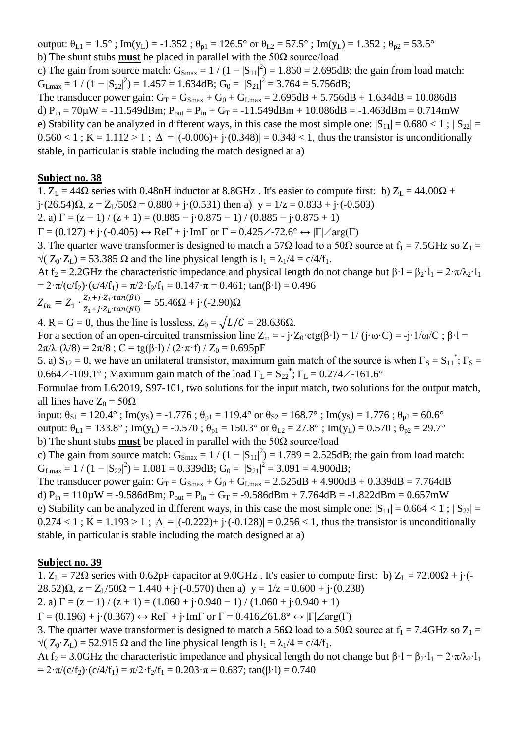output:  $\theta_{L1} = 1.5^\circ$ ; Im(y<sub>L</sub>) = -1.352;  $\theta_{p1} = 126.5^\circ$  or  $\theta_{L2} = 57.5^\circ$ ; Im(y<sub>L</sub>) = 1.352;  $\theta_{p2} = 53.5^\circ$ b) The shunt stubs **must** be placed in parallel with the 50Ω source/load

c) The gain from source match:  $G_{\text{Smax}} = 1/(1-|S_{11}|^2) = 1.860 = 2.695dB$ ; the gain from load match:  $G_{Lmax} = 1 / (1 - |S_{22}|^2) = 1.457 = 1.634 dB$ ;  $G_0 = |S_{21}|^2 = 3.764 = 5.756 dB$ ;

The transducer power gain:  $G_T = G_{Smax} + G_0 + G_{Lmax} = 2.695dB + 5.756dB + 1.634dB = 10.086dB$ d)  $P_{in} = 70 \mu W = -11.549$ dBm;  $P_{out} = P_{in} + G_T = -11.549$ dBm + 10.086dB = -1.463dBm = 0.714mW e) Stability can be analyzed in different ways, in this case the most simple one:  $|S_{11}| = 0.680 < 1$ ;  $|S_{22}| =$  $0.560 < 1$ ; K = 1.112 > 1;  $|\Delta| = |(-0.006) + (-0.348)| = 0.348 < 1$ , thus the transistor is unconditionally stable, in particular is stable including the match designed at a)

#### **Subject no. 38**

1.  $Z_L = 44\Omega$  series with 0.48nH inductor at 8.8GHz. It's easier to compute first: b)  $Z_L = 44.00\Omega$  + j·(26.54) $\Omega$ ,  $z = Z_L/50\Omega = 0.880 + j(0.531)$  then a)  $y = 1/z = 0.833 + j(0.503)$ 2. a)  $\Gamma = (z - 1) / (z + 1) = (0.885 - j \cdot 0.875 - 1) / (0.885 - j \cdot 0.875 + 1)$  $\Gamma = (0.127) + i \cdot (-0.405) \leftrightarrow \text{Re}\Gamma + i \cdot \text{Im}\Gamma$  or  $\Gamma = 0.425 \angle -72.6^{\circ} \leftrightarrow |\Gamma| \angle \text{arg}(\Gamma)$ 3. The quarter wave transformer is designed to match a 57 $\Omega$  load to a 50 $\Omega$  source at  $f_1 = 7.5 \text{GHz}$  so  $Z_1 =$  $\sqrt{(Z_0 \cdot Z_1)} = 53.385 \Omega$  and the line physical length is  $l_1 = \lambda_1/4 = c/4/f_1$ . At f<sub>2</sub> = 2.2GHz the characteristic impedance and physical length do not change but  $\beta \cdot 1 = \beta_2 \cdot 1_1 = 2 \cdot \pi / \lambda_2 \cdot 1_1$ =  $2 \cdot \pi/(c/f_2) \cdot (c/4/f_1) = \pi/2 \cdot f_2/f_1 = 0.147 \cdot \pi = 0.461$ ; tan( $\beta \cdot l$ ) = 0.496  $Z_{in} = Z_1 \cdot \frac{Z}{Z}$  $\frac{Z_L + j \cdot Z_1 \cdot (a \cdot h(p))}{Z_1 + j \cdot Z_L \cdot (a \cdot h(\beta))} = 55.46\Omega + j \cdot (-2.90)\Omega$ 4. R = G = 0, thus the line is lossless,  $Z_0 = \sqrt{L/C} = 28.636\Omega$ . For a section of an open-circuited transmission line  $Z_{in} = -j \cdot Z_0 \cdot \text{ctg}(\beta \cdot l) = 1/(j \cdot \omega \cdot C) = -j \cdot 1/\omega/C$ ;  $\beta \cdot l =$  $2\pi/\lambda \cdot (\lambda/8) = 2\pi/8$ ; C = tg( $\beta$ ·l) / (2· $\pi$ ·f) / Z<sub>0</sub> = 0.695pF 5. a)  $S_{12} = 0$ , we have an unilateral transistor, maximum gain match of the source is when  $\Gamma_s = S_{11}^*$ ;  $\Gamma_s =$ 0.664 $\angle$ -109.1°; Maximum gain match of the load  $\Gamma_L = S_{22}^*$ ;  $\Gamma_L = 0.274 \angle$ -161.6° Formulae from L6/2019, S97-101, two solutions for the input match, two solutions for the output match, all lines have  $Z_0 = 50Ω$ input:  $\theta_{S1} = 120.4^\circ$ ; Im(y<sub>S</sub>) = -1.776;  $\theta_{p1} = 119.4^\circ$  or  $\theta_{S2} = 168.7^\circ$ ; Im(y<sub>S</sub>) = 1.776;  $\theta_{p2} = 60.6^\circ$ output:  $\theta_{L1} = 133.8^\circ$ ; Im(y<sub>L</sub>) = -0.570;  $\theta_{p1} = 150.3^\circ$  or  $\theta_{L2} = 27.8^\circ$ ; Im(y<sub>L</sub>) = 0.570;  $\theta_{p2} = 29.7^\circ$ b) The shunt stubs **must** be placed in parallel with the 50Ω source/load c) The gain from source match:  $G_{\text{Smax}} = 1/(1-|S_{11}|^2) = 1.789 = 2.525dB$ ; the gain from load match:  $G_{Lmax} = 1 / (1 - |S_{22}|^2) = 1.081 = 0.339dB$ ;  $G_0 = |S_{21}|^2 = 3.091 = 4.900dB$ ;

The transducer power gain:  $G_T = G_{Smax} + G_0 + G_{Lmax} = 2.525dB + 4.900dB + 0.339dB = 7.764dB$ d)  $P_{in} = 110 \mu W = -9.586$ dBm;  $P_{out} = P_{in} + G_T = -9.586$ dBm + 7.764dB = -1.822dBm = 0.657mW e) Stability can be analyzed in different ways, in this case the most simple one:  $|S_{11}| = 0.664 < 1$ ;  $|S_{22}| =$  $0.274 < 1$ ; K = 1.193 > 1;  $|\Delta| = |(-0.222) + (-0.128)| = 0.256 < 1$ , thus the transistor is unconditionally stable, in particular is stable including the match designed at a)

### **Subject no. 39**

1.  $Z_L = 72\Omega$  series with 0.62pF capacitor at 9.0GHz. It's easier to compute first: b)  $Z_L = 72.00\Omega + i(-1.000)$  $28.52$ ) $\Omega$ ,  $z = Z_1/50\Omega = 1.440 + i(-0.570)$  then a)  $y = 1/z = 0.600 + i(0.238)$ 

2. a)  $\Gamma = (z - 1) / (z + 1) = (1.060 + i.0.940 - 1) / (1.060 + i.0.940 + 1)$ 

 $\Gamma = (0.196) + i(0.367) \leftrightarrow \text{Re}\Gamma + i\cdot\text{Im}\Gamma$  or  $\Gamma = 0.416\angle 61.8^\circ \leftrightarrow |\Gamma| \angle \text{arg}(\Gamma)$ 

3. The quarter wave transformer is designed to match a 56 $\Omega$  load to a 50 $\Omega$  source at  $f_1 = 7.4 \text{GHz}$  so  $Z_1 =$  $\sqrt{(Z_0 \cdot Z_1)} = 52.915 \Omega$  and the line physical length is  $l_1 = \lambda_1/4 = c/4/f_1$ .

At f<sub>2</sub> = 3.0GHz the characteristic impedance and physical length do not change but  $\beta \cdot 1 = \beta_2 \cdot 1_1 = 2 \cdot \pi / \lambda_2 \cdot 1_1$ =  $2 \cdot \pi/(c/f_2) \cdot (c/4/f_1) = \pi/2 \cdot f_2/f_1 = 0.203 \cdot \pi = 0.637$ ; tan( $\beta \cdot l$ ) = 0.740